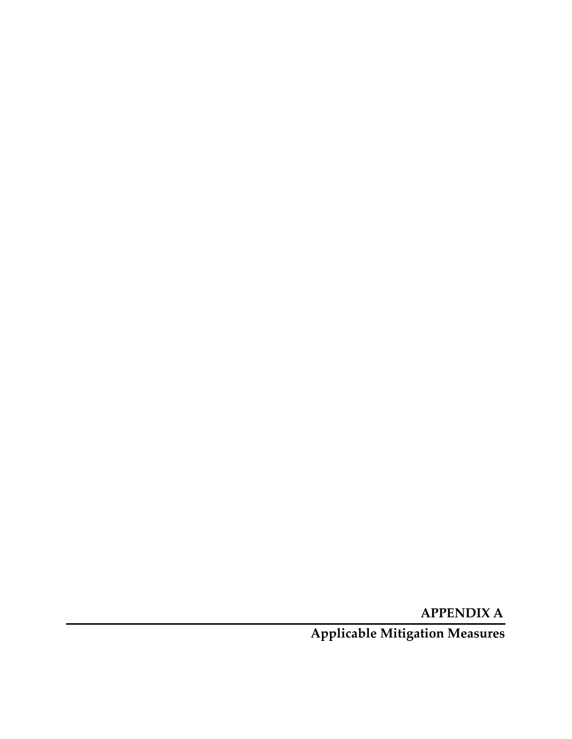**APPENDIX A**

**Applicable Mitigation Measures**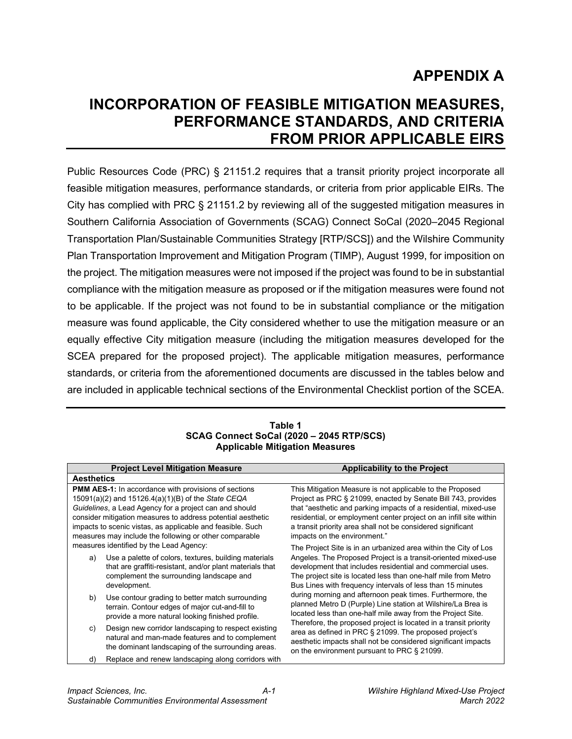# **APPENDIX A**

# **INCORPORATION OF FEASIBLE MITIGATION MEASURES, PERFORMANCE STANDARDS, AND CRITERIA FROM PRIOR APPLICABLE EIRS**

Public Resources Code (PRC) § 21151.2 requires that a transit priority project incorporate all feasible mitigation measures, performance standards, or criteria from prior applicable EIRs. The City has complied with PRC § 21151.2 by reviewing all of the suggested mitigation measures in Southern California Association of Governments (SCAG) Connect SoCal (2020–2045 Regional Transportation Plan/Sustainable Communities Strategy [RTP/SCS]) and the Wilshire Community Plan Transportation Improvement and Mitigation Program (TIMP), August 1999, for imposition on the project. The mitigation measures were not imposed if the project was found to be in substantial compliance with the mitigation measure as proposed or if the mitigation measures were found not to be applicable. If the project was not found to be in substantial compliance or the mitigation measure was found applicable, the City considered whether to use the mitigation measure or an equally effective City mitigation measure (including the mitigation measures developed for the SCEA prepared for the proposed project). The applicable mitigation measures, performance standards, or criteria from the aforementioned documents are discussed in the tables below and are included in applicable technical sections of the Environmental Checklist portion of the SCEA.

**Table 1 SCAG Connect SoCal (2020 – 2045 RTP/SCS) Applicable Mitigation Measures**

| <b>Project Level Mitigation Measure</b>                                                                                                                                                                                                                                                                                                                            | Applicability to the Project                                                                                                                                                                                                                                                                                                                                      |
|--------------------------------------------------------------------------------------------------------------------------------------------------------------------------------------------------------------------------------------------------------------------------------------------------------------------------------------------------------------------|-------------------------------------------------------------------------------------------------------------------------------------------------------------------------------------------------------------------------------------------------------------------------------------------------------------------------------------------------------------------|
| <b>Aesthetics</b>                                                                                                                                                                                                                                                                                                                                                  |                                                                                                                                                                                                                                                                                                                                                                   |
| <b>PMM AES-1:</b> In accordance with provisions of sections<br>15091(a)(2) and 15126.4(a)(1)(B) of the State CEQA<br>Guidelines, a Lead Agency for a project can and should<br>consider mitigation measures to address potential aesthetic<br>impacts to scenic vistas, as applicable and feasible. Such<br>measures may include the following or other comparable | This Mitigation Measure is not applicable to the Proposed<br>Project as PRC § 21099, enacted by Senate Bill 743, provides<br>that "aesthetic and parking impacts of a residential, mixed-use<br>residential, or employment center project on an infill site within<br>a transit priority area shall not be considered significant<br>impacts on the environment." |
| measures identified by the Lead Agency:<br>Use a palette of colors, textures, building materials<br>a)<br>that are graffiti-resistant, and/or plant materials that<br>complement the surrounding landscape and<br>development.                                                                                                                                     | The Project Site is in an urbanized area within the City of Los<br>Angeles. The Proposed Project is a transit-oriented mixed-use<br>development that includes residential and commercial uses.<br>The project site is located less than one-half mile from Metro<br>Bus Lines with frequency intervals of less than 15 minutes                                    |
| Use contour grading to better match surrounding<br>b)<br>terrain. Contour edges of major cut-and-fill to<br>provide a more natural looking finished profile.                                                                                                                                                                                                       | during morning and afternoon peak times. Furthermore, the<br>planned Metro D (Purple) Line station at Wilshire/La Brea is<br>located less than one-half mile away from the Project Site.                                                                                                                                                                          |
| Design new corridor landscaping to respect existing<br>C)<br>natural and man-made features and to complement<br>the dominant landscaping of the surrounding areas.                                                                                                                                                                                                 | Therefore, the proposed project is located in a transit priority<br>area as defined in PRC § 21099. The proposed project's<br>aesthetic impacts shall not be considered significant impacts<br>on the environment pursuant to PRC § 21099.                                                                                                                        |
| Replace and renew landscaping along corridors with<br>d)                                                                                                                                                                                                                                                                                                           |                                                                                                                                                                                                                                                                                                                                                                   |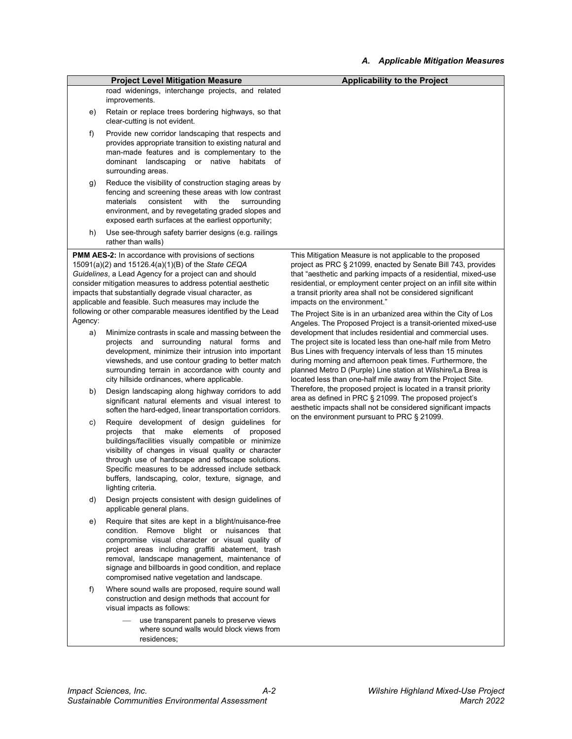|                           |                                                                                                                                                                                                                                                                                                                                                                                                                                                                                                                                                                                                                                                                                                                                                                                                                                                                                                                                                                                                                                                                                                                                                                                                                                                                                                                                                   | Applicable Milligation Measures                                                                                                                                                                                                                                                                                                                                                                                                                                                                                                                                                                                                                                                                                                                                                                                                                                                                                                                                                                                                                                                                                                               |
|---------------------------|---------------------------------------------------------------------------------------------------------------------------------------------------------------------------------------------------------------------------------------------------------------------------------------------------------------------------------------------------------------------------------------------------------------------------------------------------------------------------------------------------------------------------------------------------------------------------------------------------------------------------------------------------------------------------------------------------------------------------------------------------------------------------------------------------------------------------------------------------------------------------------------------------------------------------------------------------------------------------------------------------------------------------------------------------------------------------------------------------------------------------------------------------------------------------------------------------------------------------------------------------------------------------------------------------------------------------------------------------|-----------------------------------------------------------------------------------------------------------------------------------------------------------------------------------------------------------------------------------------------------------------------------------------------------------------------------------------------------------------------------------------------------------------------------------------------------------------------------------------------------------------------------------------------------------------------------------------------------------------------------------------------------------------------------------------------------------------------------------------------------------------------------------------------------------------------------------------------------------------------------------------------------------------------------------------------------------------------------------------------------------------------------------------------------------------------------------------------------------------------------------------------|
|                           | <b>Project Level Mitigation Measure</b>                                                                                                                                                                                                                                                                                                                                                                                                                                                                                                                                                                                                                                                                                                                                                                                                                                                                                                                                                                                                                                                                                                                                                                                                                                                                                                           | <b>Applicability to the Project</b>                                                                                                                                                                                                                                                                                                                                                                                                                                                                                                                                                                                                                                                                                                                                                                                                                                                                                                                                                                                                                                                                                                           |
|                           | road widenings, interchange projects, and related<br>improvements.                                                                                                                                                                                                                                                                                                                                                                                                                                                                                                                                                                                                                                                                                                                                                                                                                                                                                                                                                                                                                                                                                                                                                                                                                                                                                |                                                                                                                                                                                                                                                                                                                                                                                                                                                                                                                                                                                                                                                                                                                                                                                                                                                                                                                                                                                                                                                                                                                                               |
| e)                        | Retain or replace trees bordering highways, so that<br>clear-cutting is not evident.                                                                                                                                                                                                                                                                                                                                                                                                                                                                                                                                                                                                                                                                                                                                                                                                                                                                                                                                                                                                                                                                                                                                                                                                                                                              |                                                                                                                                                                                                                                                                                                                                                                                                                                                                                                                                                                                                                                                                                                                                                                                                                                                                                                                                                                                                                                                                                                                                               |
| f)                        | Provide new corridor landscaping that respects and<br>provides appropriate transition to existing natural and<br>man-made features and is complementary to the<br>dominant landscaping or native habitats<br>of<br>surrounding areas.                                                                                                                                                                                                                                                                                                                                                                                                                                                                                                                                                                                                                                                                                                                                                                                                                                                                                                                                                                                                                                                                                                             |                                                                                                                                                                                                                                                                                                                                                                                                                                                                                                                                                                                                                                                                                                                                                                                                                                                                                                                                                                                                                                                                                                                                               |
| g)                        | Reduce the visibility of construction staging areas by<br>fencing and screening these areas with low contrast<br>materials<br>consistent<br>with<br>the<br>surrounding<br>environment, and by revegetating graded slopes and<br>exposed earth surfaces at the earliest opportunity;                                                                                                                                                                                                                                                                                                                                                                                                                                                                                                                                                                                                                                                                                                                                                                                                                                                                                                                                                                                                                                                               |                                                                                                                                                                                                                                                                                                                                                                                                                                                                                                                                                                                                                                                                                                                                                                                                                                                                                                                                                                                                                                                                                                                                               |
| h)                        | Use see-through safety barrier designs (e.g. railings<br>rather than walls)                                                                                                                                                                                                                                                                                                                                                                                                                                                                                                                                                                                                                                                                                                                                                                                                                                                                                                                                                                                                                                                                                                                                                                                                                                                                       |                                                                                                                                                                                                                                                                                                                                                                                                                                                                                                                                                                                                                                                                                                                                                                                                                                                                                                                                                                                                                                                                                                                                               |
| Agency:<br>a)<br>b)<br>C) | <b>PMM AES-2:</b> In accordance with provisions of sections<br>15091(a)(2) and 15126.4(a)(1)(B) of the State CEQA<br>Guidelines, a Lead Agency for a project can and should<br>consider mitigation measures to address potential aesthetic<br>impacts that substantially degrade visual character, as<br>applicable and feasible. Such measures may include the<br>following or other comparable measures identified by the Lead<br>Minimize contrasts in scale and massing between the<br>projects and surrounding natural forms<br>and<br>development, minimize their intrusion into important<br>viewsheds, and use contour grading to better match<br>surrounding terrain in accordance with county and<br>city hillside ordinances, where applicable.<br>Design landscaping along highway corridors to add<br>significant natural elements and visual interest to<br>soften the hard-edged, linear transportation corridors.<br>Require development of design guidelines for<br>that<br>make<br>elements<br>projects<br>of<br>proposed<br>buildings/facilities visually compatible or minimize<br>visibility of changes in visual quality or character<br>through use of hardscape and softscape solutions.<br>Specific measures to be addressed include setback<br>buffers, landscaping, color, texture, signage, and<br>lighting criteria. | This Mitigation Measure is not applicable to the proposed<br>project as PRC § 21099, enacted by Senate Bill 743, provides<br>that "aesthetic and parking impacts of a residential, mixed-use<br>residential, or employment center project on an infill site within<br>a transit priority area shall not be considered significant<br>impacts on the environment."<br>The Project Site is in an urbanized area within the City of Los<br>Angeles. The Proposed Project is a transit-oriented mixed-use<br>development that includes residential and commercial uses.<br>The project site is located less than one-half mile from Metro<br>Bus Lines with frequency intervals of less than 15 minutes<br>during morning and afternoon peak times. Furthermore, the<br>planned Metro D (Purple) Line station at Wilshire/La Brea is<br>located less than one-half mile away from the Project Site.<br>Therefore, the proposed project is located in a transit priority<br>area as defined in PRC § 21099. The proposed project's<br>aesthetic impacts shall not be considered significant impacts<br>on the environment pursuant to PRC § 21099. |
| d)                        | Design projects consistent with design guidelines of<br>applicable general plans.                                                                                                                                                                                                                                                                                                                                                                                                                                                                                                                                                                                                                                                                                                                                                                                                                                                                                                                                                                                                                                                                                                                                                                                                                                                                 |                                                                                                                                                                                                                                                                                                                                                                                                                                                                                                                                                                                                                                                                                                                                                                                                                                                                                                                                                                                                                                                                                                                                               |
| e)                        | Require that sites are kept in a blight/nuisance-free<br>condition. Remove blight or nuisances that<br>compromise visual character or visual quality of<br>project areas including graffiti abatement, trash<br>removal, landscape management, maintenance of<br>signage and billboards in good condition, and replace<br>compromised native vegetation and landscape.                                                                                                                                                                                                                                                                                                                                                                                                                                                                                                                                                                                                                                                                                                                                                                                                                                                                                                                                                                            |                                                                                                                                                                                                                                                                                                                                                                                                                                                                                                                                                                                                                                                                                                                                                                                                                                                                                                                                                                                                                                                                                                                                               |
| f)                        | Where sound walls are proposed, require sound wall<br>construction and design methods that account for<br>visual impacts as follows:                                                                                                                                                                                                                                                                                                                                                                                                                                                                                                                                                                                                                                                                                                                                                                                                                                                                                                                                                                                                                                                                                                                                                                                                              |                                                                                                                                                                                                                                                                                                                                                                                                                                                                                                                                                                                                                                                                                                                                                                                                                                                                                                                                                                                                                                                                                                                                               |
|                           | use transparent panels to preserve views<br>where sound walls would block views from<br>residences;                                                                                                                                                                                                                                                                                                                                                                                                                                                                                                                                                                                                                                                                                                                                                                                                                                                                                                                                                                                                                                                                                                                                                                                                                                               |                                                                                                                                                                                                                                                                                                                                                                                                                                                                                                                                                                                                                                                                                                                                                                                                                                                                                                                                                                                                                                                                                                                                               |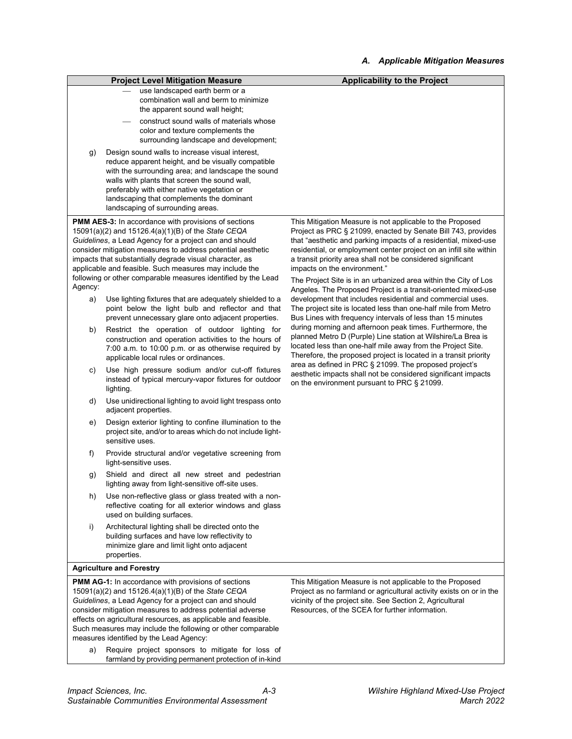|         |                                                                                                                                                                                                                                                                                                                                                                                                                                  | Applicable mitigation measures                                                                                                                                                                                                                                                                                                                                                                                                                                                                        |
|---------|----------------------------------------------------------------------------------------------------------------------------------------------------------------------------------------------------------------------------------------------------------------------------------------------------------------------------------------------------------------------------------------------------------------------------------|-------------------------------------------------------------------------------------------------------------------------------------------------------------------------------------------------------------------------------------------------------------------------------------------------------------------------------------------------------------------------------------------------------------------------------------------------------------------------------------------------------|
|         | <b>Project Level Mitigation Measure</b>                                                                                                                                                                                                                                                                                                                                                                                          | <b>Applicability to the Project</b>                                                                                                                                                                                                                                                                                                                                                                                                                                                                   |
|         | use landscaped earth berm or a<br>combination wall and berm to minimize<br>the apparent sound wall height;                                                                                                                                                                                                                                                                                                                       |                                                                                                                                                                                                                                                                                                                                                                                                                                                                                                       |
|         | construct sound walls of materials whose<br>color and texture complements the<br>surrounding landscape and development;                                                                                                                                                                                                                                                                                                          |                                                                                                                                                                                                                                                                                                                                                                                                                                                                                                       |
| g)      | Design sound walls to increase visual interest,<br>reduce apparent height, and be visually compatible<br>with the surrounding area; and landscape the sound<br>walls with plants that screen the sound wall,<br>preferably with either native vegetation or<br>landscaping that complements the dominant<br>landscaping of surrounding areas.                                                                                    |                                                                                                                                                                                                                                                                                                                                                                                                                                                                                                       |
| Agency: | <b>PMM AES-3:</b> In accordance with provisions of sections<br>15091(a)(2) and 15126.4(a)(1)(B) of the State CEQA<br>Guidelines, a Lead Agency for a project can and should<br>consider mitigation measures to address potential aesthetic<br>impacts that substantially degrade visual character, as<br>applicable and feasible. Such measures may include the<br>following or other comparable measures identified by the Lead | This Mitigation Measure is not applicable to the Proposed<br>Project as PRC § 21099, enacted by Senate Bill 743, provides<br>that "aesthetic and parking impacts of a residential, mixed-use<br>residential, or employment center project on an infill site within<br>a transit priority area shall not be considered significant<br>impacts on the environment."<br>The Project Site is in an urbanized area within the City of Los<br>Angeles. The Proposed Project is a transit-oriented mixed-use |
| a)      | Use lighting fixtures that are adequately shielded to a<br>point below the light bulb and reflector and that<br>prevent unnecessary glare onto adjacent properties.                                                                                                                                                                                                                                                              | development that includes residential and commercial uses.<br>The project site is located less than one-half mile from Metro<br>Bus Lines with frequency intervals of less than 15 minutes                                                                                                                                                                                                                                                                                                            |
| b)      | Restrict the operation of outdoor lighting for<br>construction and operation activities to the hours of<br>7:00 a.m. to 10:00 p.m. or as otherwise required by<br>applicable local rules or ordinances.                                                                                                                                                                                                                          | during morning and afternoon peak times. Furthermore, the<br>planned Metro D (Purple) Line station at Wilshire/La Brea is<br>located less than one-half mile away from the Project Site.<br>Therefore, the proposed project is located in a transit priority                                                                                                                                                                                                                                          |
| C)      | Use high pressure sodium and/or cut-off fixtures<br>instead of typical mercury-vapor fixtures for outdoor<br>lighting.                                                                                                                                                                                                                                                                                                           | area as defined in PRC § 21099. The proposed project's<br>aesthetic impacts shall not be considered significant impacts<br>on the environment pursuant to PRC § 21099.                                                                                                                                                                                                                                                                                                                                |
| d)      | Use unidirectional lighting to avoid light trespass onto<br>adjacent properties.                                                                                                                                                                                                                                                                                                                                                 |                                                                                                                                                                                                                                                                                                                                                                                                                                                                                                       |
| e)      | Design exterior lighting to confine illumination to the<br>project site, and/or to areas which do not include light-<br>sensitive uses.                                                                                                                                                                                                                                                                                          |                                                                                                                                                                                                                                                                                                                                                                                                                                                                                                       |
| f)      | Provide structural and/or vegetative screening from<br>light-sensitive uses.                                                                                                                                                                                                                                                                                                                                                     |                                                                                                                                                                                                                                                                                                                                                                                                                                                                                                       |
| g)      | Shield and direct all new street and pedestrian<br>lighting away from light-sensitive off-site uses.                                                                                                                                                                                                                                                                                                                             |                                                                                                                                                                                                                                                                                                                                                                                                                                                                                                       |
| h)      | Use non-reflective glass or glass treated with a non-<br>reflective coating for all exterior windows and glass<br>used on building surfaces.                                                                                                                                                                                                                                                                                     |                                                                                                                                                                                                                                                                                                                                                                                                                                                                                                       |
| i)      | Architectural lighting shall be directed onto the<br>building surfaces and have low reflectivity to<br>minimize glare and limit light onto adjacent<br>properties.                                                                                                                                                                                                                                                               |                                                                                                                                                                                                                                                                                                                                                                                                                                                                                                       |
|         | <b>Agriculture and Forestry</b>                                                                                                                                                                                                                                                                                                                                                                                                  |                                                                                                                                                                                                                                                                                                                                                                                                                                                                                                       |
|         | PMM AG-1: In accordance with provisions of sections<br>15091(a)(2) and 15126.4(a)(1)(B) of the State CEQA<br>Guidelines, a Lead Agency for a project can and should<br>consider mitigation measures to address potential adverse<br>effects on agricultural resources, as applicable and feasible.<br>Such measures may include the following or other comparable<br>measures identified by the Lead Agency:                     | This Mitigation Measure is not applicable to the Proposed<br>Project as no farmland or agricultural activity exists on or in the<br>vicinity of the project site. See Section 2, Agricultural<br>Resources, of the SCEA for further information.                                                                                                                                                                                                                                                      |
| a)      | Require project sponsors to mitigate for loss of<br>farmland by providing permanent protection of in-kind                                                                                                                                                                                                                                                                                                                        |                                                                                                                                                                                                                                                                                                                                                                                                                                                                                                       |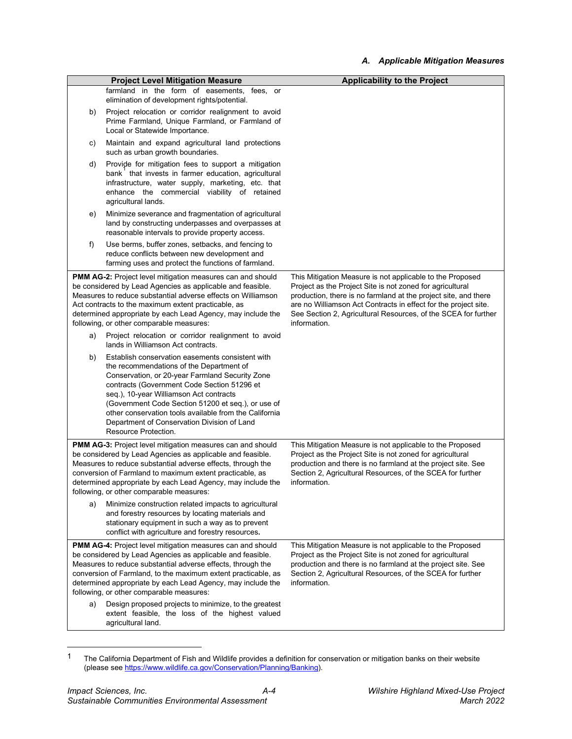|    | <b>Project Level Mitigation Measure</b>                                                                                                                                                                                                                                                                                                                                                                                             | <b>Applicability to the Project</b>                                                                                                                                                                                                                                                                                                            |
|----|-------------------------------------------------------------------------------------------------------------------------------------------------------------------------------------------------------------------------------------------------------------------------------------------------------------------------------------------------------------------------------------------------------------------------------------|------------------------------------------------------------------------------------------------------------------------------------------------------------------------------------------------------------------------------------------------------------------------------------------------------------------------------------------------|
|    | farmland in the form of easements, fees, or                                                                                                                                                                                                                                                                                                                                                                                         |                                                                                                                                                                                                                                                                                                                                                |
|    | elimination of development rights/potential.                                                                                                                                                                                                                                                                                                                                                                                        |                                                                                                                                                                                                                                                                                                                                                |
| b) | Project relocation or corridor realignment to avoid<br>Prime Farmland, Unique Farmland, or Farmland of<br>Local or Statewide Importance.                                                                                                                                                                                                                                                                                            |                                                                                                                                                                                                                                                                                                                                                |
| c) | Maintain and expand agricultural land protections<br>such as urban growth boundaries.                                                                                                                                                                                                                                                                                                                                               |                                                                                                                                                                                                                                                                                                                                                |
| d) | Provide for mitigation fees to support a mitigation<br>bank that invests in farmer education, agricultural<br>infrastructure, water supply, marketing, etc. that<br>enhance the commercial viability of retained<br>agricultural lands.                                                                                                                                                                                             |                                                                                                                                                                                                                                                                                                                                                |
| e) | Minimize severance and fragmentation of agricultural<br>land by constructing underpasses and overpasses at<br>reasonable intervals to provide property access.                                                                                                                                                                                                                                                                      |                                                                                                                                                                                                                                                                                                                                                |
| f) | Use berms, buffer zones, setbacks, and fencing to<br>reduce conflicts between new development and<br>farming uses and protect the functions of farmland.                                                                                                                                                                                                                                                                            |                                                                                                                                                                                                                                                                                                                                                |
|    | <b>PMM AG-2:</b> Project level mitigation measures can and should<br>be considered by Lead Agencies as applicable and feasible.<br>Measures to reduce substantial adverse effects on Williamson<br>Act contracts to the maximum extent practicable, as<br>determined appropriate by each Lead Agency, may include the<br>following, or other comparable measures:                                                                   | This Mitigation Measure is not applicable to the Proposed<br>Project as the Project Site is not zoned for agricultural<br>production, there is no farmland at the project site, and there<br>are no Williamson Act Contracts in effect for the project site.<br>See Section 2, Agricultural Resources, of the SCEA for further<br>information. |
| a) | Project relocation or corridor realignment to avoid<br>lands in Williamson Act contracts.                                                                                                                                                                                                                                                                                                                                           |                                                                                                                                                                                                                                                                                                                                                |
| b) | Establish conservation easements consistent with<br>the recommendations of the Department of<br>Conservation, or 20-year Farmland Security Zone<br>contracts (Government Code Section 51296 et<br>seq.), 10-year Williamson Act contracts<br>(Government Code Section 51200 et seq.), or use of<br>other conservation tools available from the California<br>Department of Conservation Division of Land<br>Resource Protection.    |                                                                                                                                                                                                                                                                                                                                                |
|    | <b>PMM AG-3: Project level mitigation measures can and should</b><br>be considered by Lead Agencies as applicable and feasible.<br>Measures to reduce substantial adverse effects, through the<br>conversion of Farmland to maximum extent practicable, as<br>determined appropriate by each Lead Agency, may include the<br>following, or other comparable measures:                                                               | This Mitigation Measure is not applicable to the Proposed<br>Project as the Project Site is not zoned for agricultural<br>production and there is no farmland at the project site. See<br>Section 2, Agricultural Resources, of the SCEA for further<br>information.                                                                           |
| a) | Minimize construction related impacts to agricultural<br>and forestry resources by locating materials and<br>stationary equipment in such a way as to prevent<br>conflict with agriculture and forestry resources.                                                                                                                                                                                                                  |                                                                                                                                                                                                                                                                                                                                                |
| a) | <b>PMM AG-4:</b> Project level mitigation measures can and should<br>be considered by Lead Agencies as applicable and feasible.<br>Measures to reduce substantial adverse effects, through the<br>conversion of Farmland, to the maximum extent practicable, as<br>determined appropriate by each Lead Agency, may include the<br>following, or other comparable measures:<br>Design proposed projects to minimize, to the greatest | This Mitigation Measure is not applicable to the Proposed<br>Project as the Project Site is not zoned for agricultural<br>production and there is no farmland at the project site. See<br>Section 2, Agricultural Resources, of the SCEA for further<br>information.                                                                           |
|    | extent feasible, the loss of the highest valued<br>agricultural land.                                                                                                                                                                                                                                                                                                                                                               |                                                                                                                                                                                                                                                                                                                                                |

<span id="page-4-0"></span> $1$  The California Department of Fish and Wildlife provides a definition for conservation or mitigation banks on their website (please se[e https://www.wildlife.ca.gov/Conservation/Planning/Banking\)](https://www.wildlife.ca.gov/Conservation/Planning/Banking).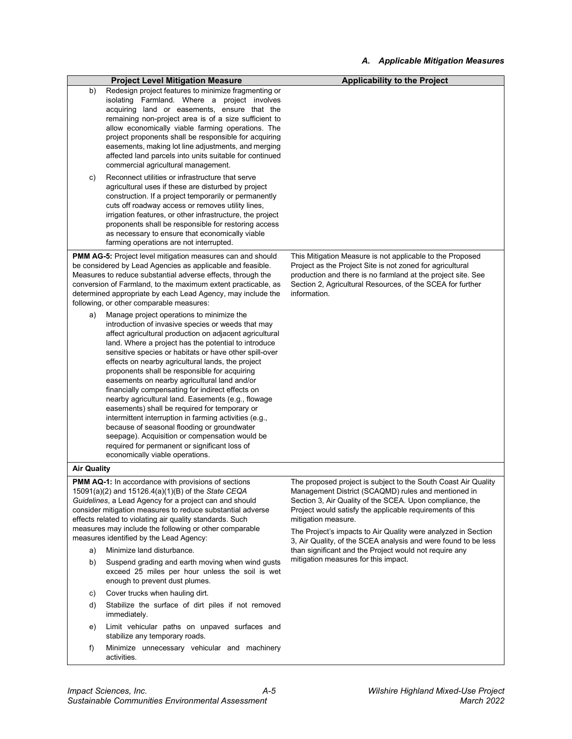#### *A. Applicable Mitigation Measures*

|                    | <b>Project Level Mitigation Measure</b>                                                                                                                                                                                                                                                                                                                                                                                                                                                                                                                                                                                                                                                                                                                                                                                                      | <b>Applicability to the Project</b>                                                                                                                                                                                                                                                                                                                                                                      |
|--------------------|----------------------------------------------------------------------------------------------------------------------------------------------------------------------------------------------------------------------------------------------------------------------------------------------------------------------------------------------------------------------------------------------------------------------------------------------------------------------------------------------------------------------------------------------------------------------------------------------------------------------------------------------------------------------------------------------------------------------------------------------------------------------------------------------------------------------------------------------|----------------------------------------------------------------------------------------------------------------------------------------------------------------------------------------------------------------------------------------------------------------------------------------------------------------------------------------------------------------------------------------------------------|
| b)<br>C)           | Redesign project features to minimize fragmenting or<br>isolating Farmland. Where a project involves<br>acquiring land or easements, ensure that the<br>remaining non-project area is of a size sufficient to<br>allow economically viable farming operations. The<br>project proponents shall be responsible for acquiring<br>easements, making lot line adjustments, and merging<br>affected land parcels into units suitable for continued<br>commercial agricultural management.<br>Reconnect utilities or infrastructure that serve                                                                                                                                                                                                                                                                                                     |                                                                                                                                                                                                                                                                                                                                                                                                          |
|                    | agricultural uses if these are disturbed by project<br>construction. If a project temporarily or permanently<br>cuts off roadway access or removes utility lines,<br>irrigation features, or other infrastructure, the project<br>proponents shall be responsible for restoring access<br>as necessary to ensure that economically viable<br>farming operations are not interrupted.                                                                                                                                                                                                                                                                                                                                                                                                                                                         |                                                                                                                                                                                                                                                                                                                                                                                                          |
|                    | <b>PMM AG-5:</b> Project level mitigation measures can and should<br>be considered by Lead Agencies as applicable and feasible.<br>Measures to reduce substantial adverse effects, through the<br>conversion of Farmland, to the maximum extent practicable, as<br>determined appropriate by each Lead Agency, may include the<br>following, or other comparable measures:                                                                                                                                                                                                                                                                                                                                                                                                                                                                   | This Mitigation Measure is not applicable to the Proposed<br>Project as the Project Site is not zoned for agricultural<br>production and there is no farmland at the project site. See<br>Section 2, Agricultural Resources, of the SCEA for further<br>information.                                                                                                                                     |
| a)                 | Manage project operations to minimize the<br>introduction of invasive species or weeds that may<br>affect agricultural production on adjacent agricultural<br>land. Where a project has the potential to introduce<br>sensitive species or habitats or have other spill-over<br>effects on nearby agricultural lands, the project<br>proponents shall be responsible for acquiring<br>easements on nearby agricultural land and/or<br>financially compensating for indirect effects on<br>nearby agricultural land. Easements (e.g., flowage<br>easements) shall be required for temporary or<br>intermittent interruption in farming activities (e.g.,<br>because of seasonal flooding or groundwater<br>seepage). Acquisition or compensation would be<br>required for permanent or significant loss of<br>economically viable operations. |                                                                                                                                                                                                                                                                                                                                                                                                          |
| <b>Air Quality</b> |                                                                                                                                                                                                                                                                                                                                                                                                                                                                                                                                                                                                                                                                                                                                                                                                                                              |                                                                                                                                                                                                                                                                                                                                                                                                          |
|                    | PMM AQ-1: In accordance with provisions of sections<br>15091(a)(2) and 15126.4(a)(1)(B) of the State CEQA<br>Guidelines, a Lead Agency for a project can and should<br>consider mitigation measures to reduce substantial adverse<br>effects related to violating air quality standards. Such<br>measures may include the following or other comparable<br>measures identified by the Lead Agency:                                                                                                                                                                                                                                                                                                                                                                                                                                           | The proposed project is subject to the South Coast Air Quality<br>Management District (SCAQMD) rules and mentioned in<br>Section 3, Air Quality of the SCEA. Upon compliance, the<br>Project would satisfy the applicable requirements of this<br>mitigation measure.<br>The Project's impacts to Air Quality were analyzed in Section<br>3, Air Quality, of the SCEA analysis and were found to be less |
| a)                 | Minimize land disturbance.                                                                                                                                                                                                                                                                                                                                                                                                                                                                                                                                                                                                                                                                                                                                                                                                                   | than significant and the Project would not require any                                                                                                                                                                                                                                                                                                                                                   |
| b)                 | Suspend grading and earth moving when wind gusts<br>exceed 25 miles per hour unless the soil is wet<br>enough to prevent dust plumes.                                                                                                                                                                                                                                                                                                                                                                                                                                                                                                                                                                                                                                                                                                        | mitigation measures for this impact.                                                                                                                                                                                                                                                                                                                                                                     |
| C)                 | Cover trucks when hauling dirt.                                                                                                                                                                                                                                                                                                                                                                                                                                                                                                                                                                                                                                                                                                                                                                                                              |                                                                                                                                                                                                                                                                                                                                                                                                          |
| d)                 | Stabilize the surface of dirt piles if not removed<br>immediately.                                                                                                                                                                                                                                                                                                                                                                                                                                                                                                                                                                                                                                                                                                                                                                           |                                                                                                                                                                                                                                                                                                                                                                                                          |
| e)                 | Limit vehicular paths on unpaved surfaces and<br>stabilize any temporary roads.                                                                                                                                                                                                                                                                                                                                                                                                                                                                                                                                                                                                                                                                                                                                                              |                                                                                                                                                                                                                                                                                                                                                                                                          |
| f)                 | Minimize unnecessary vehicular and machinery<br>activities.                                                                                                                                                                                                                                                                                                                                                                                                                                                                                                                                                                                                                                                                                                                                                                                  |                                                                                                                                                                                                                                                                                                                                                                                                          |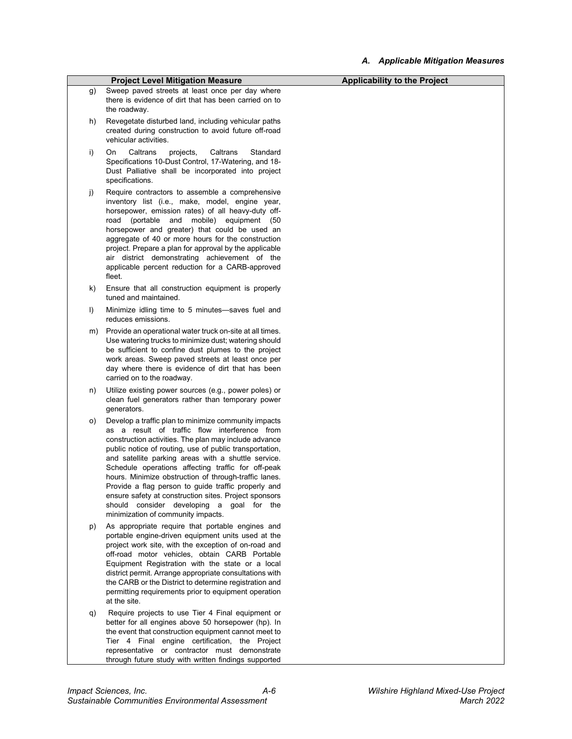|    | <b>Project Level Mitigation Measure</b>                                                                                                                                                                                                                                                                                                                                                                                                                                                                                                                                                            | <b>Applicability to the Project</b> |
|----|----------------------------------------------------------------------------------------------------------------------------------------------------------------------------------------------------------------------------------------------------------------------------------------------------------------------------------------------------------------------------------------------------------------------------------------------------------------------------------------------------------------------------------------------------------------------------------------------------|-------------------------------------|
| g) | Sweep paved streets at least once per day where<br>there is evidence of dirt that has been carried on to<br>the roadway.                                                                                                                                                                                                                                                                                                                                                                                                                                                                           |                                     |
| h) | Revegetate disturbed land, including vehicular paths<br>created during construction to avoid future off-road<br>vehicular activities.                                                                                                                                                                                                                                                                                                                                                                                                                                                              |                                     |
| i) | On.<br>Caltrans<br>projects,<br>Caltrans<br>Standard<br>Specifications 10-Dust Control, 17-Watering, and 18-<br>Dust Palliative shall be incorporated into project<br>specifications.                                                                                                                                                                                                                                                                                                                                                                                                              |                                     |
| j) | Require contractors to assemble a comprehensive<br>inventory list (i.e., make, model, engine year,<br>horsepower, emission rates) of all heavy-duty off-<br>road (portable<br>and mobile) equipment (50<br>horsepower and greater) that could be used an<br>aggregate of 40 or more hours for the construction<br>project. Prepare a plan for approval by the applicable<br>air district demonstrating achievement of the<br>applicable percent reduction for a CARB-approved<br>fleet.                                                                                                            |                                     |
| k) | Ensure that all construction equipment is properly<br>tuned and maintained.                                                                                                                                                                                                                                                                                                                                                                                                                                                                                                                        |                                     |
| I) | Minimize idling time to 5 minutes-saves fuel and<br>reduces emissions.                                                                                                                                                                                                                                                                                                                                                                                                                                                                                                                             |                                     |
| m) | Provide an operational water truck on-site at all times.<br>Use watering trucks to minimize dust; watering should<br>be sufficient to confine dust plumes to the project<br>work areas. Sweep paved streets at least once per<br>day where there is evidence of dirt that has been<br>carried on to the roadway.                                                                                                                                                                                                                                                                                   |                                     |
| n) | Utilize existing power sources (e.g., power poles) or<br>clean fuel generators rather than temporary power<br>generators.                                                                                                                                                                                                                                                                                                                                                                                                                                                                          |                                     |
| o) | Develop a traffic plan to minimize community impacts<br>as a result of traffic flow interference from<br>construction activities. The plan may include advance<br>public notice of routing, use of public transportation,<br>and satellite parking areas with a shuttle service.<br>Schedule operations affecting traffic for off-peak<br>hours. Minimize obstruction of through-traffic lanes.<br>Provide a flag person to guide traffic properly and<br>ensure safety at construction sites. Project sponsors<br>should consider developing a goal for the<br>minimization of community impacts. |                                     |
| p) | As appropriate require that portable engines and<br>portable engine-driven equipment units used at the<br>project work site, with the exception of on-road and<br>off-road motor vehicles, obtain CARB Portable<br>Equipment Registration with the state or a local<br>district permit. Arrange appropriate consultations with<br>the CARB or the District to determine registration and<br>permitting requirements prior to equipment operation<br>at the site.                                                                                                                                   |                                     |
| q) | Require projects to use Tier 4 Final equipment or<br>better for all engines above 50 horsepower (hp). In<br>the event that construction equipment cannot meet to<br>Tier 4 Final engine certification, the Project<br>representative or contractor must demonstrate<br>through future study with written findings supported                                                                                                                                                                                                                                                                        |                                     |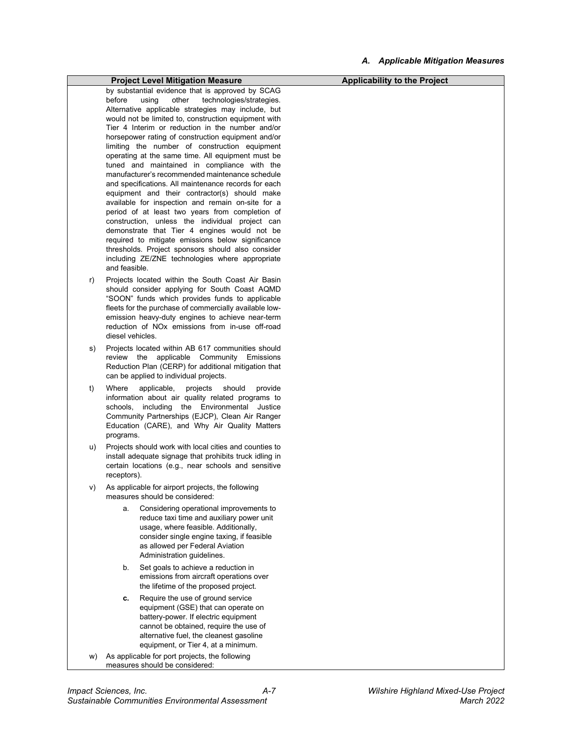#### *A. Applicable Mitigation Measures*

|    | <b>Project Level Mitigation Measure</b>                                                                                                                                                                                                                                                                                                                                                                                                                                                                                                                                                                                                                                                                                                                                                                                                                                                                                                                                                                                                    | <b>Applicability to the Project</b> |
|----|--------------------------------------------------------------------------------------------------------------------------------------------------------------------------------------------------------------------------------------------------------------------------------------------------------------------------------------------------------------------------------------------------------------------------------------------------------------------------------------------------------------------------------------------------------------------------------------------------------------------------------------------------------------------------------------------------------------------------------------------------------------------------------------------------------------------------------------------------------------------------------------------------------------------------------------------------------------------------------------------------------------------------------------------|-------------------------------------|
|    | by substantial evidence that is approved by SCAG<br>before<br>other<br>technologies/strategies.<br>using<br>Alternative applicable strategies may include, but<br>would not be limited to, construction equipment with<br>Tier 4 Interim or reduction in the number and/or<br>horsepower rating of construction equipment and/or<br>limiting the number of construction equipment<br>operating at the same time. All equipment must be<br>tuned and maintained in compliance with the<br>manufacturer's recommended maintenance schedule<br>and specifications. All maintenance records for each<br>equipment and their contractor(s) should make<br>available for inspection and remain on-site for a<br>period of at least two years from completion of<br>construction, unless the individual project can<br>demonstrate that Tier 4 engines would not be<br>required to mitigate emissions below significance<br>thresholds. Project sponsors should also consider<br>including ZE/ZNE technologies where appropriate<br>and feasible. |                                     |
| r) | Projects located within the South Coast Air Basin<br>should consider applying for South Coast AQMD<br>"SOON" funds which provides funds to applicable<br>fleets for the purchase of commercially available low-<br>emission heavy-duty engines to achieve near-term<br>reduction of NO <sub>x</sub> emissions from in-use off-road<br>diesel vehicles.                                                                                                                                                                                                                                                                                                                                                                                                                                                                                                                                                                                                                                                                                     |                                     |
| s) | Projects located within AB 617 communities should<br>review the applicable Community Emissions<br>Reduction Plan (CERP) for additional mitigation that<br>can be applied to individual projects.                                                                                                                                                                                                                                                                                                                                                                                                                                                                                                                                                                                                                                                                                                                                                                                                                                           |                                     |
| t) | Where<br>applicable,<br>projects<br>should<br>provide<br>information about air quality related programs to<br>schools, including the Environmental Justice<br>Community Partnerships (EJCP), Clean Air Ranger<br>Education (CARE), and Why Air Quality Matters<br>programs.                                                                                                                                                                                                                                                                                                                                                                                                                                                                                                                                                                                                                                                                                                                                                                |                                     |
| u) | Projects should work with local cities and counties to<br>install adequate signage that prohibits truck idling in<br>certain locations (e.g., near schools and sensitive<br>receptors).                                                                                                                                                                                                                                                                                                                                                                                                                                                                                                                                                                                                                                                                                                                                                                                                                                                    |                                     |
| V) | As applicable for airport projects, the following<br>measures should be considered:                                                                                                                                                                                                                                                                                                                                                                                                                                                                                                                                                                                                                                                                                                                                                                                                                                                                                                                                                        |                                     |
|    | Considering operational improvements to<br>a.<br>reduce taxi time and auxiliary power unit<br>usage, where feasible. Additionally,<br>consider single engine taxing, if feasible<br>as allowed per Federal Aviation<br>Administration guidelines.                                                                                                                                                                                                                                                                                                                                                                                                                                                                                                                                                                                                                                                                                                                                                                                          |                                     |
|    | b.<br>Set goals to achieve a reduction in<br>emissions from aircraft operations over<br>the lifetime of the proposed project.                                                                                                                                                                                                                                                                                                                                                                                                                                                                                                                                                                                                                                                                                                                                                                                                                                                                                                              |                                     |
|    | Require the use of ground service<br>с.<br>equipment (GSE) that can operate on<br>battery-power. If electric equipment<br>cannot be obtained, require the use of<br>alternative fuel, the cleanest gasoline<br>equipment, or Tier 4, at a minimum.                                                                                                                                                                                                                                                                                                                                                                                                                                                                                                                                                                                                                                                                                                                                                                                         |                                     |
| W) | As applicable for port projects, the following<br>measures should be considered:                                                                                                                                                                                                                                                                                                                                                                                                                                                                                                                                                                                                                                                                                                                                                                                                                                                                                                                                                           |                                     |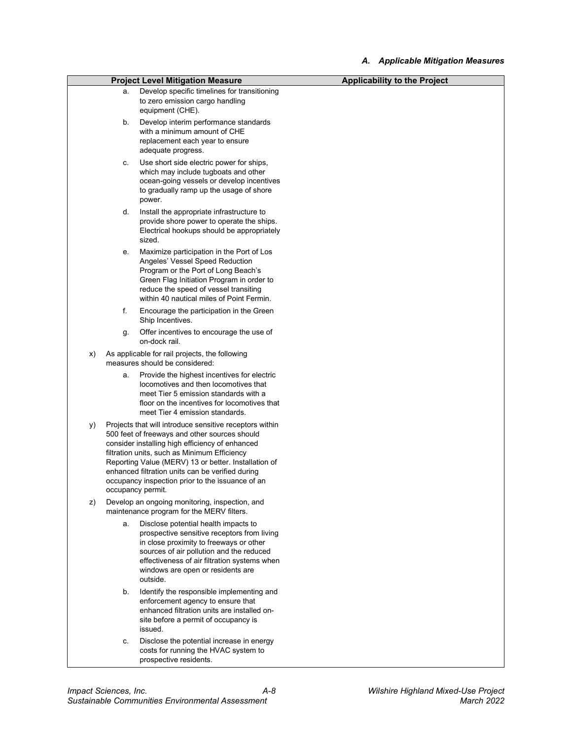|    |    | <b>Project Level Mitigation Measure</b>                                                                                                                                                                                                                                                                                                                                                          | <b>Applicability to the Project</b> |
|----|----|--------------------------------------------------------------------------------------------------------------------------------------------------------------------------------------------------------------------------------------------------------------------------------------------------------------------------------------------------------------------------------------------------|-------------------------------------|
|    | a. | Develop specific timelines for transitioning<br>to zero emission cargo handling<br>equipment (CHE).                                                                                                                                                                                                                                                                                              |                                     |
|    | b. | Develop interim performance standards<br>with a minimum amount of CHE<br>replacement each year to ensure<br>adequate progress.                                                                                                                                                                                                                                                                   |                                     |
|    | c. | Use short side electric power for ships,<br>which may include tugboats and other<br>ocean-going vessels or develop incentives<br>to gradually ramp up the usage of shore<br>power.                                                                                                                                                                                                               |                                     |
|    | d. | Install the appropriate infrastructure to<br>provide shore power to operate the ships.<br>Electrical hookups should be appropriately<br>sized.                                                                                                                                                                                                                                                   |                                     |
|    | е. | Maximize participation in the Port of Los<br>Angeles' Vessel Speed Reduction<br>Program or the Port of Long Beach's<br>Green Flag Initiation Program in order to<br>reduce the speed of vessel transiting<br>within 40 nautical miles of Point Fermin.                                                                                                                                           |                                     |
|    | f. | Encourage the participation in the Green<br>Ship Incentives.                                                                                                                                                                                                                                                                                                                                     |                                     |
|    | g. | Offer incentives to encourage the use of<br>on-dock rail.                                                                                                                                                                                                                                                                                                                                        |                                     |
| X) |    | As applicable for rail projects, the following<br>measures should be considered:                                                                                                                                                                                                                                                                                                                 |                                     |
|    | a. | Provide the highest incentives for electric<br>locomotives and then locomotives that<br>meet Tier 5 emission standards with a<br>floor on the incentives for locomotives that<br>meet Tier 4 emission standards.                                                                                                                                                                                 |                                     |
| y) |    | Projects that will introduce sensitive receptors within<br>500 feet of freeways and other sources should<br>consider installing high efficiency of enhanced<br>filtration units, such as Minimum Efficiency<br>Reporting Value (MERV) 13 or better. Installation of<br>enhanced filtration units can be verified during<br>occupancy inspection prior to the issuance of an<br>occupancy permit. |                                     |
| Z) |    | Develop an ongoing monitoring, inspection, and<br>maintenance program for the MERV filters.                                                                                                                                                                                                                                                                                                      |                                     |
|    | a. | Disclose potential health impacts to<br>prospective sensitive receptors from living<br>in close proximity to freeways or other<br>sources of air pollution and the reduced<br>effectiveness of air filtration systems when<br>windows are open or residents are<br>outside.                                                                                                                      |                                     |
|    | b. | Identify the responsible implementing and<br>enforcement agency to ensure that<br>enhanced filtration units are installed on-<br>site before a permit of occupancy is<br>issued.                                                                                                                                                                                                                 |                                     |
|    | c. | Disclose the potential increase in energy<br>costs for running the HVAC system to<br>prospective residents.                                                                                                                                                                                                                                                                                      |                                     |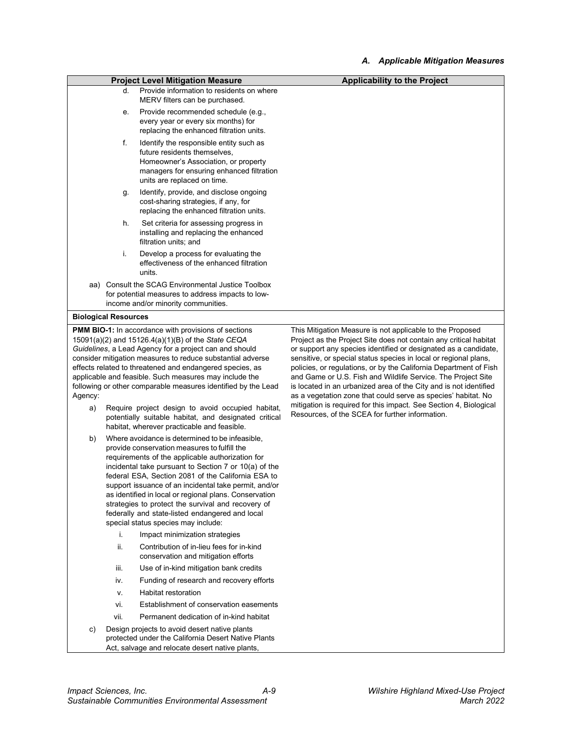|               |                             | <b>Project Level Mitigation Measure</b>                                                                                                                                                                                                                                                                                                                                                                                                                                                                                               | <b>Applicability to the Project</b>                                                                                                                                                                                                                                                                                                                                                                                                                                                                                                                                                                                   |
|---------------|-----------------------------|---------------------------------------------------------------------------------------------------------------------------------------------------------------------------------------------------------------------------------------------------------------------------------------------------------------------------------------------------------------------------------------------------------------------------------------------------------------------------------------------------------------------------------------|-----------------------------------------------------------------------------------------------------------------------------------------------------------------------------------------------------------------------------------------------------------------------------------------------------------------------------------------------------------------------------------------------------------------------------------------------------------------------------------------------------------------------------------------------------------------------------------------------------------------------|
|               | d.                          | Provide information to residents on where<br>MERV filters can be purchased.                                                                                                                                                                                                                                                                                                                                                                                                                                                           |                                                                                                                                                                                                                                                                                                                                                                                                                                                                                                                                                                                                                       |
|               | е.                          | Provide recommended schedule (e.g.,<br>every year or every six months) for<br>replacing the enhanced filtration units.                                                                                                                                                                                                                                                                                                                                                                                                                |                                                                                                                                                                                                                                                                                                                                                                                                                                                                                                                                                                                                                       |
|               | f.                          | Identify the responsible entity such as<br>future residents themselves,<br>Homeowner's Association, or property<br>managers for ensuring enhanced filtration<br>units are replaced on time.                                                                                                                                                                                                                                                                                                                                           |                                                                                                                                                                                                                                                                                                                                                                                                                                                                                                                                                                                                                       |
|               | g.                          | Identify, provide, and disclose ongoing<br>cost-sharing strategies, if any, for<br>replacing the enhanced filtration units.                                                                                                                                                                                                                                                                                                                                                                                                           |                                                                                                                                                                                                                                                                                                                                                                                                                                                                                                                                                                                                                       |
|               | h.                          | Set criteria for assessing progress in<br>installing and replacing the enhanced<br>filtration units; and                                                                                                                                                                                                                                                                                                                                                                                                                              |                                                                                                                                                                                                                                                                                                                                                                                                                                                                                                                                                                                                                       |
|               | i.                          | Develop a process for evaluating the<br>effectiveness of the enhanced filtration<br>units.                                                                                                                                                                                                                                                                                                                                                                                                                                            |                                                                                                                                                                                                                                                                                                                                                                                                                                                                                                                                                                                                                       |
|               |                             | aa) Consult the SCAG Environmental Justice Toolbox<br>for potential measures to address impacts to low-<br>income and/or minority communities.                                                                                                                                                                                                                                                                                                                                                                                        |                                                                                                                                                                                                                                                                                                                                                                                                                                                                                                                                                                                                                       |
|               | <b>Biological Resources</b> |                                                                                                                                                                                                                                                                                                                                                                                                                                                                                                                                       |                                                                                                                                                                                                                                                                                                                                                                                                                                                                                                                                                                                                                       |
| Agency:<br>a) |                             | <b>PMM BIO-1:</b> In accordance with provisions of sections<br>15091(a)(2) and 15126.4(a)(1)(B) of the State CEQA<br>Guidelines, a Lead Agency for a project can and should<br>consider mitigation measures to reduce substantial adverse<br>effects related to threatened and endangered species, as<br>applicable and feasible. Such measures may include the<br>following or other comparable measures identified by the Lead<br>Require project design to avoid occupied habitat,                                                 | This Mitigation Measure is not applicable to the Proposed<br>Project as the Project Site does not contain any critical habitat<br>or support any species identified or designated as a candidate,<br>sensitive, or special status species in local or regional plans,<br>policies, or regulations, or by the California Department of Fish<br>and Game or U.S. Fish and Wildlife Service. The Project Site<br>is located in an urbanized area of the City and is not identified<br>as a vegetation zone that could serve as species' habitat. No<br>mitigation is required for this impact. See Section 4, Biological |
|               |                             | potentially suitable habitat, and designated critical<br>habitat, wherever practicable and feasible.                                                                                                                                                                                                                                                                                                                                                                                                                                  | Resources, of the SCEA for further information.                                                                                                                                                                                                                                                                                                                                                                                                                                                                                                                                                                       |
| b)            |                             | Where avoidance is determined to be infeasible,<br>provide conservation measures to fulfill the<br>requirements of the applicable authorization for<br>incidental take pursuant to Section 7 or 10(a) of the<br>federal ESA, Section 2081 of the California ESA to<br>support issuance of an incidental take permit, and/or<br>as identified in local or regional plans. Conservation<br>strategies to protect the survival and recovery of<br>federally and state-listed endangered and local<br>special status species may include: |                                                                                                                                                                                                                                                                                                                                                                                                                                                                                                                                                                                                                       |
|               | i.                          | Impact minimization strategies                                                                                                                                                                                                                                                                                                                                                                                                                                                                                                        |                                                                                                                                                                                                                                                                                                                                                                                                                                                                                                                                                                                                                       |
|               | ii.                         | Contribution of in-lieu fees for in-kind<br>conservation and mitigation efforts                                                                                                                                                                                                                                                                                                                                                                                                                                                       |                                                                                                                                                                                                                                                                                                                                                                                                                                                                                                                                                                                                                       |
|               | iii.                        | Use of in-kind mitigation bank credits                                                                                                                                                                                                                                                                                                                                                                                                                                                                                                |                                                                                                                                                                                                                                                                                                                                                                                                                                                                                                                                                                                                                       |
|               | iv.                         | Funding of research and recovery efforts                                                                                                                                                                                                                                                                                                                                                                                                                                                                                              |                                                                                                                                                                                                                                                                                                                                                                                                                                                                                                                                                                                                                       |
|               | ν.                          | Habitat restoration                                                                                                                                                                                                                                                                                                                                                                                                                                                                                                                   |                                                                                                                                                                                                                                                                                                                                                                                                                                                                                                                                                                                                                       |
|               | vi.                         | Establishment of conservation easements                                                                                                                                                                                                                                                                                                                                                                                                                                                                                               |                                                                                                                                                                                                                                                                                                                                                                                                                                                                                                                                                                                                                       |
|               | vii.                        | Permanent dedication of in-kind habitat                                                                                                                                                                                                                                                                                                                                                                                                                                                                                               |                                                                                                                                                                                                                                                                                                                                                                                                                                                                                                                                                                                                                       |
| c)            |                             | Design projects to avoid desert native plants                                                                                                                                                                                                                                                                                                                                                                                                                                                                                         |                                                                                                                                                                                                                                                                                                                                                                                                                                                                                                                                                                                                                       |

protected under the California Desert Native Plants Act, salvage and relocate desert native plants,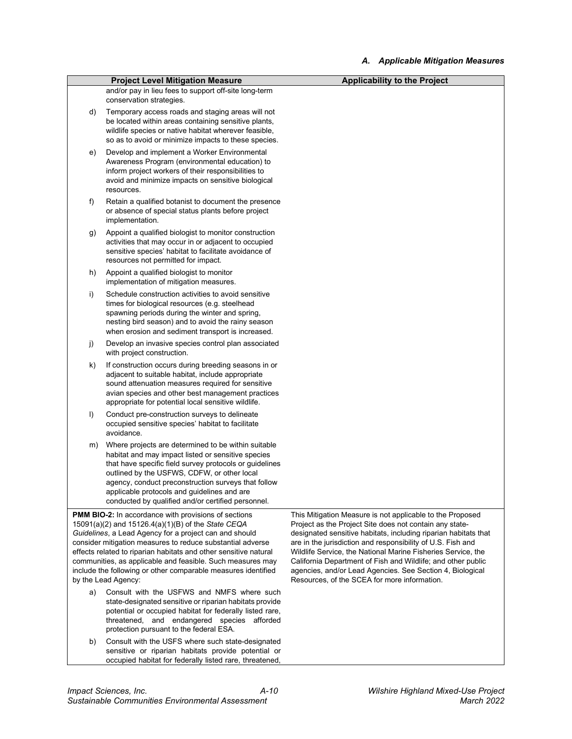|    | <b>Project Level Mitigation Measure</b>                                                                                                                                                                                                                                                                                                                                         | <b>Applicability to the Project</b>                                                                                            |
|----|---------------------------------------------------------------------------------------------------------------------------------------------------------------------------------------------------------------------------------------------------------------------------------------------------------------------------------------------------------------------------------|--------------------------------------------------------------------------------------------------------------------------------|
|    | and/or pay in lieu fees to support off-site long-term<br>conservation strategies.                                                                                                                                                                                                                                                                                               |                                                                                                                                |
| d) | Temporary access roads and staging areas will not<br>be located within areas containing sensitive plants,<br>wildlife species or native habitat wherever feasible,<br>so as to avoid or minimize impacts to these species.                                                                                                                                                      |                                                                                                                                |
| e) | Develop and implement a Worker Environmental<br>Awareness Program (environmental education) to<br>inform project workers of their responsibilities to<br>avoid and minimize impacts on sensitive biological<br>resources.                                                                                                                                                       |                                                                                                                                |
| f) | Retain a qualified botanist to document the presence<br>or absence of special status plants before project<br>implementation.                                                                                                                                                                                                                                                   |                                                                                                                                |
| g) | Appoint a qualified biologist to monitor construction<br>activities that may occur in or adjacent to occupied<br>sensitive species' habitat to facilitate avoidance of<br>resources not permitted for impact.                                                                                                                                                                   |                                                                                                                                |
| h) | Appoint a qualified biologist to monitor<br>implementation of mitigation measures.                                                                                                                                                                                                                                                                                              |                                                                                                                                |
| i) | Schedule construction activities to avoid sensitive<br>times for biological resources (e.g. steelhead<br>spawning periods during the winter and spring,<br>nesting bird season) and to avoid the rainy season<br>when erosion and sediment transport is increased.                                                                                                              |                                                                                                                                |
| j) | Develop an invasive species control plan associated<br>with project construction.                                                                                                                                                                                                                                                                                               |                                                                                                                                |
| k) | If construction occurs during breeding seasons in or<br>adjacent to suitable habitat, include appropriate<br>sound attenuation measures required for sensitive<br>avian species and other best management practices<br>appropriate for potential local sensitive wildlife.                                                                                                      |                                                                                                                                |
| I) | Conduct pre-construction surveys to delineate<br>occupied sensitive species' habitat to facilitate<br>avoidance.                                                                                                                                                                                                                                                                |                                                                                                                                |
| m) | Where projects are determined to be within suitable<br>habitat and may impact listed or sensitive species<br>that have specific field survey protocols or guidelines<br>outlined by the USFWS, CDFW, or other local<br>agency, conduct preconstruction surveys that follow<br>applicable protocols and guidelines and are<br>conducted by qualified and/or certified personnel. |                                                                                                                                |
|    | <b>PMM BIO-2:</b> In accordance with provisions of sections                                                                                                                                                                                                                                                                                                                     | This Mitigation Measure is not applicable to the Proposed                                                                      |
|    | 15091(a)(2) and 15126.4(a)(1)(B) of the State CEQA                                                                                                                                                                                                                                                                                                                              | Project as the Project Site does not contain any state-                                                                        |
|    | Guidelines, a Lead Agency for a project can and should<br>consider mitigation measures to reduce substantial adverse                                                                                                                                                                                                                                                            | designated sensitive habitats, including riparian habitats that<br>are in the jurisdiction and responsibility of U.S. Fish and |
|    | effects related to riparian habitats and other sensitive natural                                                                                                                                                                                                                                                                                                                | Wildlife Service, the National Marine Fisheries Service, the                                                                   |
|    | communities, as applicable and feasible. Such measures may                                                                                                                                                                                                                                                                                                                      | California Department of Fish and Wildlife; and other public                                                                   |
|    | include the following or other comparable measures identified<br>by the Lead Agency:                                                                                                                                                                                                                                                                                            | agencies, and/or Lead Agencies. See Section 4, Biological<br>Resources, of the SCEA for more information.                      |
| a) | Consult with the USFWS and NMFS where such                                                                                                                                                                                                                                                                                                                                      |                                                                                                                                |
|    | state-designated sensitive or riparian habitats provide<br>potential or occupied habitat for federally listed rare,<br>threatened, and endangered species afforded<br>protection pursuant to the federal ESA.                                                                                                                                                                   |                                                                                                                                |
| b) | Consult with the USFS where such state-designated                                                                                                                                                                                                                                                                                                                               |                                                                                                                                |

sensitive or riparian habitats provide potential or occupied habitat for federally listed rare, threatened,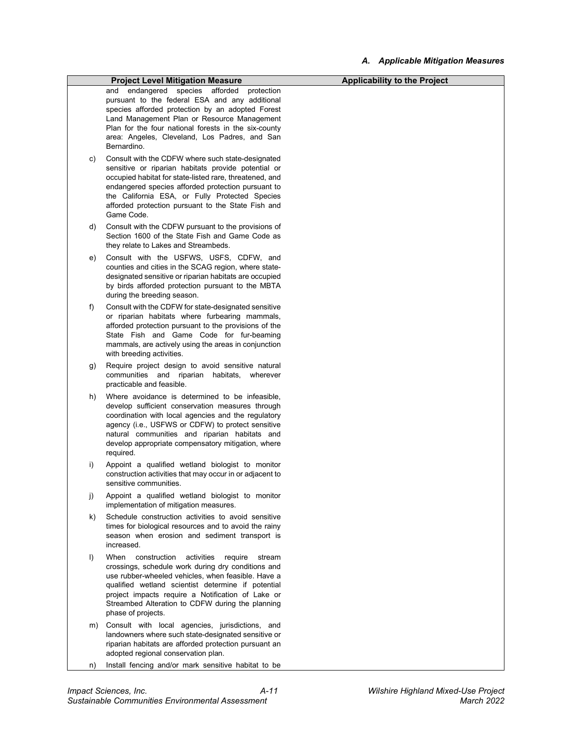|    | <b>Project Level Mitigation Measure</b>                                                                  | <b>Applicability to the Project</b> |
|----|----------------------------------------------------------------------------------------------------------|-------------------------------------|
|    | and endangered species afforded<br>protection                                                            |                                     |
|    | pursuant to the federal ESA and any additional                                                           |                                     |
|    | species afforded protection by an adopted Forest                                                         |                                     |
|    | Land Management Plan or Resource Management                                                              |                                     |
|    | Plan for the four national forests in the six-county<br>area: Angeles, Cleveland, Los Padres, and San    |                                     |
|    | Bernardino.                                                                                              |                                     |
| C) | Consult with the CDFW where such state-designated                                                        |                                     |
|    | sensitive or riparian habitats provide potential or                                                      |                                     |
|    | occupied habitat for state-listed rare, threatened, and                                                  |                                     |
|    | endangered species afforded protection pursuant to                                                       |                                     |
|    | the California ESA, or Fully Protected Species                                                           |                                     |
|    | afforded protection pursuant to the State Fish and<br>Game Code.                                         |                                     |
|    |                                                                                                          |                                     |
| d) | Consult with the CDFW pursuant to the provisions of<br>Section 1600 of the State Fish and Game Code as   |                                     |
|    | they relate to Lakes and Streambeds.                                                                     |                                     |
| e) | Consult with the USFWS, USFS, CDFW, and                                                                  |                                     |
|    | counties and cities in the SCAG region, where state-                                                     |                                     |
|    | designated sensitive or riparian habitats are occupied                                                   |                                     |
|    | by birds afforded protection pursuant to the MBTA                                                        |                                     |
|    | during the breeding season.                                                                              |                                     |
| f) | Consult with the CDFW for state-designated sensitive                                                     |                                     |
|    | or riparian habitats where furbearing mammals,                                                           |                                     |
|    | afforded protection pursuant to the provisions of the<br>State Fish and Game Code for fur-beaming        |                                     |
|    | mammals, are actively using the areas in conjunction                                                     |                                     |
|    | with breeding activities.                                                                                |                                     |
| g) | Require project design to avoid sensitive natural                                                        |                                     |
|    | communities and riparian habitats, wherever                                                              |                                     |
|    | practicable and feasible.                                                                                |                                     |
| h) | Where avoidance is determined to be infeasible,                                                          |                                     |
|    | develop sufficient conservation measures through<br>coordination with local agencies and the regulatory  |                                     |
|    | agency (i.e., USFWS or CDFW) to protect sensitive                                                        |                                     |
|    | natural communities and riparian habitats and                                                            |                                     |
|    | develop appropriate compensatory mitigation, where                                                       |                                     |
|    | required.                                                                                                |                                     |
| i) | Appoint a qualified wetland biologist to monitor                                                         |                                     |
|    | construction activities that may occur in or adjacent to<br>sensitive communities.                       |                                     |
|    |                                                                                                          |                                     |
| j) | Appoint a qualified wetland biologist to monitor<br>implementation of mitigation measures.               |                                     |
| k) | Schedule construction activities to avoid sensitive                                                      |                                     |
|    | times for biological resources and to avoid the rainy                                                    |                                     |
|    | season when erosion and sediment transport is                                                            |                                     |
|    | increased.                                                                                               |                                     |
| I) | When<br>activities<br>construction<br>require<br>stream                                                  |                                     |
|    | crossings, schedule work during dry conditions and                                                       |                                     |
|    | use rubber-wheeled vehicles, when feasible. Have a<br>qualified wetland scientist determine if potential |                                     |
|    | project impacts require a Notification of Lake or                                                        |                                     |
|    | Streambed Alteration to CDFW during the planning                                                         |                                     |
|    | phase of projects.                                                                                       |                                     |
| m) | Consult with local agencies, jurisdictions, and                                                          |                                     |
|    | landowners where such state-designated sensitive or                                                      |                                     |
|    | riparian habitats are afforded protection pursuant an<br>adopted regional conservation plan.             |                                     |
|    |                                                                                                          |                                     |
| n) | Install fencing and/or mark sensitive habitat to be                                                      |                                     |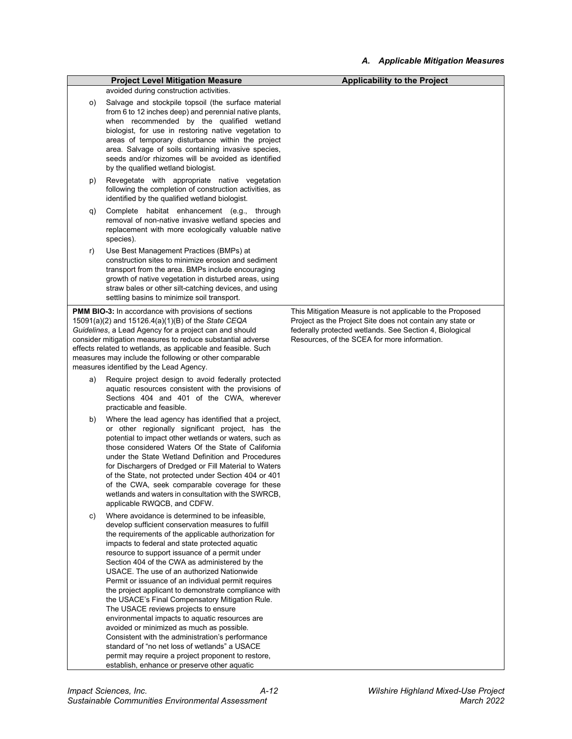|    | <b>Project Level Mitigation Measure</b>                                                                                                                                                                                                                                                                                                                                                                                                                                                                                                                                                                                                                                                                                                                                                                                                                                               | <b>Applicability to the Project</b>                                                                                                                                                                                               |
|----|---------------------------------------------------------------------------------------------------------------------------------------------------------------------------------------------------------------------------------------------------------------------------------------------------------------------------------------------------------------------------------------------------------------------------------------------------------------------------------------------------------------------------------------------------------------------------------------------------------------------------------------------------------------------------------------------------------------------------------------------------------------------------------------------------------------------------------------------------------------------------------------|-----------------------------------------------------------------------------------------------------------------------------------------------------------------------------------------------------------------------------------|
|    | avoided during construction activities.                                                                                                                                                                                                                                                                                                                                                                                                                                                                                                                                                                                                                                                                                                                                                                                                                                               |                                                                                                                                                                                                                                   |
| O) | Salvage and stockpile topsoil (the surface material<br>from 6 to 12 inches deep) and perennial native plants,<br>when recommended by the qualified wetland<br>biologist, for use in restoring native vegetation to<br>areas of temporary disturbance within the project<br>area. Salvage of soils containing invasive species,<br>seeds and/or rhizomes will be avoided as identified<br>by the qualified wetland biologist.                                                                                                                                                                                                                                                                                                                                                                                                                                                          |                                                                                                                                                                                                                                   |
| p) | Revegetate with appropriate native vegetation<br>following the completion of construction activities, as<br>identified by the qualified wetland biologist.                                                                                                                                                                                                                                                                                                                                                                                                                                                                                                                                                                                                                                                                                                                            |                                                                                                                                                                                                                                   |
| q) | Complete habitat enhancement (e.g.,<br>through<br>removal of non-native invasive wetland species and<br>replacement with more ecologically valuable native<br>species).                                                                                                                                                                                                                                                                                                                                                                                                                                                                                                                                                                                                                                                                                                               |                                                                                                                                                                                                                                   |
| r) | Use Best Management Practices (BMPs) at<br>construction sites to minimize erosion and sediment<br>transport from the area. BMPs include encouraging<br>growth of native vegetation in disturbed areas, using<br>straw bales or other silt-catching devices, and using<br>settling basins to minimize soil transport.                                                                                                                                                                                                                                                                                                                                                                                                                                                                                                                                                                  |                                                                                                                                                                                                                                   |
|    | <b>PMM BIO-3:</b> In accordance with provisions of sections<br>15091(a)(2) and 15126.4(a)(1)(B) of the State CEQA<br>Guidelines, a Lead Agency for a project can and should<br>consider mitigation measures to reduce substantial adverse<br>effects related to wetlands, as applicable and feasible. Such<br>measures may include the following or other comparable<br>measures identified by the Lead Agency.                                                                                                                                                                                                                                                                                                                                                                                                                                                                       | This Mitigation Measure is not applicable to the Proposed<br>Project as the Project Site does not contain any state or<br>federally protected wetlands. See Section 4, Biological<br>Resources, of the SCEA for more information. |
| a) | Require project design to avoid federally protected<br>aquatic resources consistent with the provisions of<br>Sections 404 and 401 of the CWA, wherever<br>practicable and feasible.                                                                                                                                                                                                                                                                                                                                                                                                                                                                                                                                                                                                                                                                                                  |                                                                                                                                                                                                                                   |
| b) | Where the lead agency has identified that a project,<br>or other regionally significant project, has the<br>potential to impact other wetlands or waters, such as<br>those considered Waters Of the State of California<br>under the State Wetland Definition and Procedures<br>for Dischargers of Dredged or Fill Material to Waters<br>of the State, not protected under Section 404 or 401<br>of the CWA, seek comparable coverage for these<br>wetlands and waters in consultation with the SWRCB,<br>applicable RWQCB, and CDFW.                                                                                                                                                                                                                                                                                                                                                 |                                                                                                                                                                                                                                   |
| C) | Where avoidance is determined to be infeasible,<br>develop sufficient conservation measures to fulfill<br>the requirements of the applicable authorization for<br>impacts to federal and state protected aquatic<br>resource to support issuance of a permit under<br>Section 404 of the CWA as administered by the<br>USACE. The use of an authorized Nationwide<br>Permit or issuance of an individual permit requires<br>the project applicant to demonstrate compliance with<br>the USACE's Final Compensatory Mitigation Rule.<br>The USACE reviews projects to ensure<br>environmental impacts to aquatic resources are<br>avoided or minimized as much as possible.<br>Consistent with the administration's performance<br>standard of "no net loss of wetlands" a USACE<br>permit may require a project proponent to restore,<br>establish, enhance or preserve other aquatic |                                                                                                                                                                                                                                   |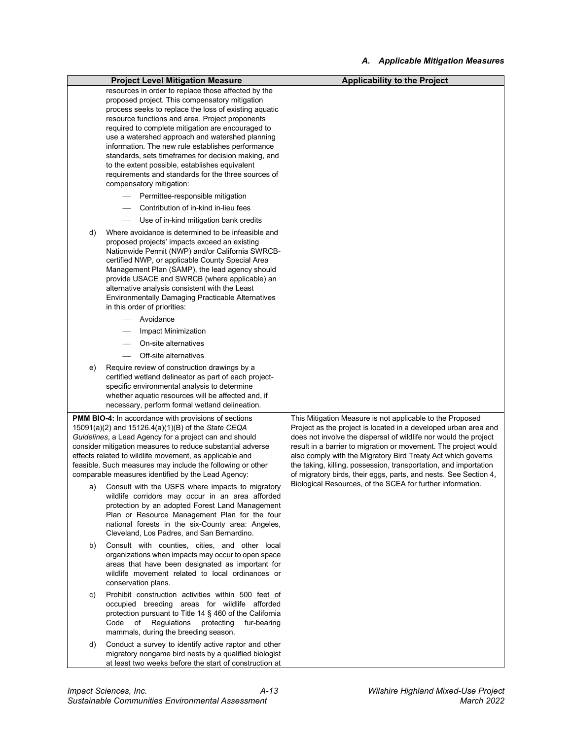|    | <b>Project Level Mitigation Measure</b>                                                                           | <b>Applicability to the Project</b>                                                                                          |
|----|-------------------------------------------------------------------------------------------------------------------|------------------------------------------------------------------------------------------------------------------------------|
|    | resources in order to replace those affected by the                                                               |                                                                                                                              |
|    | proposed project. This compensatory mitigation                                                                    |                                                                                                                              |
|    | process seeks to replace the loss of existing aquatic                                                             |                                                                                                                              |
|    | resource functions and area. Project proponents                                                                   |                                                                                                                              |
|    | required to complete mitigation are encouraged to<br>use a watershed approach and watershed planning              |                                                                                                                              |
|    | information. The new rule establishes performance                                                                 |                                                                                                                              |
|    | standards, sets timeframes for decision making, and                                                               |                                                                                                                              |
|    | to the extent possible, establishes equivalent                                                                    |                                                                                                                              |
|    | requirements and standards for the three sources of                                                               |                                                                                                                              |
|    | compensatory mitigation:                                                                                          |                                                                                                                              |
|    | Permittee-responsible mitigation                                                                                  |                                                                                                                              |
|    | Contribution of in-kind in-lieu fees                                                                              |                                                                                                                              |
|    | Use of in-kind mitigation bank credits                                                                            |                                                                                                                              |
| d) | Where avoidance is determined to be infeasible and                                                                |                                                                                                                              |
|    | proposed projects' impacts exceed an existing                                                                     |                                                                                                                              |
|    | Nationwide Permit (NWP) and/or California SWRCB-                                                                  |                                                                                                                              |
|    | certified NWP, or applicable County Special Area                                                                  |                                                                                                                              |
|    | Management Plan (SAMP), the lead agency should                                                                    |                                                                                                                              |
|    | provide USACE and SWRCB (where applicable) an                                                                     |                                                                                                                              |
|    | alternative analysis consistent with the Least                                                                    |                                                                                                                              |
|    | Environmentally Damaging Practicable Alternatives                                                                 |                                                                                                                              |
|    | in this order of priorities:                                                                                      |                                                                                                                              |
|    | Avoidance                                                                                                         |                                                                                                                              |
|    | Impact Minimization                                                                                               |                                                                                                                              |
|    | On-site alternatives                                                                                              |                                                                                                                              |
|    | Off-site alternatives                                                                                             |                                                                                                                              |
| e) | Require review of construction drawings by a                                                                      |                                                                                                                              |
|    | certified wetland delineator as part of each project-                                                             |                                                                                                                              |
|    | specific environmental analysis to determine                                                                      |                                                                                                                              |
|    | whether aquatic resources will be affected and, if<br>necessary, perform formal wetland delineation.              |                                                                                                                              |
|    |                                                                                                                   |                                                                                                                              |
|    | <b>PMM BIO-4:</b> In accordance with provisions of sections<br>15091(a)(2) and 15126.4(a)(1)(B) of the State CEQA | This Mitigation Measure is not applicable to the Proposed<br>Project as the project is located in a developed urban area and |
|    | Guidelines, a Lead Agency for a project can and should                                                            | does not involve the dispersal of wildlife nor would the project                                                             |
|    | consider mitigation measures to reduce substantial adverse                                                        | result in a barrier to migration or movement. The project would                                                              |
|    | effects related to wildlife movement, as applicable and                                                           | also comply with the Migratory Bird Treaty Act which governs                                                                 |
|    | feasible. Such measures may include the following or other                                                        | the taking, killing, possession, transportation, and importation                                                             |
|    | comparable measures identified by the Lead Agency:                                                                | of migratory birds, their eggs, parts, and nests. See Section 4,                                                             |
| a) | Consult with the USFS where impacts to migratory                                                                  | Biological Resources, of the SCEA for further information.                                                                   |
|    | wildlife corridors may occur in an area afforded                                                                  |                                                                                                                              |
|    | protection by an adopted Forest Land Management                                                                   |                                                                                                                              |
|    | Plan or Resource Management Plan for the four                                                                     |                                                                                                                              |
|    | national forests in the six-County area: Angeles,                                                                 |                                                                                                                              |
|    | Cleveland, Los Padres, and San Bernardino.                                                                        |                                                                                                                              |
| b) | Consult with counties, cities, and other local                                                                    |                                                                                                                              |
|    | organizations when impacts may occur to open space                                                                |                                                                                                                              |
|    | areas that have been designated as important for                                                                  |                                                                                                                              |
|    | wildlife movement related to local ordinances or                                                                  |                                                                                                                              |
|    | conservation plans.                                                                                               |                                                                                                                              |
| C) | Prohibit construction activities within 500 feet of                                                               |                                                                                                                              |
|    | occupied breeding areas for wildlife afforded                                                                     |                                                                                                                              |
|    | protection pursuant to Title 14 § 460 of the California<br>Code of Regulations protecting<br>fur-bearing          |                                                                                                                              |
|    | mammals, during the breeding season.                                                                              |                                                                                                                              |
| d) | Conduct a survey to identify active raptor and other                                                              |                                                                                                                              |
|    | migratory nongame bird nests by a qualified biologist                                                             |                                                                                                                              |

at least two weeks before the start of construction at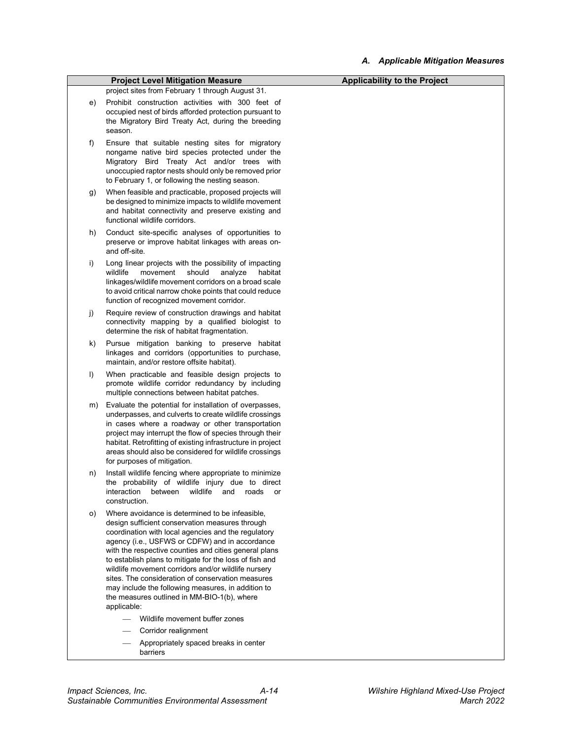|         | <b>Project Level Mitigation Measure</b>                                                                                                                                                                                                                                                                                                                                                                                                                                                                                                                         | <b>Applicability to the Project</b> |
|---------|-----------------------------------------------------------------------------------------------------------------------------------------------------------------------------------------------------------------------------------------------------------------------------------------------------------------------------------------------------------------------------------------------------------------------------------------------------------------------------------------------------------------------------------------------------------------|-------------------------------------|
|         | project sites from February 1 through August 31.                                                                                                                                                                                                                                                                                                                                                                                                                                                                                                                |                                     |
| e)      | Prohibit construction activities with 300 feet of<br>occupied nest of birds afforded protection pursuant to<br>the Migratory Bird Treaty Act, during the breeding<br>season.                                                                                                                                                                                                                                                                                                                                                                                    |                                     |
| f)      | Ensure that suitable nesting sites for migratory<br>nongame native bird species protected under the<br>Migratory Bird Treaty Act and/or trees with<br>unoccupied raptor nests should only be removed prior<br>to February 1, or following the nesting season.                                                                                                                                                                                                                                                                                                   |                                     |
| g)      | When feasible and practicable, proposed projects will<br>be designed to minimize impacts to wildlife movement<br>and habitat connectivity and preserve existing and<br>functional wildlife corridors.                                                                                                                                                                                                                                                                                                                                                           |                                     |
| h)      | Conduct site-specific analyses of opportunities to<br>preserve or improve habitat linkages with areas on-<br>and off-site.                                                                                                                                                                                                                                                                                                                                                                                                                                      |                                     |
| i)      | Long linear projects with the possibility of impacting<br>wildlife<br>movement<br>should<br>analyze<br>habitat<br>linkages/wildlife movement corridors on a broad scale<br>to avoid critical narrow choke points that could reduce<br>function of recognized movement corridor.                                                                                                                                                                                                                                                                                 |                                     |
| j)      | Require review of construction drawings and habitat<br>connectivity mapping by a qualified biologist to<br>determine the risk of habitat fragmentation.                                                                                                                                                                                                                                                                                                                                                                                                         |                                     |
| k)      | Pursue mitigation banking to preserve habitat<br>linkages and corridors (opportunities to purchase,<br>maintain, and/or restore offsite habitat).                                                                                                                                                                                                                                                                                                                                                                                                               |                                     |
| $\vert$ | When practicable and feasible design projects to<br>promote wildlife corridor redundancy by including<br>multiple connections between habitat patches.                                                                                                                                                                                                                                                                                                                                                                                                          |                                     |
| m)      | Evaluate the potential for installation of overpasses,<br>underpasses, and culverts to create wildlife crossings<br>in cases where a roadway or other transportation<br>project may interrupt the flow of species through their<br>habitat. Retrofitting of existing infrastructure in project<br>areas should also be considered for wildlife crossings<br>for purposes of mitigation.                                                                                                                                                                         |                                     |
| n)      | Install wildlife fencing where appropriate to minimize<br>the probability of wildlife injury due to direct<br>interaction<br>between<br>wildlife<br>roads<br>and<br>or<br>construction.                                                                                                                                                                                                                                                                                                                                                                         |                                     |
| O)      | Where avoidance is determined to be infeasible,<br>design sufficient conservation measures through<br>coordination with local agencies and the regulatory<br>agency (i.e., USFWS or CDFW) and in accordance<br>with the respective counties and cities general plans<br>to establish plans to mitigate for the loss of fish and<br>wildlife movement corridors and/or wildlife nursery<br>sites. The consideration of conservation measures<br>may include the following measures, in addition to<br>the measures outlined in MM-BIO-1(b), where<br>applicable: |                                     |
|         | Wildlife movement buffer zones                                                                                                                                                                                                                                                                                                                                                                                                                                                                                                                                  |                                     |
|         | Corridor realignment                                                                                                                                                                                                                                                                                                                                                                                                                                                                                                                                            |                                     |
|         | Appropriately spaced breaks in center<br>barriers                                                                                                                                                                                                                                                                                                                                                                                                                                                                                                               |                                     |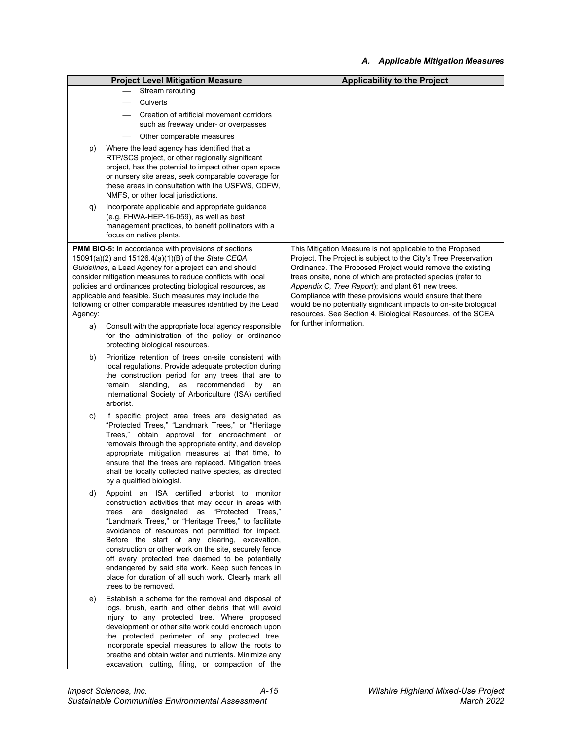|         |                                                                                                                                                                                                                                                                                                                                                                                                                                                                                                                                                                      | A. Applicable Mitigation Measures                                                                                                                                                                                                                                                                                                                                                                                                                                                                             |
|---------|----------------------------------------------------------------------------------------------------------------------------------------------------------------------------------------------------------------------------------------------------------------------------------------------------------------------------------------------------------------------------------------------------------------------------------------------------------------------------------------------------------------------------------------------------------------------|---------------------------------------------------------------------------------------------------------------------------------------------------------------------------------------------------------------------------------------------------------------------------------------------------------------------------------------------------------------------------------------------------------------------------------------------------------------------------------------------------------------|
|         | <b>Project Level Mitigation Measure</b>                                                                                                                                                                                                                                                                                                                                                                                                                                                                                                                              | <b>Applicability to the Project</b>                                                                                                                                                                                                                                                                                                                                                                                                                                                                           |
|         | Stream rerouting                                                                                                                                                                                                                                                                                                                                                                                                                                                                                                                                                     |                                                                                                                                                                                                                                                                                                                                                                                                                                                                                                               |
|         | Culverts<br>$\overline{\phantom{m}}$                                                                                                                                                                                                                                                                                                                                                                                                                                                                                                                                 |                                                                                                                                                                                                                                                                                                                                                                                                                                                                                                               |
|         | Creation of artificial movement corridors<br>such as freeway under- or overpasses                                                                                                                                                                                                                                                                                                                                                                                                                                                                                    |                                                                                                                                                                                                                                                                                                                                                                                                                                                                                                               |
|         | Other comparable measures                                                                                                                                                                                                                                                                                                                                                                                                                                                                                                                                            |                                                                                                                                                                                                                                                                                                                                                                                                                                                                                                               |
| p)      | Where the lead agency has identified that a<br>RTP/SCS project, or other regionally significant<br>project, has the potential to impact other open space<br>or nursery site areas, seek comparable coverage for<br>these areas in consultation with the USFWS, CDFW,<br>NMFS, or other local jurisdictions.                                                                                                                                                                                                                                                          |                                                                                                                                                                                                                                                                                                                                                                                                                                                                                                               |
| q)      | Incorporate applicable and appropriate guidance<br>(e.g. FHWA-HEP-16-059), as well as best<br>management practices, to benefit pollinators with a<br>focus on native plants.                                                                                                                                                                                                                                                                                                                                                                                         |                                                                                                                                                                                                                                                                                                                                                                                                                                                                                                               |
| Agency: | <b>PMM BIO-5:</b> In accordance with provisions of sections<br>15091(a)(2) and 15126.4(a)(1)(B) of the State CEQA<br>Guidelines, a Lead Agency for a project can and should<br>consider mitigation measures to reduce conflicts with local<br>policies and ordinances protecting biological resources, as<br>applicable and feasible. Such measures may include the<br>following or other comparable measures identified by the Lead                                                                                                                                 | This Mitigation Measure is not applicable to the Proposed<br>Project. The Project is subject to the City's Tree Preservation<br>Ordinance. The Proposed Project would remove the existing<br>trees onsite, none of which are protected species (refer to<br>Appendix C, Tree Report); and plant 61 new trees.<br>Compliance with these provisions would ensure that there<br>would be no potentially significant impacts to on-site biological<br>resources. See Section 4, Biological Resources, of the SCEA |
| a)      | Consult with the appropriate local agency responsible<br>for the administration of the policy or ordinance<br>protecting biological resources.                                                                                                                                                                                                                                                                                                                                                                                                                       | for further information.                                                                                                                                                                                                                                                                                                                                                                                                                                                                                      |
| b)      | Prioritize retention of trees on-site consistent with<br>local regulations. Provide adequate protection during<br>the construction period for any trees that are to<br>standing,<br>as recommended<br>remain<br>by an<br>International Society of Arboriculture (ISA) certified<br>arborist.                                                                                                                                                                                                                                                                         |                                                                                                                                                                                                                                                                                                                                                                                                                                                                                                               |
| C)      | If specific project area trees are designated as<br>"Protected Trees," "Landmark Trees," or "Heritage<br>Trees," obtain approval for encroachment or<br>removals through the appropriate entity, and develop<br>appropriate mitigation measures at that time, to<br>ensure that the trees are replaced. Mitigation trees<br>shall be locally collected native species, as directed<br>by a qualified biologist.                                                                                                                                                      |                                                                                                                                                                                                                                                                                                                                                                                                                                                                                                               |
| d)      | Appoint an ISA certified arborist to monitor<br>construction activities that may occur in areas with<br>trees are designated as "Protected Trees,"<br>"Landmark Trees," or "Heritage Trees," to facilitate<br>avoidance of resources not permitted for impact.<br>Before the start of any clearing, excavation,<br>construction or other work on the site, securely fence<br>off every protected tree deemed to be potentially<br>endangered by said site work. Keep such fences in<br>place for duration of all such work. Clearly mark all<br>trees to be removed. |                                                                                                                                                                                                                                                                                                                                                                                                                                                                                                               |
| e)      | Establish a scheme for the removal and disposal of<br>logs, brush, earth and other debris that will avoid<br>injury to any protected tree. Where proposed<br>development or other site work could encroach upon<br>the protected perimeter of any protected tree,<br>incorporate special measures to allow the roots to<br>breathe and obtain water and nutrients. Minimize any<br>excavation, cutting, filing, or compaction of the                                                                                                                                 |                                                                                                                                                                                                                                                                                                                                                                                                                                                                                                               |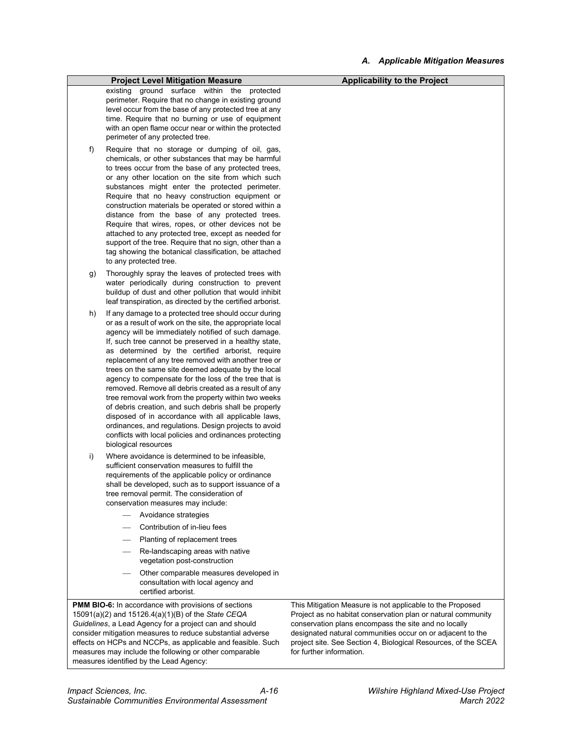|    | <b>Project Level Mitigation Measure</b>                                                                                                                                                                                                                                                                                                                                                                                                                                                                                                                                                                                                                                                                                                                                                                                                     | <b>Applicability to the Project</b>                                                                                                                                                                                                                                                                                                           |
|----|---------------------------------------------------------------------------------------------------------------------------------------------------------------------------------------------------------------------------------------------------------------------------------------------------------------------------------------------------------------------------------------------------------------------------------------------------------------------------------------------------------------------------------------------------------------------------------------------------------------------------------------------------------------------------------------------------------------------------------------------------------------------------------------------------------------------------------------------|-----------------------------------------------------------------------------------------------------------------------------------------------------------------------------------------------------------------------------------------------------------------------------------------------------------------------------------------------|
|    | existing ground surface within the protected<br>perimeter. Require that no change in existing ground<br>level occur from the base of any protected tree at any<br>time. Require that no burning or use of equipment<br>with an open flame occur near or within the protected<br>perimeter of any protected tree.                                                                                                                                                                                                                                                                                                                                                                                                                                                                                                                            |                                                                                                                                                                                                                                                                                                                                               |
| f) | Require that no storage or dumping of oil, gas,<br>chemicals, or other substances that may be harmful<br>to trees occur from the base of any protected trees,<br>or any other location on the site from which such<br>substances might enter the protected perimeter.<br>Require that no heavy construction equipment or<br>construction materials be operated or stored within a<br>distance from the base of any protected trees.<br>Require that wires, ropes, or other devices not be<br>attached to any protected tree, except as needed for<br>support of the tree. Require that no sign, other than a<br>tag showing the botanical classification, be attached<br>to any protected tree.                                                                                                                                             |                                                                                                                                                                                                                                                                                                                                               |
| g) | Thoroughly spray the leaves of protected trees with<br>water periodically during construction to prevent<br>buildup of dust and other pollution that would inhibit<br>leaf transpiration, as directed by the certified arborist.                                                                                                                                                                                                                                                                                                                                                                                                                                                                                                                                                                                                            |                                                                                                                                                                                                                                                                                                                                               |
| h) | If any damage to a protected tree should occur during<br>or as a result of work on the site, the appropriate local<br>agency will be immediately notified of such damage.<br>If, such tree cannot be preserved in a healthy state,<br>as determined by the certified arborist, require<br>replacement of any tree removed with another tree or<br>trees on the same site deemed adequate by the local<br>agency to compensate for the loss of the tree that is<br>removed. Remove all debris created as a result of any<br>tree removal work from the property within two weeks<br>of debris creation, and such debris shall be properly<br>disposed of in accordance with all applicable laws,<br>ordinances, and regulations. Design projects to avoid<br>conflicts with local policies and ordinances protecting<br>biological resources |                                                                                                                                                                                                                                                                                                                                               |
| i) | Where avoidance is determined to be infeasible.<br>sufficient conservation measures to fulfill the<br>requirements of the applicable policy or ordinance<br>shall be developed, such as to support issuance of a<br>tree removal permit. The consideration of<br>conservation measures may include:<br>Avoidance strategies                                                                                                                                                                                                                                                                                                                                                                                                                                                                                                                 |                                                                                                                                                                                                                                                                                                                                               |
|    | Contribution of in-lieu fees                                                                                                                                                                                                                                                                                                                                                                                                                                                                                                                                                                                                                                                                                                                                                                                                                |                                                                                                                                                                                                                                                                                                                                               |
|    | Planting of replacement trees                                                                                                                                                                                                                                                                                                                                                                                                                                                                                                                                                                                                                                                                                                                                                                                                               |                                                                                                                                                                                                                                                                                                                                               |
|    | Re-landscaping areas with native<br>vegetation post-construction                                                                                                                                                                                                                                                                                                                                                                                                                                                                                                                                                                                                                                                                                                                                                                            |                                                                                                                                                                                                                                                                                                                                               |
|    | Other comparable measures developed in<br>consultation with local agency and<br>certified arborist.                                                                                                                                                                                                                                                                                                                                                                                                                                                                                                                                                                                                                                                                                                                                         |                                                                                                                                                                                                                                                                                                                                               |
|    | <b>PMM BIO-6:</b> In accordance with provisions of sections<br>15091(a)(2) and 15126.4(a)(1)(B) of the State CEQA<br>Guidelines, a Lead Agency for a project can and should<br>consider mitigation measures to reduce substantial adverse<br>effects on HCPs and NCCPs, as applicable and feasible. Such<br>measures may include the following or other comparable                                                                                                                                                                                                                                                                                                                                                                                                                                                                          | This Mitigation Measure is not applicable to the Proposed<br>Project as no habitat conservation plan or natural community<br>conservation plans encompass the site and no locally<br>designated natural communities occur on or adjacent to the<br>project site. See Section 4, Biological Resources, of the SCEA<br>for further information. |

measures identified by the Lead Agency: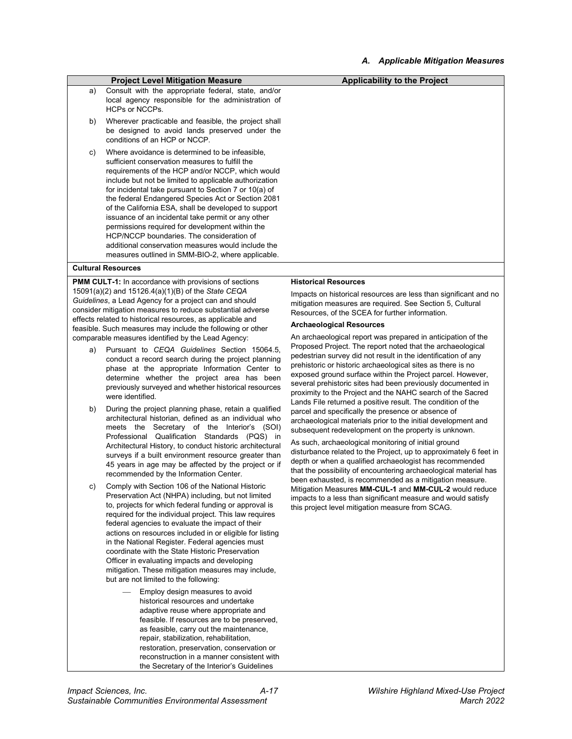#### **Project Level Mitigation Measure Applicability to the Project**

- a) Consult with the appropriate federal, state, and/or local agency responsible for the administration of HCPs or NCCPs.
- b) Wherever practicable and feasible, the project shall be designed to avoid lands preserved under the conditions of an HCP or NCCP.
- c) Where avoidance is determined to be infeasible, sufficient conservation measures to fulfill the requirements of the HCP and/or NCCP, which would include but not be limited to applicable authorization for incidental take pursuant to Section 7 or 10(a) of the federal Endangered Species Act or Section 2081 of the California ESA, shall be developed to support issuance of an incidental take permit or any other permissions required for development within the HCP/NCCP boundaries. The consideration of additional conservation measures would include the measures outlined in SMM-BIO-2, where applicable.

#### **Cultural Resources**

**PMM CULT-1:** In accordance with provisions of sections 15091(a)(2) and 15126.4(a)(1)(B) of the *State CEQA Guidelines*, a Lead Agency for a project can and should consider mitigation measures to reduce substantial adverse effects related to historical resources, as applicable and feasible. Such measures may include the following or other comparable measures identified by the Lead Agency:

- a) Pursuant to *CEQA Guidelines* Section 15064.5, conduct a record search during the project planning phase at the appropriate Information Center to determine whether the project area has been previously surveyed and whether historical resources were identified.
- b) During the project planning phase, retain a qualified architectural historian, defined as an individual who meets the Secretary of the Interior's (SOI) Professional Qualification Standards (PQS) in Architectural History, to conduct historic architectural surveys if a built environment resource greater than 45 years in age may be affected by the project or if recommended by the Information Center.
- c) Comply with Section 106 of the National Historic Preservation Act (NHPA) including, but not limited to, projects for which federal funding or approval is required for the individual project. This law requires federal agencies to evaluate the impact of their actions on resources included in or eligible for listing in the National Register. Federal agencies must coordinate with the State Historic Preservation Officer in evaluating impacts and developing mitigation. These mitigation measures may include, but are not limited to the following:
	- Employ design measures to avoid historical resources and undertake adaptive reuse where appropriate and feasible. If resources are to be preserved, as feasible, carry out the maintenance, repair, stabilization, rehabilitation, restoration, preservation, conservation or reconstruction in a manner consistent with the Secretary of the Interior's Guidelines

#### **Historical Resources**

Impacts on historical resources are less than significant and no mitigation measures are required. See Section 5, Cultural Resources, of the SCEA for further information.

#### **Archaeological Resources**

An archaeological report was prepared in anticipation of the Proposed Project. The report noted that the archaeological pedestrian survey did not result in the identification of any prehistoric or historic archaeological sites as there is no exposed ground surface within the Project parcel. However, several prehistoric sites had been previously documented in proximity to the Project and the NAHC search of the Sacred Lands File returned a positive result. The condition of the parcel and specifically the presence or absence of archaeological materials prior to the initial development and subsequent redevelopment on the property is unknown.

As such, archaeological monitoring of initial ground disturbance related to the Project, up to approximately 6 feet in depth or when a qualified archaeologist has recommended that the possibility of encountering archaeological material has been exhausted, is recommended as a mitigation measure. Mitigation Measures **MM-CUL-1** and **MM-CUL-2** would reduce impacts to a less than significant measure and would satisfy this project level mitigation measure from SCAG.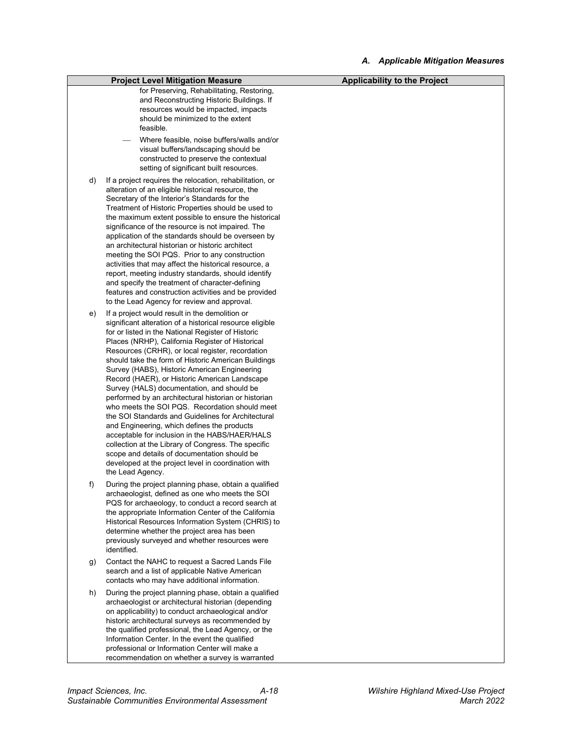|    | <b>Project Level Mitigation Measure</b>                                                                                                                                                                                                                                                                                                                                                                                                                                                                                                                                                                                                                                                                                                                                                                                                                                                                                           | <b>Applicability to the Project</b> |
|----|-----------------------------------------------------------------------------------------------------------------------------------------------------------------------------------------------------------------------------------------------------------------------------------------------------------------------------------------------------------------------------------------------------------------------------------------------------------------------------------------------------------------------------------------------------------------------------------------------------------------------------------------------------------------------------------------------------------------------------------------------------------------------------------------------------------------------------------------------------------------------------------------------------------------------------------|-------------------------------------|
|    | for Preserving, Rehabilitating, Restoring,<br>and Reconstructing Historic Buildings. If<br>resources would be impacted, impacts<br>should be minimized to the extent<br>feasible.                                                                                                                                                                                                                                                                                                                                                                                                                                                                                                                                                                                                                                                                                                                                                 |                                     |
|    | Where feasible, noise buffers/walls and/or<br>visual buffers/landscaping should be<br>constructed to preserve the contextual<br>setting of significant built resources.                                                                                                                                                                                                                                                                                                                                                                                                                                                                                                                                                                                                                                                                                                                                                           |                                     |
| d) | If a project requires the relocation, rehabilitation, or<br>alteration of an eligible historical resource, the<br>Secretary of the Interior's Standards for the<br>Treatment of Historic Properties should be used to<br>the maximum extent possible to ensure the historical<br>significance of the resource is not impaired. The<br>application of the standards should be overseen by<br>an architectural historian or historic architect<br>meeting the SOI PQS. Prior to any construction<br>activities that may affect the historical resource, a<br>report, meeting industry standards, should identify<br>and specify the treatment of character-defining<br>features and construction activities and be provided<br>to the Lead Agency for review and approval.                                                                                                                                                          |                                     |
| e) | If a project would result in the demolition or<br>significant alteration of a historical resource eligible<br>for or listed in the National Register of Historic<br>Places (NRHP), California Register of Historical<br>Resources (CRHR), or local register, recordation<br>should take the form of Historic American Buildings<br>Survey (HABS), Historic American Engineering<br>Record (HAER), or Historic American Landscape<br>Survey (HALS) documentation, and should be<br>performed by an architectural historian or historian<br>who meets the SOI PQS. Recordation should meet<br>the SOI Standards and Guidelines for Architectural<br>and Engineering, which defines the products<br>acceptable for inclusion in the HABS/HAER/HALS<br>collection at the Library of Congress. The specific<br>scope and details of documentation should be<br>developed at the project level in coordination with<br>the Lead Agency. |                                     |
| f) | During the project planning phase, obtain a qualified<br>archaeologist, defined as one who meets the SOI<br>PQS for archaeology, to conduct a record search at<br>the appropriate Information Center of the California<br>Historical Resources Information System (CHRIS) to<br>determine whether the project area has been<br>previously surveyed and whether resources were<br>identified.                                                                                                                                                                                                                                                                                                                                                                                                                                                                                                                                      |                                     |
| g) | Contact the NAHC to request a Sacred Lands File<br>search and a list of applicable Native American<br>contacts who may have additional information.                                                                                                                                                                                                                                                                                                                                                                                                                                                                                                                                                                                                                                                                                                                                                                               |                                     |
| h) | During the project planning phase, obtain a qualified<br>archaeologist or architectural historian (depending<br>on applicability) to conduct archaeological and/or<br>historic architectural surveys as recommended by<br>the qualified professional, the Lead Agency, or the<br>Information Center. In the event the qualified<br>professional or Information Center will make a                                                                                                                                                                                                                                                                                                                                                                                                                                                                                                                                                 |                                     |

recommendation on whether a survey is warranted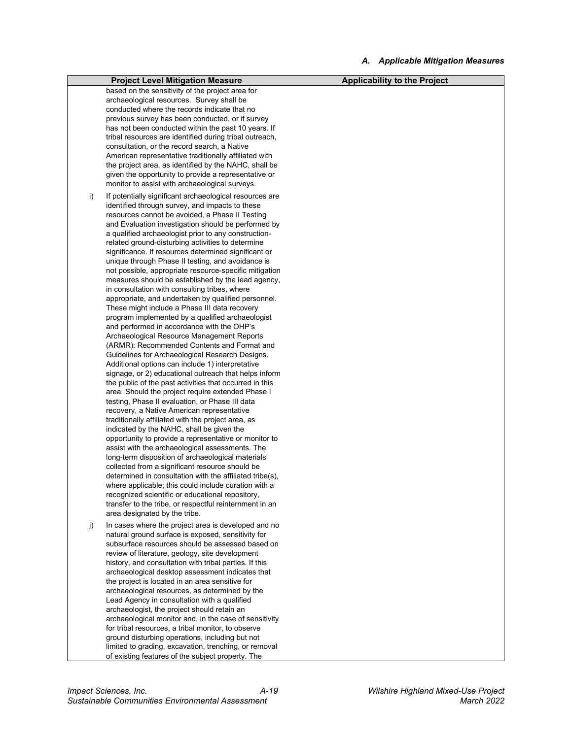|    | <b>Project Level Mitigation Measure</b>                                                                                                                                                                                                                                                                                                                                                                                                                                                                                                                                                                                                                                                                                                                                                                                                                                                                                                                                                                                                                                                                                                                                                                                                                                                                                                                                                                                                                                                                                                                                                                                                                                                                                                                                                                                                                                                            | <b>Applicability to the Project</b> |
|----|----------------------------------------------------------------------------------------------------------------------------------------------------------------------------------------------------------------------------------------------------------------------------------------------------------------------------------------------------------------------------------------------------------------------------------------------------------------------------------------------------------------------------------------------------------------------------------------------------------------------------------------------------------------------------------------------------------------------------------------------------------------------------------------------------------------------------------------------------------------------------------------------------------------------------------------------------------------------------------------------------------------------------------------------------------------------------------------------------------------------------------------------------------------------------------------------------------------------------------------------------------------------------------------------------------------------------------------------------------------------------------------------------------------------------------------------------------------------------------------------------------------------------------------------------------------------------------------------------------------------------------------------------------------------------------------------------------------------------------------------------------------------------------------------------------------------------------------------------------------------------------------------------|-------------------------------------|
|    | based on the sensitivity of the project area for<br>archaeological resources. Survey shall be<br>conducted where the records indicate that no<br>previous survey has been conducted, or if survey<br>has not been conducted within the past 10 years. If<br>tribal resources are identified during tribal outreach,<br>consultation, or the record search, a Native<br>American representative traditionally affiliated with<br>the project area, as identified by the NAHC, shall be<br>given the opportunity to provide a representative or<br>monitor to assist with archaeological surveys.                                                                                                                                                                                                                                                                                                                                                                                                                                                                                                                                                                                                                                                                                                                                                                                                                                                                                                                                                                                                                                                                                                                                                                                                                                                                                                    |                                     |
| i) | If potentially significant archaeological resources are<br>identified through survey, and impacts to these<br>resources cannot be avoided, a Phase II Testing<br>and Evaluation investigation should be performed by<br>a qualified archaeologist prior to any construction-<br>related ground-disturbing activities to determine<br>significance. If resources determined significant or<br>unique through Phase II testing, and avoidance is<br>not possible, appropriate resource-specific mitigation<br>measures should be established by the lead agency,<br>in consultation with consulting tribes, where<br>appropriate, and undertaken by qualified personnel.<br>These might include a Phase III data recovery<br>program implemented by a qualified archaeologist<br>and performed in accordance with the OHP's<br>Archaeological Resource Management Reports<br>(ARMR): Recommended Contents and Format and<br>Guidelines for Archaeological Research Designs.<br>Additional options can include 1) interpretative<br>signage, or 2) educational outreach that helps inform<br>the public of the past activities that occurred in this<br>area. Should the project require extended Phase I<br>testing, Phase II evaluation, or Phase III data<br>recovery, a Native American representative<br>traditionally affiliated with the project area, as<br>indicated by the NAHC, shall be given the<br>opportunity to provide a representative or monitor to<br>assist with the archaeological assessments. The<br>long-term disposition of archaeological materials<br>collected from a significant resource should be<br>determined in consultation with the affiliated tribe(s),<br>where applicable; this could include curation with a<br>recognized scientific or educational repository,<br>transfer to the tribe, or respectful reinternment in an<br>area designated by the tribe. |                                     |
| j) | In cases where the project area is developed and no<br>natural ground surface is exposed, sensitivity for<br>subsurface resources should be assessed based on<br>review of literature, geology, site development<br>history, and consultation with tribal parties. If this<br>archaeological desktop assessment indicates that<br>the project is located in an area sensitive for<br>archaeological resources, as determined by the<br>Lead Agency in consultation with a qualified<br>archaeologist, the project should retain an<br>archaeological monitor and, in the case of sensitivity<br>for tribal resources, a tribal monitor, to observe<br>ground disturbing operations, including but not<br>limited to grading, excavation, trenching, or removal<br>of existing features of the subject property. The                                                                                                                                                                                                                                                                                                                                                                                                                                                                                                                                                                                                                                                                                                                                                                                                                                                                                                                                                                                                                                                                                |                                     |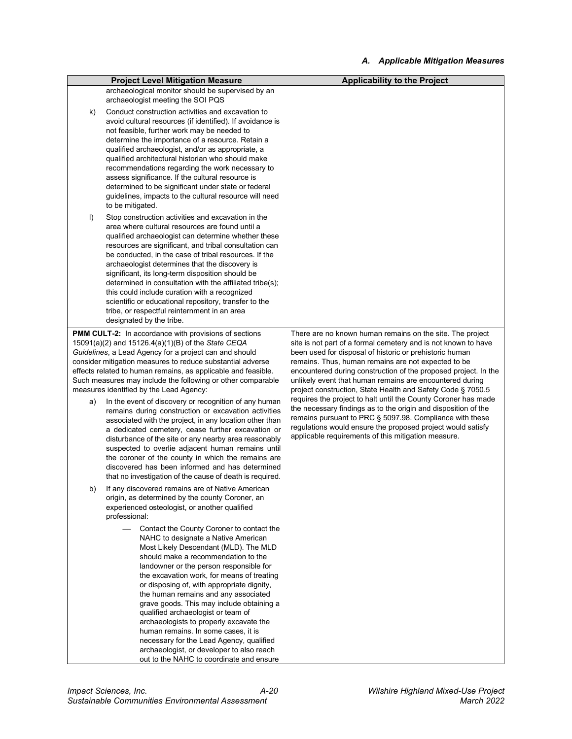|         | <b>Project Level Mitigation Measure</b>                                                                                                                                                                                                                                                                                                                                                                                                                                                                                                                                                                                                                   | <b>Applicability to the Project</b>                                                                                                                                                                                                                                                                                |
|---------|-----------------------------------------------------------------------------------------------------------------------------------------------------------------------------------------------------------------------------------------------------------------------------------------------------------------------------------------------------------------------------------------------------------------------------------------------------------------------------------------------------------------------------------------------------------------------------------------------------------------------------------------------------------|--------------------------------------------------------------------------------------------------------------------------------------------------------------------------------------------------------------------------------------------------------------------------------------------------------------------|
|         | archaeological monitor should be supervised by an<br>archaeologist meeting the SOI PQS                                                                                                                                                                                                                                                                                                                                                                                                                                                                                                                                                                    |                                                                                                                                                                                                                                                                                                                    |
| k)      | Conduct construction activities and excavation to<br>avoid cultural resources (if identified). If avoidance is<br>not feasible, further work may be needed to<br>determine the importance of a resource. Retain a<br>qualified archaeologist, and/or as appropriate, a<br>qualified architectural historian who should make<br>recommendations regarding the work necessary to<br>assess significance. If the cultural resource is<br>determined to be significant under state or federal<br>guidelines, impacts to the cultural resource will need<br>to be mitigated.                                                                                   |                                                                                                                                                                                                                                                                                                                    |
| $\vert$ | Stop construction activities and excavation in the<br>area where cultural resources are found until a<br>qualified archaeologist can determine whether these<br>resources are significant, and tribal consultation can<br>be conducted, in the case of tribal resources. If the<br>archaeologist determines that the discovery is<br>significant, its long-term disposition should be<br>determined in consultation with the affiliated tribe(s);<br>this could include curation with a recognized<br>scientific or educational repository, transfer to the<br>tribe, or respectful reinternment in an area<br>designated by the tribe.                   |                                                                                                                                                                                                                                                                                                                    |
|         | <b>PMM CULT-2:</b> In accordance with provisions of sections                                                                                                                                                                                                                                                                                                                                                                                                                                                                                                                                                                                              | There are no known human remains on the site. The project                                                                                                                                                                                                                                                          |
|         | 15091(a)(2) and 15126.4(a)(1)(B) of the State CEQA<br>Guidelines, a Lead Agency for a project can and should                                                                                                                                                                                                                                                                                                                                                                                                                                                                                                                                              | site is not part of a formal cemetery and is not known to have<br>been used for disposal of historic or prehistoric human                                                                                                                                                                                          |
|         | consider mitigation measures to reduce substantial adverse<br>effects related to human remains, as applicable and feasible.                                                                                                                                                                                                                                                                                                                                                                                                                                                                                                                               | remains. Thus, human remains are not expected to be<br>encountered during construction of the proposed project. In the<br>unlikely event that human remains are encountered during<br>project construction, State Health and Safety Code § 7050.5                                                                  |
|         | Such measures may include the following or other comparable<br>measures identified by the Lead Agency:                                                                                                                                                                                                                                                                                                                                                                                                                                                                                                                                                    |                                                                                                                                                                                                                                                                                                                    |
| a)      | In the event of discovery or recognition of any human<br>remains during construction or excavation activities<br>associated with the project, in any location other than<br>a dedicated cemetery, cease further excavation or<br>disturbance of the site or any nearby area reasonably<br>suspected to overlie adjacent human remains until<br>the coroner of the county in which the remains are<br>discovered has been informed and has determined<br>that no investigation of the cause of death is required.                                                                                                                                          | requires the project to halt until the County Coroner has made<br>the necessary findings as to the origin and disposition of the<br>remains pursuant to PRC § 5097.98. Compliance with these<br>regulations would ensure the proposed project would satisfy<br>applicable requirements of this mitigation measure. |
| b)      | If any discovered remains are of Native American<br>origin, as determined by the county Coroner, an<br>experienced osteologist, or another qualified<br>professional:                                                                                                                                                                                                                                                                                                                                                                                                                                                                                     |                                                                                                                                                                                                                                                                                                                    |
|         | Contact the County Coroner to contact the<br>NAHC to designate a Native American<br>Most Likely Descendant (MLD). The MLD<br>should make a recommendation to the<br>landowner or the person responsible for<br>the excavation work, for means of treating<br>or disposing of, with appropriate dignity,<br>the human remains and any associated<br>grave goods. This may include obtaining a<br>qualified archaeologist or team of<br>archaeologists to properly excavate the<br>human remains. In some cases, it is<br>necessary for the Lead Agency, qualified<br>archaeologist, or developer to also reach<br>out to the NAHC to coordinate and ensure |                                                                                                                                                                                                                                                                                                                    |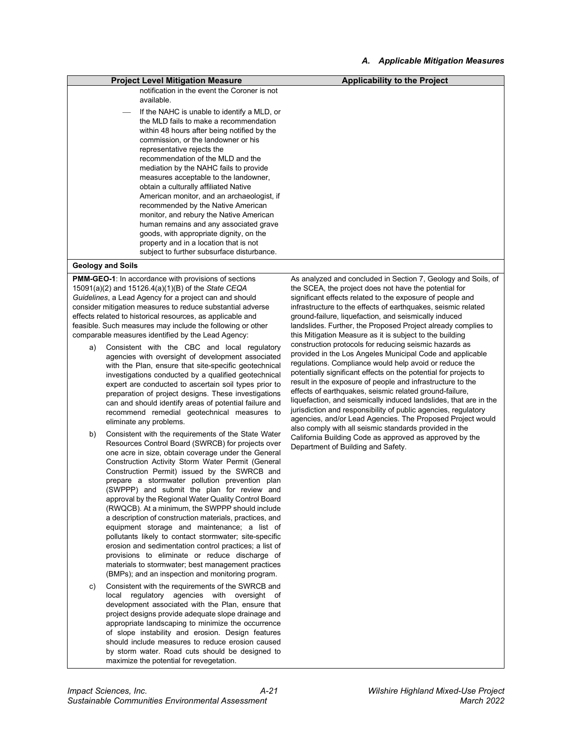| <b>Project Level Mitigation Measure</b>                                                                                                                                                                                                                                                                                                                                                                                                                                                                                                                                                                                                                                                | Applicability to the Project |
|----------------------------------------------------------------------------------------------------------------------------------------------------------------------------------------------------------------------------------------------------------------------------------------------------------------------------------------------------------------------------------------------------------------------------------------------------------------------------------------------------------------------------------------------------------------------------------------------------------------------------------------------------------------------------------------|------------------------------|
| notification in the event the Coroner is not<br>available.                                                                                                                                                                                                                                                                                                                                                                                                                                                                                                                                                                                                                             |                              |
| If the NAHC is unable to identify a MLD, or<br>the MLD fails to make a recommendation<br>within 48 hours after being notified by the<br>commission, or the landowner or his<br>representative rejects the<br>recommendation of the MLD and the<br>mediation by the NAHC fails to provide<br>measures acceptable to the landowner,<br>obtain a culturally affiliated Native<br>American monitor, and an archaeologist, if<br>recommended by the Native American<br>monitor, and rebury the Native American<br>human remains and any associated grave<br>goods, with appropriate dignity, on the<br>property and in a location that is not<br>subject to further subsurface disturbance. |                              |
|                                                                                                                                                                                                                                                                                                                                                                                                                                                                                                                                                                                                                                                                                        |                              |

#### **Geology and Soils**

**PMM-GEO-1**: In accordance with provisions of sections 15091(a)(2) and 15126.4(a)(1)(B) of the *State CEQA Guidelines*, a Lead Agency for a project can and should consider mitigation measures to reduce substantial adverse effects related to historical resources, as applicable and feasible. Such measures may include the following or other comparable measures identified by the Lead Agency:

- a) Consistent with the CBC and local regulatory agencies with oversight of development associated with the Plan, ensure that site-specific geotechnical investigations conducted by a qualified geotechnical expert are conducted to ascertain soil types prior to preparation of project designs. These investigations can and should identify areas of potential failure and recommend remedial geotechnical measures to eliminate any problems.
- b) Consistent with the requirements of the State Water Resources Control Board (SWRCB) for projects over one acre in size, obtain coverage under the General Construction Activity Storm Water Permit (General Construction Permit) issued by the SWRCB and prepare a stormwater pollution prevention plan (SWPPP) and submit the plan for review and approval by the Regional Water Quality Control Board (RWQCB). At a minimum, the SWPPP should include a description of construction materials, practices, and equipment storage and maintenance; a list of pollutants likely to contact stormwater; site-specific erosion and sedimentation control practices; a list of provisions to eliminate or reduce discharge of materials to stormwater; best management practices (BMPs); and an inspection and monitoring program.
- c) Consistent with the requirements of the SWRCB and local regulatory agencies with oversight of development associated with the Plan, ensure that project designs provide adequate slope drainage and appropriate landscaping to minimize the occurrence of slope instability and erosion. Design features should include measures to reduce erosion caused by storm water. Road cuts should be designed to maximize the potential for revegetation.

As analyzed and concluded in Section 7, Geology and Soils, of the SCEA, the project does not have the potential for significant effects related to the exposure of people and infrastructure to the effects of earthquakes, seismic related ground-failure, liquefaction, and seismically induced landslides. Further, the Proposed Project already complies to this Mitigation Measure as it is subject to the building construction protocols for reducing seismic hazards as provided in the Los Angeles Municipal Code and applicable regulations. Compliance would help avoid or reduce the potentially significant effects on the potential for projects to result in the exposure of people and infrastructure to the effects of earthquakes, seismic related ground-failure, liquefaction, and seismically induced landslides, that are in the jurisdiction and responsibility of public agencies, regulatory agencies, and/or Lead Agencies. The Proposed Project would also comply with all seismic standards provided in the California Building Code as approved as approved by the Department of Building and Safety.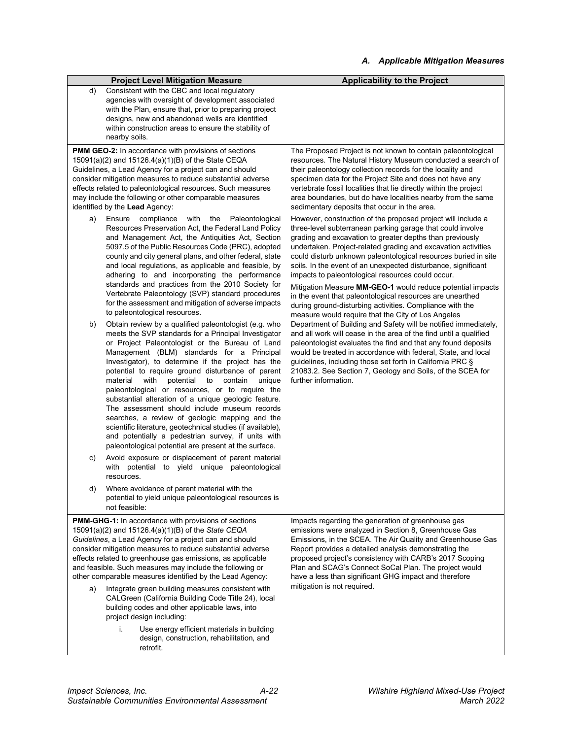#### **Project Level Mitigation Measure Applicability to the Project**

d) Consistent with the CBC and local regulatory agencies with oversight of development associated with the Plan, ensure that, prior to preparing project designs, new and abandoned wells are identified within construction areas to ensure the stability of nearby soils.

**PMM GEO-2:** In accordance with provisions of sections 15091(a)(2) and 15126.4(a)(1)(B) of the State CEQA Guidelines, a Lead Agency for a project can and should consider mitigation measures to reduce substantial adverse effects related to paleontological resources. Such measures may include the following or other comparable measures identified by the **Lead** Agency:

- a) Ensure compliance with the Paleontological Resources Preservation Act, the Federal Land Policy and Management Act, the Antiquities Act, Section 5097.5 of the Public Resources Code (PRC), adopted county and city general plans, and other federal, state and local regulations, as applicable and feasible, by adhering to and incorporating the performance standards and practices from the 2010 Society for Vertebrate Paleontology (SVP) standard procedures for the assessment and mitigation of adverse impacts to paleontological resources.
- b) Obtain review by a qualified paleontologist (e.g. who meets the SVP standards for a Principal Investigator or Project Paleontologist or the Bureau of Land Management (BLM) standards for a Principal Investigator), to determine if the project has the potential to require ground disturbance of parent material with potential to contain unique paleontological or resources, or to require the substantial alteration of a unique geologic feature. The assessment should include museum records searches, a review of geologic mapping and the scientific literature, geotechnical studies (if available), and potentially a pedestrian survey, if units with paleontological potential are present at the surface.
- Avoid exposure or displacement of parent material with potential to yield unique paleontological resources.
- d) Where avoidance of parent material with the potential to yield unique paleontological resources is not feasible:

**PMM-GHG-1:** In accordance with provisions of sections 15091(a)(2) and 15126.4(a)(1)(B) of the *State CEQA Guidelines*, a Lead Agency for a project can and should consider mitigation measures to reduce substantial adverse effects related to greenhouse gas emissions, as applicable and feasible. Such measures may include the following or other comparable measures identified by the Lead Agency:

- Integrate green building measures consistent with CALGreen (California Building Code Title 24), local building codes and other applicable laws, into project design including:
	- i. Use energy efficient materials in building design, construction, rehabilitation, and retrofit.

The Proposed Project is not known to contain paleontological resources. The Natural History Museum conducted a search of their paleontology collection records for the locality and specimen data for the Project Site and does not have any vertebrate fossil localities that lie directly within the project area boundaries, but do have localities nearby from the same sedimentary deposits that occur in the area.

However, construction of the proposed project will include a three-level subterranean parking garage that could involve grading and excavation to greater depths than previously undertaken. Project-related grading and excavation activities could disturb unknown paleontological resources buried in site soils. In the event of an unexpected disturbance, significant impacts to paleontological resources could occur.

Mitigation Measure **MM-GEO-1** would reduce potential impacts in the event that paleontological resources are unearthed during ground-disturbing activities. Compliance with the measure would require that the City of Los Angeles Department of Building and Safety will be notified immediately, and all work will cease in the area of the find until a qualified paleontologist evaluates the find and that any found deposits would be treated in accordance with federal, State, and local guidelines, including those set forth in California PRC § 21083.2. See Section 7, Geology and Soils, of the SCEA for further information.

Impacts regarding the generation of greenhouse gas emissions were analyzed in Section 8, Greenhouse Gas Emissions, in the SCEA. The Air Quality and Greenhouse Gas Report provides a detailed analysis demonstrating the proposed project's consistency with CARB's 2017 Scoping Plan and SCAG's Connect SoCal Plan. The project would have a less than significant GHG impact and therefore mitigation is not required.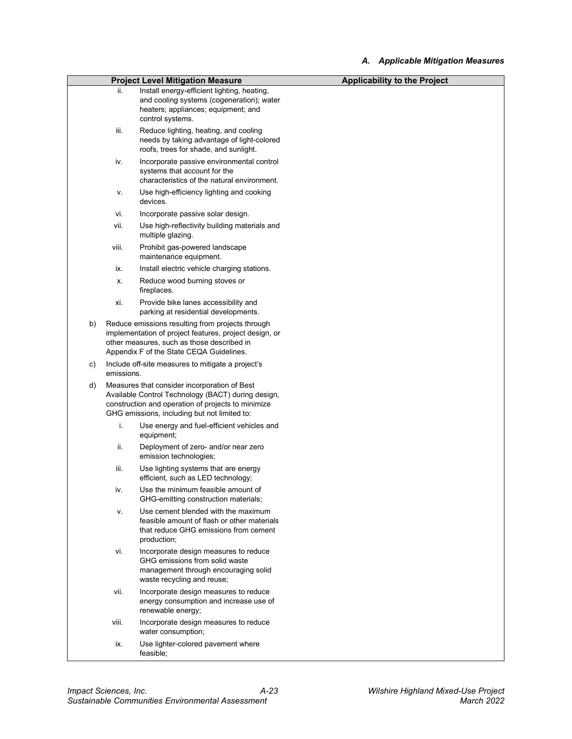|    |            | <b>Project Level Mitigation Measure</b>                                                                                                                                                                  | <b>Applicability to the Project</b> |
|----|------------|----------------------------------------------------------------------------------------------------------------------------------------------------------------------------------------------------------|-------------------------------------|
|    | ii.        | Install energy-efficient lighting, heating,<br>and cooling systems (cogeneration); water<br>heaters; appliances; equipment; and<br>control systems.                                                      |                                     |
|    | iii.       | Reduce lighting, heating, and cooling<br>needs by taking advantage of light-colored<br>roofs, trees for shade, and sunlight.                                                                             |                                     |
|    | iv.        | Incorporate passive environmental control<br>systems that account for the<br>characteristics of the natural environment.                                                                                 |                                     |
|    | ۷.         | Use high-efficiency lighting and cooking<br>devices.                                                                                                                                                     |                                     |
|    | vi.        | Incorporate passive solar design.                                                                                                                                                                        |                                     |
|    | vii.       | Use high-reflectivity building materials and<br>multiple glazing.                                                                                                                                        |                                     |
|    | viii.      | Prohibit gas-powered landscape<br>maintenance equipment.                                                                                                                                                 |                                     |
|    | ix.        | Install electric vehicle charging stations.                                                                                                                                                              |                                     |
|    | Х.         | Reduce wood burning stoves or<br>fireplaces.                                                                                                                                                             |                                     |
|    | xi.        | Provide bike lanes accessibility and<br>parking at residential developments.                                                                                                                             |                                     |
| b) |            | Reduce emissions resulting from projects through<br>implementation of project features, project design, or<br>other measures, such as those described in<br>Appendix F of the State CEQA Guidelines.     |                                     |
| C) | emissions. | Include off-site measures to mitigate a project's                                                                                                                                                        |                                     |
| d) |            | Measures that consider incorporation of Best<br>Available Control Technology (BACT) during design,<br>construction and operation of projects to minimize<br>GHG emissions, including but not limited to: |                                     |
|    | i.         | Use energy and fuel-efficient vehicles and<br>equipment;                                                                                                                                                 |                                     |
|    | ii.        | Deployment of zero- and/or near zero<br>emission technologies;                                                                                                                                           |                                     |
|    | iii.       | Use lighting systems that are energy<br>efficient, such as LED technology;                                                                                                                               |                                     |
|    | iv.        | Use the minimum feasible amount of<br>GHG-emitting construction materials;                                                                                                                               |                                     |
|    | ٧.         | Use cement blended with the maximum<br>feasible amount of flash or other materials<br>that reduce GHG emissions from cement<br>production;                                                               |                                     |
|    | vi.        | Incorporate design measures to reduce<br>GHG emissions from solid waste<br>management through encouraging solid<br>waste recycling and reuse;                                                            |                                     |
|    | vii.       | Incorporate design measures to reduce<br>energy consumption and increase use of<br>renewable energy;                                                                                                     |                                     |
|    | viii.      | Incorporate design measures to reduce<br>water consumption;                                                                                                                                              |                                     |
|    | ix.        | Use lighter-colored pavement where<br>feasible;                                                                                                                                                          |                                     |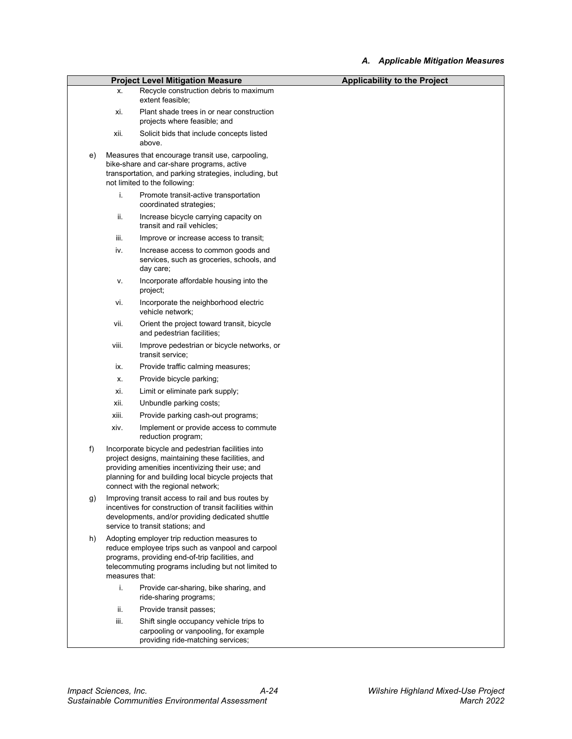|    |                | <b>Project Level Mitigation Measure</b>                                                                                                                                                                                                                     | <b>Applicability to the Project</b> |
|----|----------------|-------------------------------------------------------------------------------------------------------------------------------------------------------------------------------------------------------------------------------------------------------------|-------------------------------------|
|    | Х.             | Recycle construction debris to maximum                                                                                                                                                                                                                      |                                     |
|    |                | extent feasible;                                                                                                                                                                                                                                            |                                     |
|    | xi.            | Plant shade trees in or near construction<br>projects where feasible; and                                                                                                                                                                                   |                                     |
|    | xii.           | Solicit bids that include concepts listed<br>above.                                                                                                                                                                                                         |                                     |
| e) |                | Measures that encourage transit use, carpooling,<br>bike-share and car-share programs, active<br>transportation, and parking strategies, including, but<br>not limited to the following:                                                                    |                                     |
|    | i.             | Promote transit-active transportation<br>coordinated strategies;                                                                                                                                                                                            |                                     |
|    | ii.            | Increase bicycle carrying capacity on<br>transit and rail vehicles;                                                                                                                                                                                         |                                     |
|    | iii.           | Improve or increase access to transit;                                                                                                                                                                                                                      |                                     |
|    | iv.            | Increase access to common goods and<br>services, such as groceries, schools, and<br>day care;                                                                                                                                                               |                                     |
|    | ۷.             | Incorporate affordable housing into the<br>project;                                                                                                                                                                                                         |                                     |
|    | vi.            | Incorporate the neighborhood electric<br>vehicle network;                                                                                                                                                                                                   |                                     |
|    | vii.           | Orient the project toward transit, bicycle<br>and pedestrian facilities;                                                                                                                                                                                    |                                     |
|    | viii.          | Improve pedestrian or bicycle networks, or<br>transit service;                                                                                                                                                                                              |                                     |
|    | ix.            | Provide traffic calming measures;                                                                                                                                                                                                                           |                                     |
|    | х.             | Provide bicycle parking;                                                                                                                                                                                                                                    |                                     |
|    | xi.            | Limit or eliminate park supply;                                                                                                                                                                                                                             |                                     |
|    | xii.           | Unbundle parking costs;                                                                                                                                                                                                                                     |                                     |
|    | xiii.          | Provide parking cash-out programs;                                                                                                                                                                                                                          |                                     |
|    | xiv.           | Implement or provide access to commute<br>reduction program;                                                                                                                                                                                                |                                     |
| f) |                | Incorporate bicycle and pedestrian facilities into<br>project designs, maintaining these facilities, and<br>providing amenities incentivizing their use; and<br>planning for and building local bicycle projects that<br>connect with the regional network; |                                     |
| g) |                | Improving transit access to rail and bus routes by<br>incentives for construction of transit facilities within<br>developments, and/or providing dedicated shuttle<br>service to transit stations; and                                                      |                                     |
| h) | measures that: | Adopting employer trip reduction measures to<br>reduce employee trips such as vanpool and carpool<br>programs, providing end-of-trip facilities, and<br>telecommuting programs including but not limited to                                                 |                                     |
|    | i.             | Provide car-sharing, bike sharing, and<br>ride-sharing programs;                                                                                                                                                                                            |                                     |
|    | ii.            | Provide transit passes;                                                                                                                                                                                                                                     |                                     |
|    | iii.           | Shift single occupancy vehicle trips to<br>carpooling or vanpooling, for example<br>providing ride-matching services;                                                                                                                                       |                                     |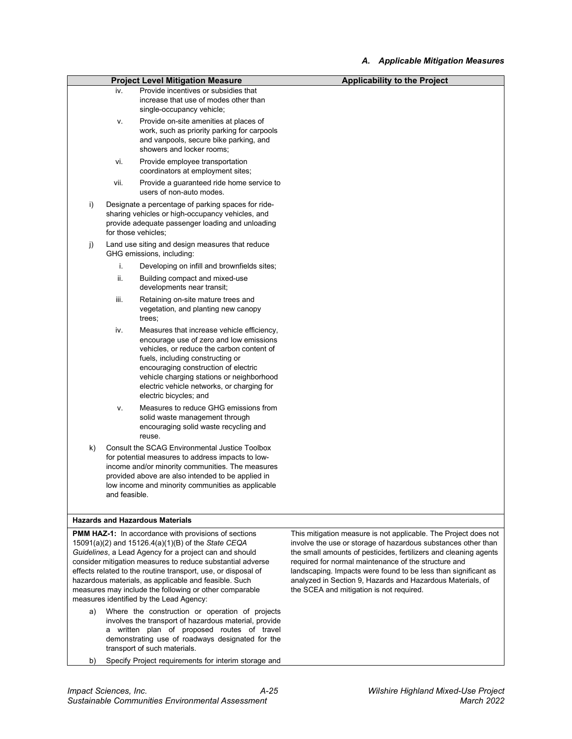| <b>Project Level Mitigation Measure</b> |               |                                                                                                                                                                                                                                                                                                                                                                                                                                                                          | <b>Applicability to the Project</b>                                                                                                                                                                                                                                                                                                                                                                                                      |
|-----------------------------------------|---------------|--------------------------------------------------------------------------------------------------------------------------------------------------------------------------------------------------------------------------------------------------------------------------------------------------------------------------------------------------------------------------------------------------------------------------------------------------------------------------|------------------------------------------------------------------------------------------------------------------------------------------------------------------------------------------------------------------------------------------------------------------------------------------------------------------------------------------------------------------------------------------------------------------------------------------|
|                                         | iv.           | Provide incentives or subsidies that<br>increase that use of modes other than<br>single-occupancy vehicle;                                                                                                                                                                                                                                                                                                                                                               |                                                                                                                                                                                                                                                                                                                                                                                                                                          |
|                                         | ν.            | Provide on-site amenities at places of<br>work, such as priority parking for carpools<br>and vanpools, secure bike parking, and<br>showers and locker rooms;                                                                                                                                                                                                                                                                                                             |                                                                                                                                                                                                                                                                                                                                                                                                                                          |
|                                         | vi.           | Provide employee transportation<br>coordinators at employment sites;                                                                                                                                                                                                                                                                                                                                                                                                     |                                                                                                                                                                                                                                                                                                                                                                                                                                          |
|                                         | vii.          | Provide a guaranteed ride home service to<br>users of non-auto modes.                                                                                                                                                                                                                                                                                                                                                                                                    |                                                                                                                                                                                                                                                                                                                                                                                                                                          |
| i)                                      |               | Designate a percentage of parking spaces for ride-<br>sharing vehicles or high-occupancy vehicles, and<br>provide adequate passenger loading and unloading<br>for those vehicles;                                                                                                                                                                                                                                                                                        |                                                                                                                                                                                                                                                                                                                                                                                                                                          |
| j)                                      |               | Land use siting and design measures that reduce<br>GHG emissions, including:                                                                                                                                                                                                                                                                                                                                                                                             |                                                                                                                                                                                                                                                                                                                                                                                                                                          |
|                                         | i.            | Developing on infill and brownfields sites;                                                                                                                                                                                                                                                                                                                                                                                                                              |                                                                                                                                                                                                                                                                                                                                                                                                                                          |
|                                         | ii.           | Building compact and mixed-use<br>developments near transit;                                                                                                                                                                                                                                                                                                                                                                                                             |                                                                                                                                                                                                                                                                                                                                                                                                                                          |
|                                         | iii.          | Retaining on-site mature trees and<br>vegetation, and planting new canopy<br>trees:                                                                                                                                                                                                                                                                                                                                                                                      |                                                                                                                                                                                                                                                                                                                                                                                                                                          |
|                                         | iv.           | Measures that increase vehicle efficiency,<br>encourage use of zero and low emissions<br>vehicles, or reduce the carbon content of<br>fuels, including constructing or<br>encouraging construction of electric<br>vehicle charging stations or neighborhood<br>electric vehicle networks, or charging for<br>electric bicycles; and                                                                                                                                      |                                                                                                                                                                                                                                                                                                                                                                                                                                          |
|                                         | ۷.            | Measures to reduce GHG emissions from<br>solid waste management through<br>encouraging solid waste recycling and<br>reuse.                                                                                                                                                                                                                                                                                                                                               |                                                                                                                                                                                                                                                                                                                                                                                                                                          |
| k)                                      | and feasible. | Consult the SCAG Environmental Justice Toolbox<br>for potential measures to address impacts to low-<br>income and/or minority communities. The measures<br>provided above are also intended to be applied in<br>low income and minority communities as applicable                                                                                                                                                                                                        |                                                                                                                                                                                                                                                                                                                                                                                                                                          |
|                                         |               | <b>Hazards and Hazardous Materials</b>                                                                                                                                                                                                                                                                                                                                                                                                                                   |                                                                                                                                                                                                                                                                                                                                                                                                                                          |
|                                         |               | <b>PMM HAZ-1:</b> In accordance with provisions of sections<br>15091(a)(2) and 15126.4(a)(1)(B) of the State CEQA<br>Guidelines, a Lead Agency for a project can and should<br>consider mitigation measures to reduce substantial adverse<br>effects related to the routine transport, use, or disposal of<br>hazardous materials, as applicable and feasible. Such<br>measures may include the following or other comparable<br>measures identified by the Lead Agency: | This mitigation measure is not applicable. The Project does not<br>involve the use or storage of hazardous substances other than<br>the small amounts of pesticides, fertilizers and cleaning agents<br>required for normal maintenance of the structure and<br>landscaping. Impacts were found to be less than significant as<br>analyzed in Section 9, Hazards and Hazardous Materials, of<br>the SCEA and mitigation is not required. |

- a) Where the construction or operation of projects involves the transport of hazardous material, provide a written plan of proposed routes of travel demonstrating use of roadways designated for the transport of such materials.
- b) Specify Project requirements for interim storage and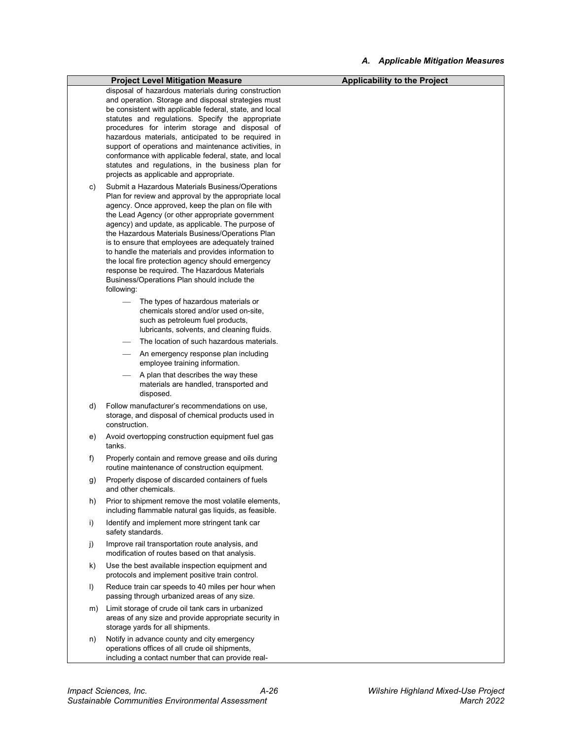|         | <b>Project Level Mitigation Measure</b>                                                                                                                                                                                                                                                                                                                                                                                                                                                                                                                                                                     | <b>Applicability to the Project</b> |
|---------|-------------------------------------------------------------------------------------------------------------------------------------------------------------------------------------------------------------------------------------------------------------------------------------------------------------------------------------------------------------------------------------------------------------------------------------------------------------------------------------------------------------------------------------------------------------------------------------------------------------|-------------------------------------|
|         | disposal of hazardous materials during construction<br>and operation. Storage and disposal strategies must<br>be consistent with applicable federal, state, and local<br>statutes and regulations. Specify the appropriate<br>procedures for interim storage and disposal of                                                                                                                                                                                                                                                                                                                                |                                     |
|         | hazardous materials, anticipated to be required in<br>support of operations and maintenance activities, in<br>conformance with applicable federal, state, and local<br>statutes and regulations, in the business plan for                                                                                                                                                                                                                                                                                                                                                                                   |                                     |
|         | projects as applicable and appropriate.                                                                                                                                                                                                                                                                                                                                                                                                                                                                                                                                                                     |                                     |
| C)      | Submit a Hazardous Materials Business/Operations<br>Plan for review and approval by the appropriate local<br>agency. Once approved, keep the plan on file with<br>the Lead Agency (or other appropriate government<br>agency) and update, as applicable. The purpose of<br>the Hazardous Materials Business/Operations Plan<br>is to ensure that employees are adequately trained<br>to handle the materials and provides information to<br>the local fire protection agency should emergency<br>response be required. The Hazardous Materials<br>Business/Operations Plan should include the<br>following: |                                     |
|         | The types of hazardous materials or<br>chemicals stored and/or used on-site.<br>such as petroleum fuel products,<br>lubricants, solvents, and cleaning fluids.                                                                                                                                                                                                                                                                                                                                                                                                                                              |                                     |
|         | The location of such hazardous materials.                                                                                                                                                                                                                                                                                                                                                                                                                                                                                                                                                                   |                                     |
|         | An emergency response plan including<br>employee training information.                                                                                                                                                                                                                                                                                                                                                                                                                                                                                                                                      |                                     |
|         | A plan that describes the way these<br>materials are handled, transported and<br>disposed.                                                                                                                                                                                                                                                                                                                                                                                                                                                                                                                  |                                     |
| d)      | Follow manufacturer's recommendations on use,<br>storage, and disposal of chemical products used in<br>construction.                                                                                                                                                                                                                                                                                                                                                                                                                                                                                        |                                     |
| e)      | Avoid overtopping construction equipment fuel gas<br>tanks.                                                                                                                                                                                                                                                                                                                                                                                                                                                                                                                                                 |                                     |
| f)      | Properly contain and remove grease and oils during<br>routine maintenance of construction equipment.                                                                                                                                                                                                                                                                                                                                                                                                                                                                                                        |                                     |
| g)      | Properly dispose of discarded containers of fuels<br>and other chemicals.                                                                                                                                                                                                                                                                                                                                                                                                                                                                                                                                   |                                     |
| h)      | Prior to shipment remove the most volatile elements,<br>including flammable natural gas liquids, as feasible.                                                                                                                                                                                                                                                                                                                                                                                                                                                                                               |                                     |
| i)      | Identify and implement more stringent tank car<br>safety standards.                                                                                                                                                                                                                                                                                                                                                                                                                                                                                                                                         |                                     |
| j)      | Improve rail transportation route analysis, and<br>modification of routes based on that analysis.                                                                                                                                                                                                                                                                                                                                                                                                                                                                                                           |                                     |
| k)      | Use the best available inspection equipment and<br>protocols and implement positive train control.                                                                                                                                                                                                                                                                                                                                                                                                                                                                                                          |                                     |
| $\vert$ | Reduce train car speeds to 40 miles per hour when<br>passing through urbanized areas of any size.                                                                                                                                                                                                                                                                                                                                                                                                                                                                                                           |                                     |
| m)      | Limit storage of crude oil tank cars in urbanized<br>areas of any size and provide appropriate security in<br>storage yards for all shipments.                                                                                                                                                                                                                                                                                                                                                                                                                                                              |                                     |
| n)      | Notify in advance county and city emergency<br>operations offices of all crude oil shipments,<br>including a contact number that can provide real-                                                                                                                                                                                                                                                                                                                                                                                                                                                          |                                     |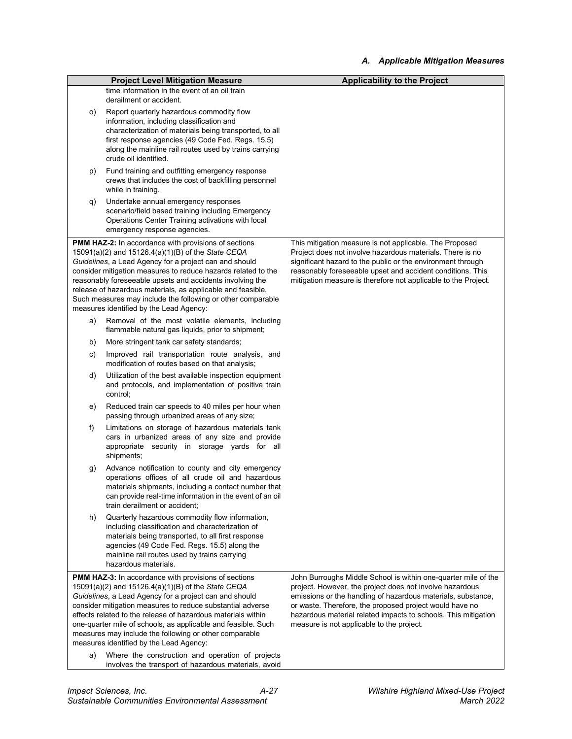|    | <b>Project Level Mitigation Measure</b>                                                                                                                                                                                                                                                                                                                                                                                                                                                                                             | <b>Applicability to the Project</b>                                                                                                                                                                                                                                                                                                                                  |
|----|-------------------------------------------------------------------------------------------------------------------------------------------------------------------------------------------------------------------------------------------------------------------------------------------------------------------------------------------------------------------------------------------------------------------------------------------------------------------------------------------------------------------------------------|----------------------------------------------------------------------------------------------------------------------------------------------------------------------------------------------------------------------------------------------------------------------------------------------------------------------------------------------------------------------|
|    | time information in the event of an oil train                                                                                                                                                                                                                                                                                                                                                                                                                                                                                       |                                                                                                                                                                                                                                                                                                                                                                      |
|    | derailment or accident.                                                                                                                                                                                                                                                                                                                                                                                                                                                                                                             |                                                                                                                                                                                                                                                                                                                                                                      |
| O) | Report quarterly hazardous commodity flow<br>information, including classification and<br>characterization of materials being transported, to all<br>first response agencies (49 Code Fed. Regs. 15.5)<br>along the mainline rail routes used by trains carrying<br>crude oil identified.                                                                                                                                                                                                                                           |                                                                                                                                                                                                                                                                                                                                                                      |
| p) | Fund training and outfitting emergency response<br>crews that includes the cost of backfilling personnel<br>while in training.                                                                                                                                                                                                                                                                                                                                                                                                      |                                                                                                                                                                                                                                                                                                                                                                      |
| q) | Undertake annual emergency responses<br>scenario/field based training including Emergency<br>Operations Center Training activations with local<br>emergency response agencies.                                                                                                                                                                                                                                                                                                                                                      |                                                                                                                                                                                                                                                                                                                                                                      |
|    | <b>PMM HAZ-2:</b> In accordance with provisions of sections                                                                                                                                                                                                                                                                                                                                                                                                                                                                         | This mitigation measure is not applicable. The Proposed                                                                                                                                                                                                                                                                                                              |
|    | 15091(a)(2) and 15126.4(a)(1)(B) of the State CEQA<br>Guidelines, a Lead Agency for a project can and should<br>consider mitigation measures to reduce hazards related to the<br>reasonably foreseeable upsets and accidents involving the<br>release of hazardous materials, as applicable and feasible.<br>Such measures may include the following or other comparable<br>measures identified by the Lead Agency:                                                                                                                 | Project does not involve hazardous materials. There is no<br>significant hazard to the public or the environment through<br>reasonably foreseeable upset and accident conditions. This<br>mitigation measure is therefore not applicable to the Project.                                                                                                             |
| a) | Removal of the most volatile elements, including<br>flammable natural gas liquids, prior to shipment;                                                                                                                                                                                                                                                                                                                                                                                                                               |                                                                                                                                                                                                                                                                                                                                                                      |
| b) | More stringent tank car safety standards;                                                                                                                                                                                                                                                                                                                                                                                                                                                                                           |                                                                                                                                                                                                                                                                                                                                                                      |
| C) | Improved rail transportation route analysis, and<br>modification of routes based on that analysis;                                                                                                                                                                                                                                                                                                                                                                                                                                  |                                                                                                                                                                                                                                                                                                                                                                      |
| d) | Utilization of the best available inspection equipment<br>and protocols, and implementation of positive train<br>control;                                                                                                                                                                                                                                                                                                                                                                                                           |                                                                                                                                                                                                                                                                                                                                                                      |
| e) | Reduced train car speeds to 40 miles per hour when<br>passing through urbanized areas of any size;                                                                                                                                                                                                                                                                                                                                                                                                                                  |                                                                                                                                                                                                                                                                                                                                                                      |
| f) | Limitations on storage of hazardous materials tank<br>cars in urbanized areas of any size and provide<br>appropriate security in storage yards for all<br>shipments;                                                                                                                                                                                                                                                                                                                                                                |                                                                                                                                                                                                                                                                                                                                                                      |
| g) | Advance notification to county and city emergency<br>operations offices of all crude oil and hazardous<br>materials shipments, including a contact number that<br>can provide real-time information in the event of an oil<br>train derailment or accident;                                                                                                                                                                                                                                                                         |                                                                                                                                                                                                                                                                                                                                                                      |
| h) | Quarterly hazardous commodity flow information,<br>including classification and characterization of<br>materials being transported, to all first response<br>agencies (49 Code Fed. Regs. 15.5) along the<br>mainline rail routes used by trains carrying<br>hazardous materials.                                                                                                                                                                                                                                                   |                                                                                                                                                                                                                                                                                                                                                                      |
| a) | <b>PMM HAZ-3:</b> In accordance with provisions of sections<br>15091(a)(2) and 15126.4(a)(1)(B) of the State CEQA<br>Guidelines, a Lead Agency for a project can and should<br>consider mitigation measures to reduce substantial adverse<br>effects related to the release of hazardous materials within<br>one-quarter mile of schools, as applicable and feasible. Such<br>measures may include the following or other comparable<br>measures identified by the Lead Agency:<br>Where the construction and operation of projects | John Burroughs Middle School is within one-quarter mile of the<br>project. However, the project does not involve hazardous<br>emissions or the handling of hazardous materials, substance,<br>or waste. Therefore, the proposed project would have no<br>hazardous material related impacts to schools. This mitigation<br>measure is not applicable to the project. |
|    | involves the transport of hazardous materials, avoid                                                                                                                                                                                                                                                                                                                                                                                                                                                                                |                                                                                                                                                                                                                                                                                                                                                                      |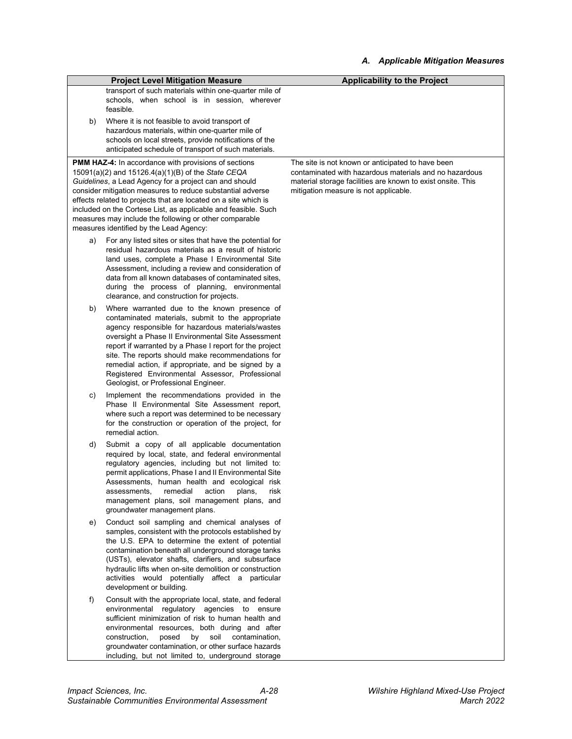|    | <b>Project Level Mitigation Measure</b>                                                                                                                                                                                                                                                                                                                                                                                                                                        | <b>Applicability to the Project</b>                                                                                                                            |
|----|--------------------------------------------------------------------------------------------------------------------------------------------------------------------------------------------------------------------------------------------------------------------------------------------------------------------------------------------------------------------------------------------------------------------------------------------------------------------------------|----------------------------------------------------------------------------------------------------------------------------------------------------------------|
|    | transport of such materials within one-quarter mile of<br>schools, when school is in session, wherever<br>feasible.                                                                                                                                                                                                                                                                                                                                                            |                                                                                                                                                                |
| b) | Where it is not feasible to avoid transport of<br>hazardous materials, within one-quarter mile of<br>schools on local streets, provide notifications of the<br>anticipated schedule of transport of such materials.                                                                                                                                                                                                                                                            |                                                                                                                                                                |
|    | <b>PMM HAZ-4:</b> In accordance with provisions of sections                                                                                                                                                                                                                                                                                                                                                                                                                    | The site is not known or anticipated to have been                                                                                                              |
|    | 15091(a)(2) and 15126.4(a)(1)(B) of the State CEQA<br>Guidelines, a Lead Agency for a project can and should<br>consider mitigation measures to reduce substantial adverse<br>effects related to projects that are located on a site which is<br>included on the Cortese List, as applicable and feasible. Such<br>measures may include the following or other comparable<br>measures identified by the Lead Agency:                                                           | contaminated with hazardous materials and no hazardous<br>material storage facilities are known to exist onsite. This<br>mitigation measure is not applicable. |
| a) | For any listed sites or sites that have the potential for<br>residual hazardous materials as a result of historic<br>land uses, complete a Phase I Environmental Site<br>Assessment, including a review and consideration of<br>data from all known databases of contaminated sites.<br>during the process of planning, environmental<br>clearance, and construction for projects.                                                                                             |                                                                                                                                                                |
| b) | Where warranted due to the known presence of<br>contaminated materials, submit to the appropriate<br>agency responsible for hazardous materials/wastes<br>oversight a Phase II Environmental Site Assessment<br>report if warranted by a Phase I report for the project<br>site. The reports should make recommendations for<br>remedial action, if appropriate, and be signed by a<br>Registered Environmental Assessor, Professional<br>Geologist, or Professional Engineer. |                                                                                                                                                                |
| C) | Implement the recommendations provided in the<br>Phase II Environmental Site Assessment report,<br>where such a report was determined to be necessary<br>for the construction or operation of the project, for<br>remedial action.                                                                                                                                                                                                                                             |                                                                                                                                                                |
| d) | Submit a copy of all applicable documentation<br>required by local, state, and federal environmental<br>regulatory agencies, including but not limited to:<br>permit applications, Phase I and II Environmental Site<br>Assessments, human health and ecological risk<br>remedial<br>action<br>assessments,<br>plans,<br>risk<br>management plans, soil management plans, and<br>groundwater management plans.                                                                 |                                                                                                                                                                |
| e) | Conduct soil sampling and chemical analyses of<br>samples, consistent with the protocols established by<br>the U.S. EPA to determine the extent of potential<br>contamination beneath all underground storage tanks<br>(USTs), elevator shafts, clarifiers, and subsurface<br>hydraulic lifts when on-site demolition or construction<br>activities would potentially affect a particular<br>development or building.                                                          |                                                                                                                                                                |
| f) | Consult with the appropriate local, state, and federal<br>environmental regulatory agencies to ensure<br>sufficient minimization of risk to human health and<br>environmental resources, both during and after<br>construction,<br>soil<br>contamination,<br>posed<br>by<br>groundwater contamination, or other surface hazards<br>including, but not limited to, underground storage                                                                                          |                                                                                                                                                                |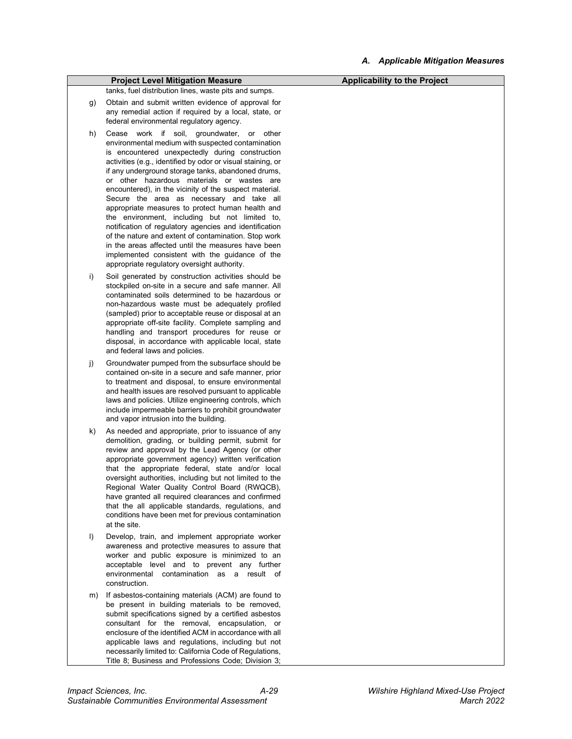|    | <b>Project Level Mitigation Measure</b>                                                                                                                                                                                                                                                                                                                                                                                                                                                                                                                                                                                                                                                                                                                                                                     | <b>Applicability to the Project</b> |
|----|-------------------------------------------------------------------------------------------------------------------------------------------------------------------------------------------------------------------------------------------------------------------------------------------------------------------------------------------------------------------------------------------------------------------------------------------------------------------------------------------------------------------------------------------------------------------------------------------------------------------------------------------------------------------------------------------------------------------------------------------------------------------------------------------------------------|-------------------------------------|
|    | tanks, fuel distribution lines, waste pits and sumps.                                                                                                                                                                                                                                                                                                                                                                                                                                                                                                                                                                                                                                                                                                                                                       |                                     |
| g) | Obtain and submit written evidence of approval for<br>any remedial action if required by a local, state, or<br>federal environmental regulatory agency.                                                                                                                                                                                                                                                                                                                                                                                                                                                                                                                                                                                                                                                     |                                     |
| h) | Cease work if soil, groundwater, or other<br>environmental medium with suspected contamination<br>is encountered unexpectedly during construction<br>activities (e.g., identified by odor or visual staining, or<br>if any underground storage tanks, abandoned drums,<br>or other hazardous materials or wastes are<br>encountered), in the vicinity of the suspect material.<br>Secure the area as necessary and take all<br>appropriate measures to protect human health and<br>the environment, including but not limited to,<br>notification of regulatory agencies and identification<br>of the nature and extent of contamination. Stop work<br>in the areas affected until the measures have been<br>implemented consistent with the quidance of the<br>appropriate regulatory oversight authority. |                                     |
| i) | Soil generated by construction activities should be<br>stockpiled on-site in a secure and safe manner. All<br>contaminated soils determined to be hazardous or<br>non-hazardous waste must be adequately profiled<br>(sampled) prior to acceptable reuse or disposal at an<br>appropriate off-site facility. Complete sampling and<br>handling and transport procedures for reuse or<br>disposal, in accordance with applicable local, state<br>and federal laws and policies.                                                                                                                                                                                                                                                                                                                              |                                     |
| j) | Groundwater pumped from the subsurface should be<br>contained on-site in a secure and safe manner, prior<br>to treatment and disposal, to ensure environmental<br>and health issues are resolved pursuant to applicable<br>laws and policies. Utilize engineering controls, which<br>include impermeable barriers to prohibit groundwater<br>and vapor intrusion into the building.                                                                                                                                                                                                                                                                                                                                                                                                                         |                                     |
| k) | As needed and appropriate, prior to issuance of any<br>demolition, grading, or building permit, submit for<br>review and approval by the Lead Agency (or other<br>appropriate government agency) written verification<br>that the appropriate federal, state and/or local<br>oversight authorities, including but not limited to the<br>Regional Water Quality Control Board (RWQCB).<br>have granted all required clearances and confirmed<br>that the all applicable standards, regulations, and<br>conditions have been met for previous contamination<br>at the site.                                                                                                                                                                                                                                   |                                     |
| I) | Develop, train, and implement appropriate worker<br>awareness and protective measures to assure that<br>worker and public exposure is minimized to an<br>acceptable level and to prevent any further<br>environmental contamination as a result of<br>construction.                                                                                                                                                                                                                                                                                                                                                                                                                                                                                                                                         |                                     |
| m) | If asbestos-containing materials (ACM) are found to<br>be present in building materials to be removed,<br>submit specifications signed by a certified asbestos<br>consultant for the removal, encapsulation, or<br>enclosure of the identified ACM in accordance with all<br>applicable laws and regulations, including but not<br>necessarily limited to: California Code of Regulations,<br>Title 8; Business and Professions Code; Division 3;                                                                                                                                                                                                                                                                                                                                                           |                                     |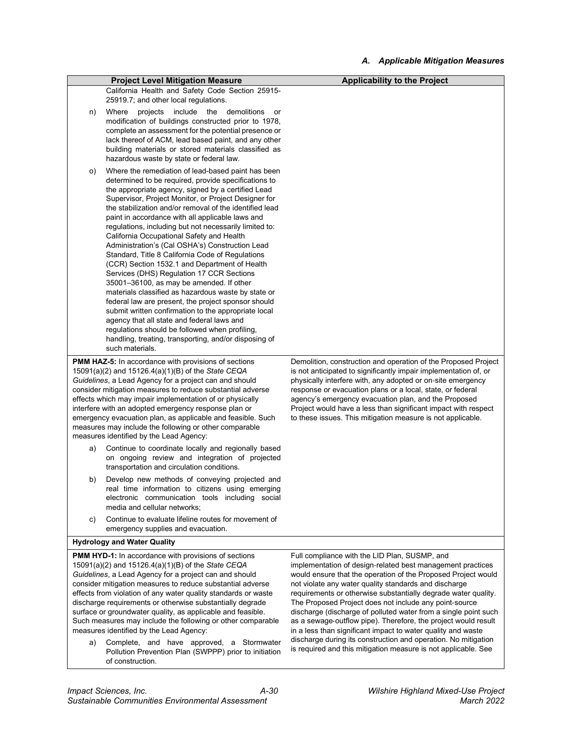| <b>Project Level Mitigation Measure</b>                                                                                                                                                                                                                                                                                                                                                                                                                                                                                                                                                                                                                                                                                                                                                                                                                                                                                                                                                                                                           |                                                                                                                                                                                                                                                                                                                                                                                                                                                                                                                                                                                                                                                                                                            |
|---------------------------------------------------------------------------------------------------------------------------------------------------------------------------------------------------------------------------------------------------------------------------------------------------------------------------------------------------------------------------------------------------------------------------------------------------------------------------------------------------------------------------------------------------------------------------------------------------------------------------------------------------------------------------------------------------------------------------------------------------------------------------------------------------------------------------------------------------------------------------------------------------------------------------------------------------------------------------------------------------------------------------------------------------|------------------------------------------------------------------------------------------------------------------------------------------------------------------------------------------------------------------------------------------------------------------------------------------------------------------------------------------------------------------------------------------------------------------------------------------------------------------------------------------------------------------------------------------------------------------------------------------------------------------------------------------------------------------------------------------------------------|
| California Health and Safety Code Section 25915-                                                                                                                                                                                                                                                                                                                                                                                                                                                                                                                                                                                                                                                                                                                                                                                                                                                                                                                                                                                                  | <b>Applicability to the Project</b>                                                                                                                                                                                                                                                                                                                                                                                                                                                                                                                                                                                                                                                                        |
|                                                                                                                                                                                                                                                                                                                                                                                                                                                                                                                                                                                                                                                                                                                                                                                                                                                                                                                                                                                                                                                   |                                                                                                                                                                                                                                                                                                                                                                                                                                                                                                                                                                                                                                                                                                            |
| or<br>modification of buildings constructed prior to 1978,<br>complete an assessment for the potential presence or<br>lack thereof of ACM, lead based paint, and any other<br>building materials or stored materials classified as                                                                                                                                                                                                                                                                                                                                                                                                                                                                                                                                                                                                                                                                                                                                                                                                                |                                                                                                                                                                                                                                                                                                                                                                                                                                                                                                                                                                                                                                                                                                            |
| Where the remediation of lead-based paint has been<br>determined to be required, provide specifications to<br>the appropriate agency, signed by a certified Lead<br>Supervisor, Project Monitor, or Project Designer for<br>the stabilization and/or removal of the identified lead<br>paint in accordance with all applicable laws and<br>regulations, including but not necessarily limited to:<br>California Occupational Safety and Health<br>Administration's (Cal OSHA's) Construction Lead<br>Standard, Title 8 California Code of Regulations<br>(CCR) Section 1532.1 and Department of Health<br>Services (DHS) Regulation 17 CCR Sections<br>35001-36100, as may be amended. If other<br>materials classified as hazardous waste by state or<br>federal law are present, the project sponsor should<br>submit written confirmation to the appropriate local<br>agency that all state and federal laws and<br>regulations should be followed when profiling,<br>handling, treating, transporting, and/or disposing of<br>such materials. |                                                                                                                                                                                                                                                                                                                                                                                                                                                                                                                                                                                                                                                                                                            |
| <b>PMM HAZ-5:</b> In accordance with provisions of sections<br>15091(a)(2) and 15126.4(a)(1)(B) of the State CEQA<br>Guidelines, a Lead Agency for a project can and should<br>consider mitigation measures to reduce substantial adverse<br>effects which may impair implementation of or physically<br>interfere with an adopted emergency response plan or<br>emergency evacuation plan, as applicable and feasible. Such<br>measures may include the following or other comparable<br>measures identified by the Lead Agency:                                                                                                                                                                                                                                                                                                                                                                                                                                                                                                                 | Demolition, construction and operation of the Proposed Project<br>is not anticipated to significantly impair implementation of, or<br>physically interfere with, any adopted or on-site emergency<br>response or evacuation plans or a local, state, or federal<br>agency's emergency evacuation plan, and the Proposed<br>Project would have a less than significant impact with respect<br>to these issues. This mitigation measure is not applicable.                                                                                                                                                                                                                                                   |
| on ongoing review and integration of projected<br>transportation and circulation conditions.                                                                                                                                                                                                                                                                                                                                                                                                                                                                                                                                                                                                                                                                                                                                                                                                                                                                                                                                                      |                                                                                                                                                                                                                                                                                                                                                                                                                                                                                                                                                                                                                                                                                                            |
| Develop new methods of conveying projected and<br>real time information to citizens using emerging<br>electronic communication tools including social<br>media and cellular networks;                                                                                                                                                                                                                                                                                                                                                                                                                                                                                                                                                                                                                                                                                                                                                                                                                                                             |                                                                                                                                                                                                                                                                                                                                                                                                                                                                                                                                                                                                                                                                                                            |
| Continue to evaluate lifeline routes for movement of<br>emergency supplies and evacuation.                                                                                                                                                                                                                                                                                                                                                                                                                                                                                                                                                                                                                                                                                                                                                                                                                                                                                                                                                        |                                                                                                                                                                                                                                                                                                                                                                                                                                                                                                                                                                                                                                                                                                            |
| <b>Hydrology and Water Quality</b>                                                                                                                                                                                                                                                                                                                                                                                                                                                                                                                                                                                                                                                                                                                                                                                                                                                                                                                                                                                                                |                                                                                                                                                                                                                                                                                                                                                                                                                                                                                                                                                                                                                                                                                                            |
| <b>PMM HYD-1:</b> In accordance with provisions of sections<br>15091(a)(2) and 15126.4(a)(1)(B) of the State CEQA<br>Guidelines, a Lead Agency for a project can and should<br>consider mitigation measures to reduce substantial adverse<br>effects from violation of any water quality standards or waste<br>discharge requirements or otherwise substantially degrade<br>surface or groundwater quality, as applicable and feasible.<br>Such measures may include the following or other comparable<br>measures identified by the Lead Agency:<br>Complete, and have approved, a Stormwater<br>Pollution Prevention Plan (SWPPP) prior to initiation                                                                                                                                                                                                                                                                                                                                                                                           | Full compliance with the LID Plan, SUSMP, and<br>implementation of design-related best management practices<br>would ensure that the operation of the Proposed Project would<br>not violate any water quality standards and discharge<br>requirements or otherwise substantially degrade water quality.<br>The Proposed Project does not include any point-source<br>discharge (discharge of polluted water from a single point such<br>as a sewage-outflow pipe). Therefore, the project would result<br>in a less than significant impact to water quality and waste<br>discharge during its construction and operation. No mitigation<br>is required and this mitigation measure is not applicable. See |
|                                                                                                                                                                                                                                                                                                                                                                                                                                                                                                                                                                                                                                                                                                                                                                                                                                                                                                                                                                                                                                                   | 25919.7; and other local regulations.<br>projects include the demolitions<br>Where<br>hazardous waste by state or federal law.<br>Continue to coordinate locally and regionally based<br>of construction.                                                                                                                                                                                                                                                                                                                                                                                                                                                                                                  |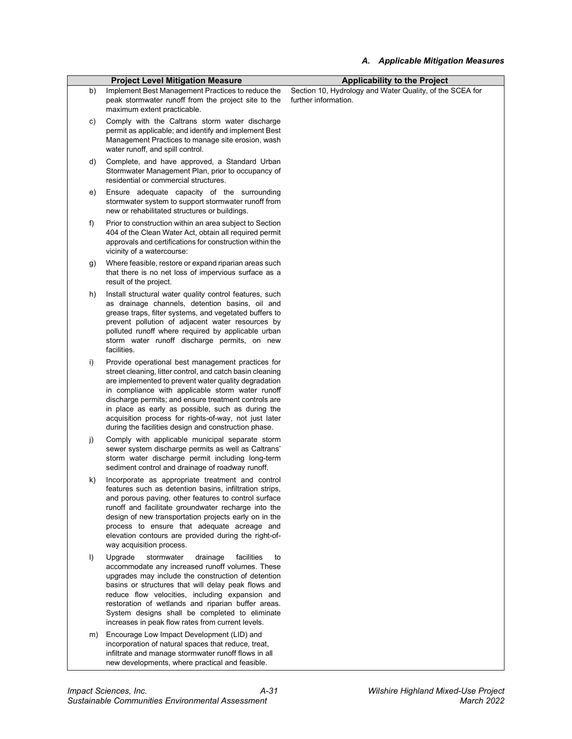|         | <b>Project Level Mitigation Measure</b>                                                                                                                                                                                                                                                                                                                                                                                                                  | <b>Applicability to the Project</b>                                              |
|---------|----------------------------------------------------------------------------------------------------------------------------------------------------------------------------------------------------------------------------------------------------------------------------------------------------------------------------------------------------------------------------------------------------------------------------------------------------------|----------------------------------------------------------------------------------|
| b)      | Implement Best Management Practices to reduce the<br>peak stormwater runoff from the project site to the<br>maximum extent practicable.                                                                                                                                                                                                                                                                                                                  | Section 10, Hydrology and Water Quality, of the SCEA for<br>further information. |
| C)      | Comply with the Caltrans storm water discharge<br>permit as applicable; and identify and implement Best<br>Management Practices to manage site erosion, wash<br>water runoff, and spill control.                                                                                                                                                                                                                                                         |                                                                                  |
| d)      | Complete, and have approved, a Standard Urban<br>Stormwater Management Plan, prior to occupancy of<br>residential or commercial structures.                                                                                                                                                                                                                                                                                                              |                                                                                  |
| e)      | Ensure adequate capacity of the surrounding<br>stormwater system to support stormwater runoff from<br>new or rehabilitated structures or buildings.                                                                                                                                                                                                                                                                                                      |                                                                                  |
| f)      | Prior to construction within an area subject to Section<br>404 of the Clean Water Act, obtain all required permit<br>approvals and certifications for construction within the<br>vicinity of a watercourse:                                                                                                                                                                                                                                              |                                                                                  |
| g)      | Where feasible, restore or expand riparian areas such<br>that there is no net loss of impervious surface as a<br>result of the project.                                                                                                                                                                                                                                                                                                                  |                                                                                  |
| h)      | Install structural water quality control features, such<br>as drainage channels, detention basins, oil and<br>grease traps, filter systems, and vegetated buffers to<br>prevent pollution of adjacent water resources by<br>polluted runoff where required by applicable urban<br>storm water runoff discharge permits, on new<br>facilities.                                                                                                            |                                                                                  |
| i)      | Provide operational best management practices for<br>street cleaning, litter control, and catch basin cleaning<br>are implemented to prevent water quality degradation<br>in compliance with applicable storm water runoff<br>discharge permits; and ensure treatment controls are<br>in place as early as possible, such as during the<br>acquisition process for rights-of-way, not just later<br>during the facilities design and construction phase. |                                                                                  |
| j)      | Comply with applicable municipal separate storm<br>sewer system discharge permits as well as Caltrans'<br>storm water discharge permit including long-term<br>sediment control and drainage of roadway runoff.                                                                                                                                                                                                                                           |                                                                                  |
| k)      | Incorporate as appropriate treatment and control<br>features such as detention basins, infiltration strips,<br>and porous paving, other features to control surface<br>runoff and facilitate groundwater recharge into the<br>design of new transportation projects early on in the<br>process to ensure that adequate acreage and<br>elevation contours are provided during the right-of-<br>way acquisition process.                                   |                                                                                  |
| $\vert$ | Upgrade<br>stormwater<br>drainage<br>facilities<br>to<br>accommodate any increased runoff volumes. These<br>upgrades may include the construction of detention<br>basins or structures that will delay peak flows and<br>reduce flow velocities, including expansion and<br>restoration of wetlands and riparian buffer areas.<br>System designs shall be completed to eliminate<br>increases in peak flow rates from current levels.                    |                                                                                  |
| m)      | Encourage Low Impact Development (LID) and<br>incorporation of natural spaces that reduce, treat,<br>infiltrate and manage stormwater runoff flows in all<br>new developments, where practical and feasible.                                                                                                                                                                                                                                             |                                                                                  |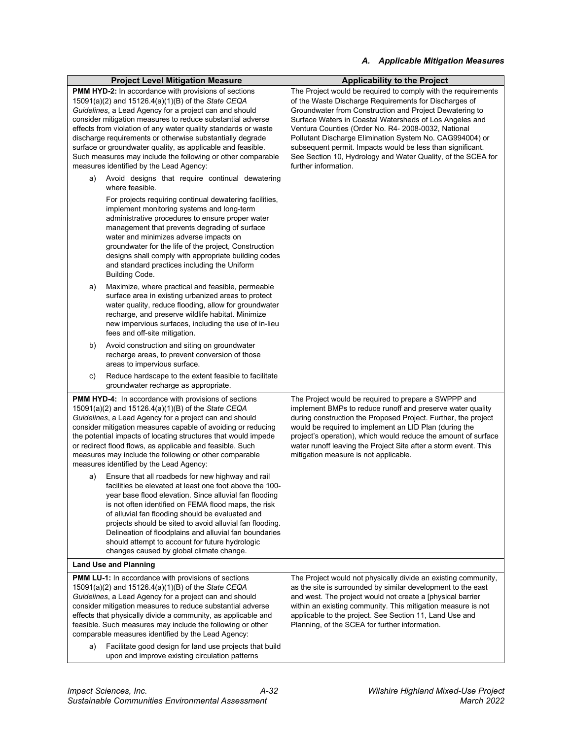#### *A. Applicable Mitigation Measures*

|                                                                                                                                                                                                                                                                                                                                                                                                                                                                                                                                                   | <b>Project Level Mitigation Measure</b>                                                                                                                                                                                                                                                                                                                                                                                                                                                                 | <b>Applicability to the Project</b>                                                                                                                                                                                                                                                                                                                                                                                                                                                                                   |
|---------------------------------------------------------------------------------------------------------------------------------------------------------------------------------------------------------------------------------------------------------------------------------------------------------------------------------------------------------------------------------------------------------------------------------------------------------------------------------------------------------------------------------------------------|---------------------------------------------------------------------------------------------------------------------------------------------------------------------------------------------------------------------------------------------------------------------------------------------------------------------------------------------------------------------------------------------------------------------------------------------------------------------------------------------------------|-----------------------------------------------------------------------------------------------------------------------------------------------------------------------------------------------------------------------------------------------------------------------------------------------------------------------------------------------------------------------------------------------------------------------------------------------------------------------------------------------------------------------|
| <b>PMM HYD-2:</b> In accordance with provisions of sections<br>15091(a)(2) and 15126.4(a)(1)(B) of the State CEQA<br>Guidelines, a Lead Agency for a project can and should<br>consider mitigation measures to reduce substantial adverse<br>effects from violation of any water quality standards or waste<br>discharge requirements or otherwise substantially degrade<br>surface or groundwater quality, as applicable and feasible.<br>Such measures may include the following or other comparable<br>measures identified by the Lead Agency: |                                                                                                                                                                                                                                                                                                                                                                                                                                                                                                         | The Project would be required to comply with the requirements<br>of the Waste Discharge Requirements for Discharges of<br>Groundwater from Construction and Project Dewatering to<br>Surface Waters in Coastal Watersheds of Los Angeles and<br>Ventura Counties (Order No. R4- 2008-0032, National<br>Pollutant Discharge Elimination System No. CAG994004) or<br>subsequent permit. Impacts would be less than significant.<br>See Section 10, Hydrology and Water Quality, of the SCEA for<br>further information. |
| a)                                                                                                                                                                                                                                                                                                                                                                                                                                                                                                                                                | Avoid designs that require continual dewatering<br>where feasible.                                                                                                                                                                                                                                                                                                                                                                                                                                      |                                                                                                                                                                                                                                                                                                                                                                                                                                                                                                                       |
|                                                                                                                                                                                                                                                                                                                                                                                                                                                                                                                                                   | For projects requiring continual dewatering facilities,<br>implement monitoring systems and long-term<br>administrative procedures to ensure proper water<br>management that prevents degrading of surface<br>water and minimizes adverse impacts on<br>groundwater for the life of the project, Construction<br>designs shall comply with appropriate building codes<br>and standard practices including the Uniform<br><b>Building Code.</b>                                                          |                                                                                                                                                                                                                                                                                                                                                                                                                                                                                                                       |
| a)                                                                                                                                                                                                                                                                                                                                                                                                                                                                                                                                                | Maximize, where practical and feasible, permeable<br>surface area in existing urbanized areas to protect<br>water quality, reduce flooding, allow for groundwater<br>recharge, and preserve wildlife habitat. Minimize<br>new impervious surfaces, including the use of in-lieu<br>fees and off-site mitigation.                                                                                                                                                                                        |                                                                                                                                                                                                                                                                                                                                                                                                                                                                                                                       |
| b)                                                                                                                                                                                                                                                                                                                                                                                                                                                                                                                                                | Avoid construction and siting on groundwater<br>recharge areas, to prevent conversion of those<br>areas to impervious surface.                                                                                                                                                                                                                                                                                                                                                                          |                                                                                                                                                                                                                                                                                                                                                                                                                                                                                                                       |
| c)                                                                                                                                                                                                                                                                                                                                                                                                                                                                                                                                                | Reduce hardscape to the extent feasible to facilitate<br>groundwater recharge as appropriate.                                                                                                                                                                                                                                                                                                                                                                                                           |                                                                                                                                                                                                                                                                                                                                                                                                                                                                                                                       |
| <b>PMM HYD-4:</b> In accordance with provisions of sections<br>15091(a)(2) and 15126.4(a)(1)(B) of the State CEQA<br>Guidelines, a Lead Agency for a project can and should<br>consider mitigation measures capable of avoiding or reducing<br>the potential impacts of locating structures that would impede<br>or redirect flood flows, as applicable and feasible. Such<br>measures may include the following or other comparable<br>measures identified by the Lead Agency:                                                                   |                                                                                                                                                                                                                                                                                                                                                                                                                                                                                                         | The Project would be required to prepare a SWPPP and<br>implement BMPs to reduce runoff and preserve water quality<br>during construction the Proposed Project. Further, the project<br>would be required to implement an LID Plan (during the<br>project's operation), which would reduce the amount of surface<br>water runoff leaving the Project Site after a storm event. This<br>mitigation measure is not applicable.                                                                                          |
| a)                                                                                                                                                                                                                                                                                                                                                                                                                                                                                                                                                | Ensure that all roadbeds for new highway and rail<br>facilities be elevated at least one foot above the 100-<br>year base flood elevation. Since alluvial fan flooding<br>is not often identified on FEMA flood maps, the risk<br>of alluvial fan flooding should be evaluated and<br>projects should be sited to avoid alluvial fan flooding.<br>Delineation of floodplains and alluvial fan boundaries<br>should attempt to account for future hydrologic<br>changes caused by global climate change. |                                                                                                                                                                                                                                                                                                                                                                                                                                                                                                                       |
|                                                                                                                                                                                                                                                                                                                                                                                                                                                                                                                                                   | <b>Land Use and Planning</b>                                                                                                                                                                                                                                                                                                                                                                                                                                                                            |                                                                                                                                                                                                                                                                                                                                                                                                                                                                                                                       |
|                                                                                                                                                                                                                                                                                                                                                                                                                                                                                                                                                   | <b>PMM LU-1:</b> In accordance with provisions of sections<br>15091(a)(2) and 15126.4(a)(1)(B) of the State CEQA<br>Guidelines, a Lead Agency for a project can and should<br>consider mitigation measures to reduce substantial adverse<br>effects that physically divide a community, as applicable and<br>feasible. Such measures may include the following or other<br>comparable measures identified by the Lead Agency:<br>Feellitate good decign for lend use projects that build                | The Project would not physically divide an existing community,<br>as the site is surrounded by similar development to the east<br>and west. The project would not create a [physical barrier<br>within an existing community. This mitigation measure is not<br>applicable to the project. See Section 11, Land Use and<br>Planning, of the SCEA for further information.                                                                                                                                             |

a) Facilitate good design for land use projects that build upon and improve existing circulation patterns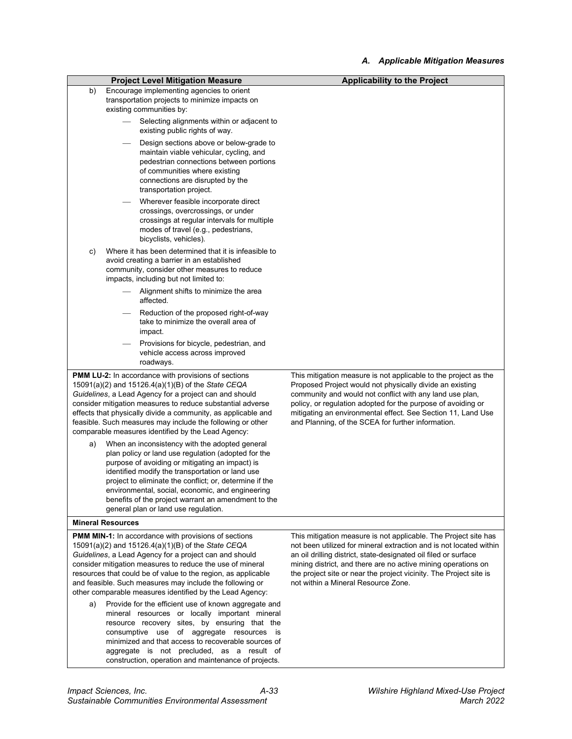|                                                                                                                                                                                                                                                                                                                                                                                                                               | <b>Project Level Mitigation Measure</b>                                                                                                                                                                                                                                                                                                                                                                                           | <b>Applicability to the Project</b>                                                                                                                                                                                                                                                                                                                                                    |
|-------------------------------------------------------------------------------------------------------------------------------------------------------------------------------------------------------------------------------------------------------------------------------------------------------------------------------------------------------------------------------------------------------------------------------|-----------------------------------------------------------------------------------------------------------------------------------------------------------------------------------------------------------------------------------------------------------------------------------------------------------------------------------------------------------------------------------------------------------------------------------|----------------------------------------------------------------------------------------------------------------------------------------------------------------------------------------------------------------------------------------------------------------------------------------------------------------------------------------------------------------------------------------|
| b)                                                                                                                                                                                                                                                                                                                                                                                                                            | Encourage implementing agencies to orient<br>transportation projects to minimize impacts on<br>existing communities by:                                                                                                                                                                                                                                                                                                           |                                                                                                                                                                                                                                                                                                                                                                                        |
|                                                                                                                                                                                                                                                                                                                                                                                                                               | Selecting alignments within or adjacent to<br>existing public rights of way.                                                                                                                                                                                                                                                                                                                                                      |                                                                                                                                                                                                                                                                                                                                                                                        |
|                                                                                                                                                                                                                                                                                                                                                                                                                               | Design sections above or below-grade to<br>maintain viable vehicular, cycling, and<br>pedestrian connections between portions<br>of communities where existing<br>connections are disrupted by the<br>transportation project.                                                                                                                                                                                                     |                                                                                                                                                                                                                                                                                                                                                                                        |
|                                                                                                                                                                                                                                                                                                                                                                                                                               | Wherever feasible incorporate direct<br>crossings, overcrossings, or under<br>crossings at regular intervals for multiple<br>modes of travel (e.g., pedestrians,<br>bicyclists, vehicles).                                                                                                                                                                                                                                        |                                                                                                                                                                                                                                                                                                                                                                                        |
| C)                                                                                                                                                                                                                                                                                                                                                                                                                            | Where it has been determined that it is infeasible to<br>avoid creating a barrier in an established<br>community, consider other measures to reduce<br>impacts, including but not limited to:                                                                                                                                                                                                                                     |                                                                                                                                                                                                                                                                                                                                                                                        |
|                                                                                                                                                                                                                                                                                                                                                                                                                               | Alignment shifts to minimize the area<br>affected.                                                                                                                                                                                                                                                                                                                                                                                |                                                                                                                                                                                                                                                                                                                                                                                        |
|                                                                                                                                                                                                                                                                                                                                                                                                                               | Reduction of the proposed right-of-way<br>take to minimize the overall area of<br>impact.                                                                                                                                                                                                                                                                                                                                         |                                                                                                                                                                                                                                                                                                                                                                                        |
|                                                                                                                                                                                                                                                                                                                                                                                                                               | Provisions for bicycle, pedestrian, and<br>vehicle access across improved<br>roadways.                                                                                                                                                                                                                                                                                                                                            |                                                                                                                                                                                                                                                                                                                                                                                        |
| <b>PMM LU-2:</b> In accordance with provisions of sections<br>15091(a)(2) and 15126.4(a)(1)(B) of the State CEQA<br>Guidelines, a Lead Agency for a project can and should<br>consider mitigation measures to reduce substantial adverse<br>effects that physically divide a community, as applicable and<br>feasible. Such measures may include the following or other<br>comparable measures identified by the Lead Agency: |                                                                                                                                                                                                                                                                                                                                                                                                                                   | This mitigation measure is not applicable to the project as the<br>Proposed Project would not physically divide an existing<br>community and would not conflict with any land use plan,<br>policy, or regulation adopted for the purpose of avoiding or<br>mitigating an environmental effect. See Section 11, Land Use<br>and Planning, of the SCEA for further information.          |
| a)                                                                                                                                                                                                                                                                                                                                                                                                                            | When an inconsistency with the adopted general<br>plan policy or land use regulation (adopted for the<br>purpose of avoiding or mitigating an impact) is<br>identified modify the transportation or land use<br>project to eliminate the conflict; or, determine if the<br>environmental, social, economic, and engineering<br>benefits of the project warrant an amendment to the<br>general plan or land use regulation.        |                                                                                                                                                                                                                                                                                                                                                                                        |
|                                                                                                                                                                                                                                                                                                                                                                                                                               | <b>Mineral Resources</b>                                                                                                                                                                                                                                                                                                                                                                                                          |                                                                                                                                                                                                                                                                                                                                                                                        |
|                                                                                                                                                                                                                                                                                                                                                                                                                               | <b>PMM MIN-1:</b> In accordance with provisions of sections<br>15091(a)(2) and 15126.4(a)(1)(B) of the State CEQA<br>Guidelines, a Lead Agency for a project can and should<br>consider mitigation measures to reduce the use of mineral<br>resources that could be of value to the region, as applicable<br>and feasible. Such measures may include the following or<br>other comparable measures identified by the Lead Agency: | This mitigation measure is not applicable. The Project site has<br>not been utilized for mineral extraction and is not located within<br>an oil drilling district, state-designated oil filed or surface<br>mining district, and there are no active mining operations on<br>the project site or near the project vicinity. The Project site is<br>not within a Mineral Resource Zone. |
| a)                                                                                                                                                                                                                                                                                                                                                                                                                            | Provide for the efficient use of known aggregate and<br>mineral resources or locally important mineral<br>resource recovery sites, by ensuring that the<br>consumptive use of aggregate resources is<br>minimized and that access to recoverable sources of<br>aggregate is not precluded, as a result of<br>construction, operation and maintenance of projects.                                                                 |                                                                                                                                                                                                                                                                                                                                                                                        |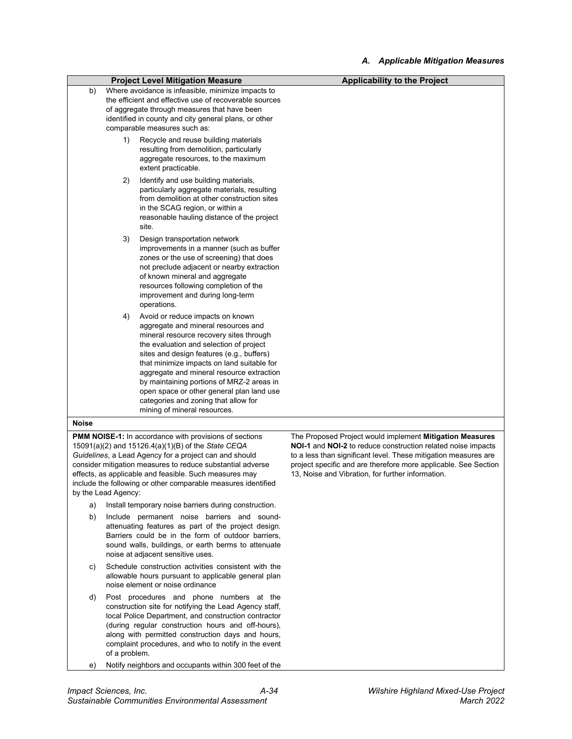|                                                                                                                                                                                                                                                                                                                                                                                               |    | <b>Project Level Mitigation Measure</b>                                                                                                                                                                                                                                                                                                                                                                                                                                 | <b>Applicability to the Project</b>                                                                                                                                                                                                                                                                                 |
|-----------------------------------------------------------------------------------------------------------------------------------------------------------------------------------------------------------------------------------------------------------------------------------------------------------------------------------------------------------------------------------------------|----|-------------------------------------------------------------------------------------------------------------------------------------------------------------------------------------------------------------------------------------------------------------------------------------------------------------------------------------------------------------------------------------------------------------------------------------------------------------------------|---------------------------------------------------------------------------------------------------------------------------------------------------------------------------------------------------------------------------------------------------------------------------------------------------------------------|
| b)                                                                                                                                                                                                                                                                                                                                                                                            |    | Where avoidance is infeasible, minimize impacts to<br>the efficient and effective use of recoverable sources<br>of aggregate through measures that have been<br>identified in county and city general plans, or other<br>comparable measures such as:                                                                                                                                                                                                                   |                                                                                                                                                                                                                                                                                                                     |
|                                                                                                                                                                                                                                                                                                                                                                                               | 1) | Recycle and reuse building materials<br>resulting from demolition, particularly<br>aggregate resources, to the maximum<br>extent practicable.                                                                                                                                                                                                                                                                                                                           |                                                                                                                                                                                                                                                                                                                     |
|                                                                                                                                                                                                                                                                                                                                                                                               | 2) | Identify and use building materials,<br>particularly aggregate materials, resulting<br>from demolition at other construction sites<br>in the SCAG region, or within a<br>reasonable hauling distance of the project<br>site.                                                                                                                                                                                                                                            |                                                                                                                                                                                                                                                                                                                     |
|                                                                                                                                                                                                                                                                                                                                                                                               | 3) | Design transportation network<br>improvements in a manner (such as buffer<br>zones or the use of screening) that does<br>not preclude adjacent or nearby extraction<br>of known mineral and aggregate<br>resources following completion of the<br>improvement and during long-term<br>operations.                                                                                                                                                                       |                                                                                                                                                                                                                                                                                                                     |
|                                                                                                                                                                                                                                                                                                                                                                                               | 4) | Avoid or reduce impacts on known<br>aggregate and mineral resources and<br>mineral resource recovery sites through<br>the evaluation and selection of project<br>sites and design features (e.g., buffers)<br>that minimize impacts on land suitable for<br>aggregate and mineral resource extraction<br>by maintaining portions of MRZ-2 areas in<br>open space or other general plan land use<br>categories and zoning that allow for<br>mining of mineral resources. |                                                                                                                                                                                                                                                                                                                     |
| <b>Noise</b>                                                                                                                                                                                                                                                                                                                                                                                  |    |                                                                                                                                                                                                                                                                                                                                                                                                                                                                         |                                                                                                                                                                                                                                                                                                                     |
| <b>PMM NOISE-1:</b> In accordance with provisions of sections<br>15091(a)(2) and 15126.4(a)(1)(B) of the State CEQA<br>Guidelines, a Lead Agency for a project can and should<br>consider mitigation measures to reduce substantial adverse<br>effects, as applicable and feasible. Such measures may<br>include the following or other comparable measures identified<br>by the Lead Agency: |    |                                                                                                                                                                                                                                                                                                                                                                                                                                                                         | The Proposed Project would implement Mitigation Measures<br>NOI-1 and NOI-2 to reduce construction related noise impacts<br>to a less than significant level. These mitigation measures are<br>project specific and are therefore more applicable. See Section<br>13, Noise and Vibration, for further information. |

- a) Install temporary noise barriers during construction.
- b) Include permanent noise barriers and soundattenuating features as part of the project design. Barriers could be in the form of outdoor barriers, sound walls, buildings, or earth berms to attenuate noise at adjacent sensitive uses.
- c) Schedule construction activities consistent with the allowable hours pursuant to applicable general plan noise element or noise ordinance
- d) Post procedures and phone numbers at the construction site for notifying the Lead Agency staff, local Police Department, and construction contractor (during regular construction hours and off-hours), along with permitted construction days and hours, complaint procedures, and who to notify in the event of a problem.
- e) Notify neighbors and occupants within 300 feet of the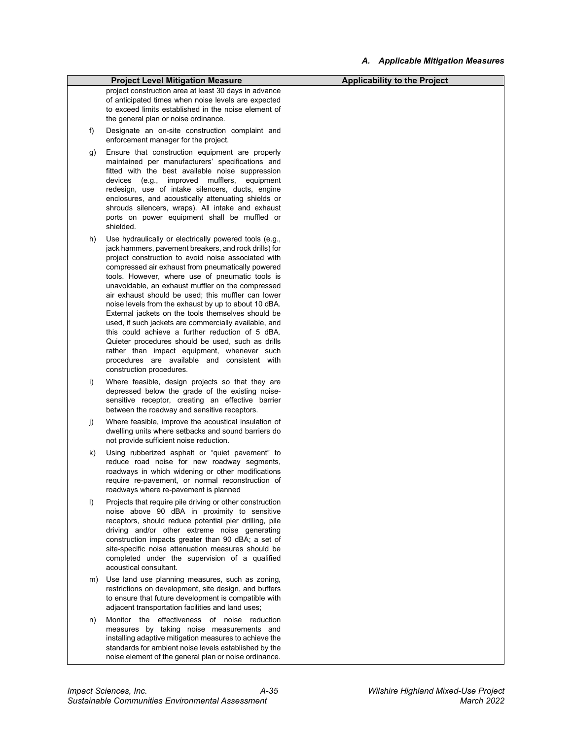|         | <b>Project Level Mitigation Measure</b>                                                                                                                                                                                                                                                                                                                                                                                                                                                                                                                                                                                                                                                                                                                                                              | <b>Applicability to the Project</b> |
|---------|------------------------------------------------------------------------------------------------------------------------------------------------------------------------------------------------------------------------------------------------------------------------------------------------------------------------------------------------------------------------------------------------------------------------------------------------------------------------------------------------------------------------------------------------------------------------------------------------------------------------------------------------------------------------------------------------------------------------------------------------------------------------------------------------------|-------------------------------------|
|         | project construction area at least 30 days in advance<br>of anticipated times when noise levels are expected<br>to exceed limits established in the noise element of<br>the general plan or noise ordinance.                                                                                                                                                                                                                                                                                                                                                                                                                                                                                                                                                                                         |                                     |
| f)      | Designate an on-site construction complaint and<br>enforcement manager for the project.                                                                                                                                                                                                                                                                                                                                                                                                                                                                                                                                                                                                                                                                                                              |                                     |
| g)      | Ensure that construction equipment are properly<br>maintained per manufacturers' specifications and<br>fitted with the best available noise suppression<br>improved<br>mufflers,<br>devices<br>(e.g.,<br>equipment<br>redesign, use of intake silencers, ducts, engine<br>enclosures, and acoustically attenuating shields or<br>shrouds silencers, wraps). All intake and exhaust<br>ports on power equipment shall be muffled or<br>shielded.                                                                                                                                                                                                                                                                                                                                                      |                                     |
| h)      | Use hydraulically or electrically powered tools (e.g.,<br>jack hammers, pavement breakers, and rock drills) for<br>project construction to avoid noise associated with<br>compressed air exhaust from pneumatically powered<br>tools. However, where use of pneumatic tools is<br>unavoidable, an exhaust muffler on the compressed<br>air exhaust should be used; this muffler can lower<br>noise levels from the exhaust by up to about 10 dBA.<br>External jackets on the tools themselves should be<br>used, if such jackets are commercially available, and<br>this could achieve a further reduction of 5 dBA.<br>Quieter procedures should be used, such as drills<br>rather than impact equipment, whenever such<br>procedures are available and consistent with<br>construction procedures. |                                     |
| i)      | Where feasible, design projects so that they are<br>depressed below the grade of the existing noise-<br>sensitive receptor, creating an effective barrier<br>between the roadway and sensitive receptors.                                                                                                                                                                                                                                                                                                                                                                                                                                                                                                                                                                                            |                                     |
| j)      | Where feasible, improve the acoustical insulation of<br>dwelling units where setbacks and sound barriers do<br>not provide sufficient noise reduction.                                                                                                                                                                                                                                                                                                                                                                                                                                                                                                                                                                                                                                               |                                     |
| k)      | Using rubberized asphalt or "quiet pavement" to<br>reduce road noise for new roadway segments,<br>roadways in which widening or other modifications<br>require re-pavement, or normal reconstruction of<br>roadways where re-pavement is planned                                                                                                                                                                                                                                                                                                                                                                                                                                                                                                                                                     |                                     |
| $\vert$ | Projects that require pile driving or other construction<br>noise above 90 dBA in proximity to sensitive<br>receptors, should reduce potential pier drilling, pile<br>driving and/or other extreme noise generating<br>construction impacts greater than 90 dBA; a set of<br>site-specific noise attenuation measures should be<br>completed under the supervision of a qualified<br>acoustical consultant.                                                                                                                                                                                                                                                                                                                                                                                          |                                     |
| m)      | Use land use planning measures, such as zoning,<br>restrictions on development, site design, and buffers<br>to ensure that future development is compatible with<br>adjacent transportation facilities and land uses;                                                                                                                                                                                                                                                                                                                                                                                                                                                                                                                                                                                |                                     |
| n)      | Monitor the effectiveness of noise reduction<br>measures by taking noise measurements and<br>installing adaptive mitigation measures to achieve the<br>standards for ambient noise levels established by the<br>noise element of the general plan or noise ordinance.                                                                                                                                                                                                                                                                                                                                                                                                                                                                                                                                |                                     |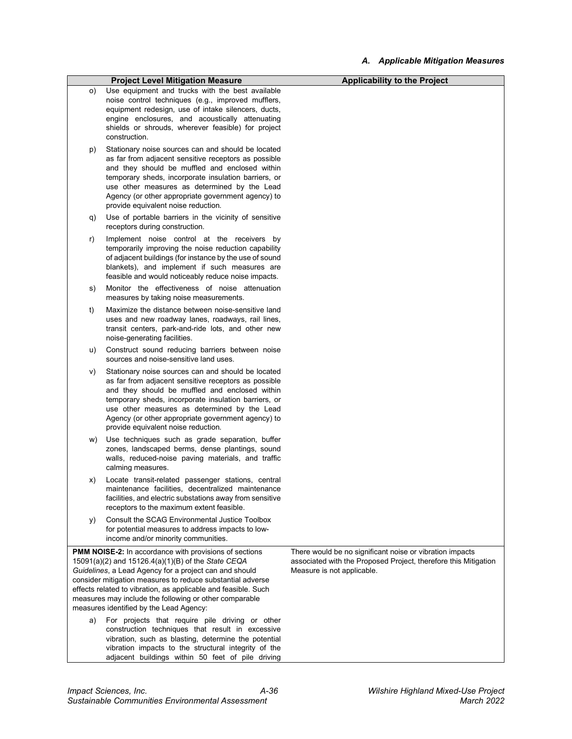|    | <b>Project Level Mitigation Measure</b>                                                                                                                                                                                                                                                                                                                                                                                                                                                                                                                                                                                                   | <b>Applicability to the Project</b>                                                                                                                       |
|----|-------------------------------------------------------------------------------------------------------------------------------------------------------------------------------------------------------------------------------------------------------------------------------------------------------------------------------------------------------------------------------------------------------------------------------------------------------------------------------------------------------------------------------------------------------------------------------------------------------------------------------------------|-----------------------------------------------------------------------------------------------------------------------------------------------------------|
| O) | Use equipment and trucks with the best available<br>noise control techniques (e.g., improved mufflers,<br>equipment redesign, use of intake silencers, ducts,<br>engine enclosures, and acoustically attenuating<br>shields or shrouds, wherever feasible) for project<br>construction.                                                                                                                                                                                                                                                                                                                                                   |                                                                                                                                                           |
| p) | Stationary noise sources can and should be located<br>as far from adjacent sensitive receptors as possible<br>and they should be muffled and enclosed within<br>temporary sheds, incorporate insulation barriers, or<br>use other measures as determined by the Lead<br>Agency (or other appropriate government agency) to<br>provide equivalent noise reduction.                                                                                                                                                                                                                                                                         |                                                                                                                                                           |
| q) | Use of portable barriers in the vicinity of sensitive<br>receptors during construction.                                                                                                                                                                                                                                                                                                                                                                                                                                                                                                                                                   |                                                                                                                                                           |
| r) | Implement noise control at the receivers by<br>temporarily improving the noise reduction capability<br>of adjacent buildings (for instance by the use of sound<br>blankets), and implement if such measures are<br>feasible and would noticeably reduce noise impacts.                                                                                                                                                                                                                                                                                                                                                                    |                                                                                                                                                           |
| s) | Monitor the effectiveness of noise attenuation<br>measures by taking noise measurements.                                                                                                                                                                                                                                                                                                                                                                                                                                                                                                                                                  |                                                                                                                                                           |
| t) | Maximize the distance between noise-sensitive land<br>uses and new roadway lanes, roadways, rail lines,<br>transit centers, park-and-ride lots, and other new<br>noise-generating facilities.                                                                                                                                                                                                                                                                                                                                                                                                                                             |                                                                                                                                                           |
| u) | Construct sound reducing barriers between noise<br>sources and noise-sensitive land uses.                                                                                                                                                                                                                                                                                                                                                                                                                                                                                                                                                 |                                                                                                                                                           |
| V) | Stationary noise sources can and should be located<br>as far from adjacent sensitive receptors as possible<br>and they should be muffled and enclosed within<br>temporary sheds, incorporate insulation barriers, or<br>use other measures as determined by the Lead<br>Agency (or other appropriate government agency) to<br>provide equivalent noise reduction.                                                                                                                                                                                                                                                                         |                                                                                                                                                           |
| W) | Use techniques such as grade separation, buffer<br>zones, landscaped berms, dense plantings, sound<br>walls, reduced-noise paving materials, and traffic<br>calming measures.                                                                                                                                                                                                                                                                                                                                                                                                                                                             |                                                                                                                                                           |
| X) | Locate transit-related passenger stations, central<br>maintenance facilities, decentralized maintenance<br>facilities, and electric substations away from sensitive<br>receptors to the maximum extent feasible.                                                                                                                                                                                                                                                                                                                                                                                                                          |                                                                                                                                                           |
| y) | Consult the SCAG Environmental Justice Toolbox<br>for potential measures to address impacts to low-<br>income and/or minority communities.                                                                                                                                                                                                                                                                                                                                                                                                                                                                                                |                                                                                                                                                           |
| a) | <b>PMM NOISE-2:</b> In accordance with provisions of sections<br>15091(a)(2) and 15126.4(a)(1)(B) of the State CEQA<br>Guidelines, a Lead Agency for a project can and should<br>consider mitigation measures to reduce substantial adverse<br>effects related to vibration, as applicable and feasible. Such<br>measures may include the following or other comparable<br>measures identified by the Lead Agency:<br>For projects that require pile driving or other<br>construction techniques that result in excessive<br>vibration, such as blasting, determine the potential<br>vibration impacts to the structural integrity of the | There would be no significant noise or vibration impacts<br>associated with the Proposed Project, therefore this Mitigation<br>Measure is not applicable. |

adjacent buildings within 50 feet of pile driving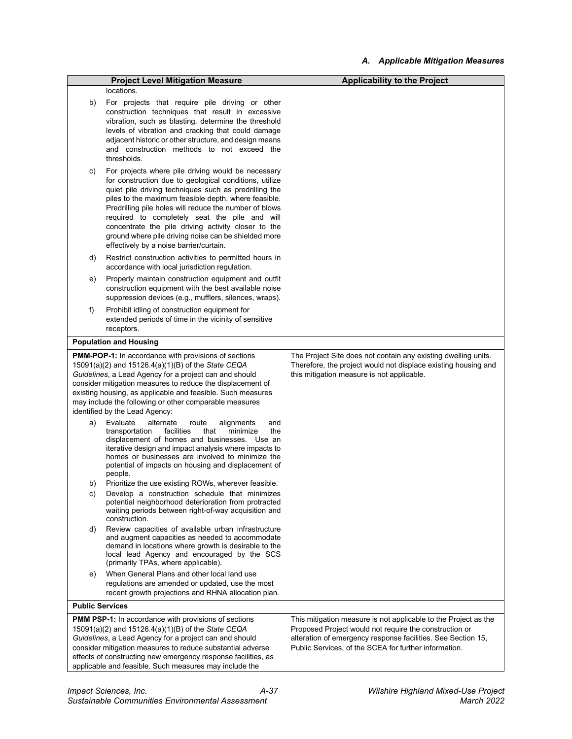|                        | <b>Project Level Mitigation Measure</b>                                                                                                                                                                                                                                                                                                                                                                                                                                                            | <b>Applicability to the Project</b>                                                                                                                                                                                                                |
|------------------------|----------------------------------------------------------------------------------------------------------------------------------------------------------------------------------------------------------------------------------------------------------------------------------------------------------------------------------------------------------------------------------------------------------------------------------------------------------------------------------------------------|----------------------------------------------------------------------------------------------------------------------------------------------------------------------------------------------------------------------------------------------------|
|                        | locations.                                                                                                                                                                                                                                                                                                                                                                                                                                                                                         |                                                                                                                                                                                                                                                    |
| b)                     | For projects that require pile driving or other<br>construction techniques that result in excessive<br>vibration, such as blasting, determine the threshold<br>levels of vibration and cracking that could damage<br>adjacent historic or other structure, and design means<br>and construction methods to not exceed the<br>thresholds.                                                                                                                                                           |                                                                                                                                                                                                                                                    |
| c)                     | For projects where pile driving would be necessary<br>for construction due to geological conditions, utilize<br>quiet pile driving techniques such as predrilling the<br>piles to the maximum feasible depth, where feasible.<br>Predrilling pile holes will reduce the number of blows<br>required to completely seat the pile and will<br>concentrate the pile driving activity closer to the<br>ground where pile driving noise can be shielded more<br>effectively by a noise barrier/curtain. |                                                                                                                                                                                                                                                    |
| d)                     | Restrict construction activities to permitted hours in<br>accordance with local jurisdiction regulation.                                                                                                                                                                                                                                                                                                                                                                                           |                                                                                                                                                                                                                                                    |
| e)                     | Properly maintain construction equipment and outfit<br>construction equipment with the best available noise<br>suppression devices (e.g., mufflers, silences, wraps).                                                                                                                                                                                                                                                                                                                              |                                                                                                                                                                                                                                                    |
| f)                     | Prohibit idling of construction equipment for<br>extended periods of time in the vicinity of sensitive<br>receptors.                                                                                                                                                                                                                                                                                                                                                                               |                                                                                                                                                                                                                                                    |
|                        | <b>Population and Housing</b>                                                                                                                                                                                                                                                                                                                                                                                                                                                                      |                                                                                                                                                                                                                                                    |
|                        | 15091(a)(2) and 15126.4(a)(1)(B) of the State CEQA<br>Guidelines, a Lead Agency for a project can and should<br>consider mitigation measures to reduce the displacement of<br>existing housing, as applicable and feasible. Such measures<br>may include the following or other comparable measures<br>identified by the Lead Agency:                                                                                                                                                              | Therefore, the project would not displace existing housing and<br>this mitigation measure is not applicable.                                                                                                                                       |
| a)                     | Evaluate<br>alternate<br>route<br>alignments<br>and<br>facilities<br>minimize<br>transportation<br>that<br>the<br>displacement of homes and businesses.<br>Use an<br>iterative design and impact analysis where impacts to<br>homes or businesses are involved to minimize the<br>potential of impacts on housing and displacement of<br>people.                                                                                                                                                   |                                                                                                                                                                                                                                                    |
| b)<br>C)               | Prioritize the use existing ROWs, wherever feasible.<br>Develop a construction schedule that minimizes<br>potential neighborhood deterioration from protracted<br>waiting periods between right-of-way acquisition and<br>construction.                                                                                                                                                                                                                                                            |                                                                                                                                                                                                                                                    |
| d)                     | Review capacities of available urban infrastructure<br>and augment capacities as needed to accommodate<br>demand in locations where growth is desirable to the<br>local lead Agency and encouraged by the SCS<br>(primarily TPAs, where applicable).                                                                                                                                                                                                                                               |                                                                                                                                                                                                                                                    |
| e)                     | When General Plans and other local land use<br>regulations are amended or updated, use the most<br>recent growth projections and RHNA allocation plan.                                                                                                                                                                                                                                                                                                                                             |                                                                                                                                                                                                                                                    |
| <b>Public Services</b> |                                                                                                                                                                                                                                                                                                                                                                                                                                                                                                    |                                                                                                                                                                                                                                                    |
|                        | PMM PSP-1: In accordance with provisions of sections<br>15091(a)(2) and 15126.4(a)(1)(B) of the State CEQA<br>Guidelines, a Lead Agency for a project can and should<br>consider mitigation measures to reduce substantial adverse<br>effects of constructing new emergency response facilities, as<br>applicable and feasible. Such measures may include the                                                                                                                                      | This mitigation measure is not applicable to the Project as the<br>Proposed Project would not require the construction or<br>alteration of emergency response facilities. See Section 15,<br>Public Services, of the SCEA for further information. |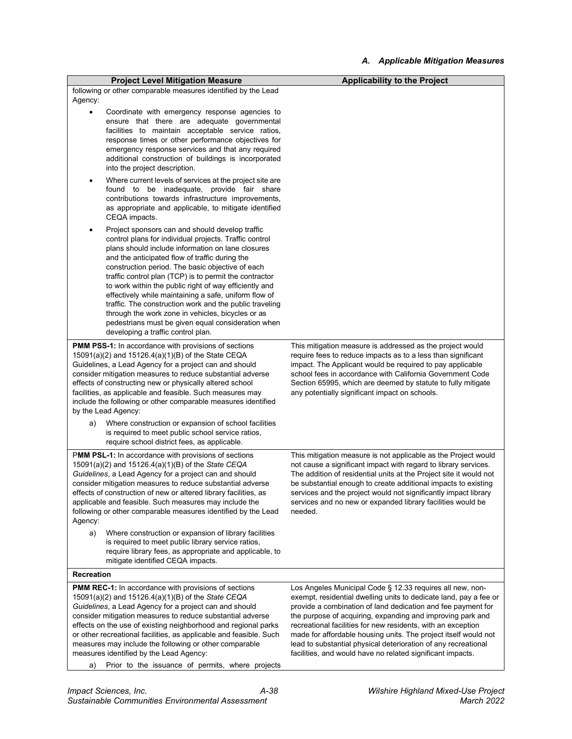| <b>Project Level Mitigation Measure</b>                                                                                                                                                                                                                                                                                                                                                                                                                                                                                                                                                                                                                            | <b>Applicability to the Project</b>                                                                                                                                                                                                                                                                                                                                                                                                                                |
|--------------------------------------------------------------------------------------------------------------------------------------------------------------------------------------------------------------------------------------------------------------------------------------------------------------------------------------------------------------------------------------------------------------------------------------------------------------------------------------------------------------------------------------------------------------------------------------------------------------------------------------------------------------------|--------------------------------------------------------------------------------------------------------------------------------------------------------------------------------------------------------------------------------------------------------------------------------------------------------------------------------------------------------------------------------------------------------------------------------------------------------------------|
| following or other comparable measures identified by the Lead<br>Agency:                                                                                                                                                                                                                                                                                                                                                                                                                                                                                                                                                                                           |                                                                                                                                                                                                                                                                                                                                                                                                                                                                    |
| Coordinate with emergency response agencies to<br>$\bullet$<br>ensure that there are adequate governmental<br>facilities to maintain acceptable service ratios,<br>response times or other performance objectives for<br>emergency response services and that any required<br>additional construction of buildings is incorporated<br>into the project description.                                                                                                                                                                                                                                                                                                |                                                                                                                                                                                                                                                                                                                                                                                                                                                                    |
| Where current levels of services at the project site are<br>found to be inadequate, provide fair share<br>contributions towards infrastructure improvements,<br>as appropriate and applicable, to mitigate identified<br>CEQA impacts.                                                                                                                                                                                                                                                                                                                                                                                                                             |                                                                                                                                                                                                                                                                                                                                                                                                                                                                    |
| Project sponsors can and should develop traffic<br>٠<br>control plans for individual projects. Traffic control<br>plans should include information on lane closures<br>and the anticipated flow of traffic during the<br>construction period. The basic objective of each<br>traffic control plan (TCP) is to permit the contractor<br>to work within the public right of way efficiently and<br>effectively while maintaining a safe, uniform flow of<br>traffic. The construction work and the public traveling<br>through the work zone in vehicles, bicycles or as<br>pedestrians must be given equal consideration when<br>developing a traffic control plan. |                                                                                                                                                                                                                                                                                                                                                                                                                                                                    |
| <b>PMM PSS-1:</b> In accordance with provisions of sections<br>15091(a)(2) and 15126.4(a)(1)(B) of the State CEQA<br>Guidelines, a Lead Agency for a project can and should<br>consider mitigation measures to reduce substantial adverse<br>effects of constructing new or physically altered school<br>facilities, as applicable and feasible. Such measures may<br>include the following or other comparable measures identified<br>by the Lead Agency:                                                                                                                                                                                                         | This mitigation measure is addressed as the project would<br>require fees to reduce impacts as to a less than significant<br>impact. The Applicant would be required to pay applicable<br>school fees in accordance with California Government Code<br>Section 65995, which are deemed by statute to fully mitigate<br>any potentially significant impact on schools.                                                                                              |
| Where construction or expansion of school facilities<br>a)<br>is required to meet public school service ratios,<br>require school district fees, as applicable.                                                                                                                                                                                                                                                                                                                                                                                                                                                                                                    |                                                                                                                                                                                                                                                                                                                                                                                                                                                                    |
| <b>PMM PSL-1:</b> In accordance with provisions of sections<br>15091(a)(2) and 15126.4(a)(1)(B) of the State CEQA<br>Guidelines, a Lead Agency for a project can and should<br>consider mitigation measures to reduce substantial adverse<br>effects of construction of new or altered library facilities, as<br>applicable and feasible. Such measures may include the<br>following or other comparable measures identified by the Lead<br>Agency:<br>Where construction or expansion of library facilities<br>a)<br>is required to meet public library service ratios,<br>require library fees, as appropriate and applicable, to                                | This mitigation measure is not applicable as the Project would<br>not cause a significant impact with regard to library services.<br>The addition of residential units at the Project site it would not<br>be substantial enough to create additional impacts to existing<br>services and the project would not significantly impact library<br>services and no new or expanded library facilities would be<br>needed.                                             |
| mitigate identified CEQA impacts.<br><b>Recreation</b>                                                                                                                                                                                                                                                                                                                                                                                                                                                                                                                                                                                                             |                                                                                                                                                                                                                                                                                                                                                                                                                                                                    |
| <b>PMM REC-1:</b> In accordance with provisions of sections                                                                                                                                                                                                                                                                                                                                                                                                                                                                                                                                                                                                        | Los Angeles Municipal Code § 12.33 requires all new, non-                                                                                                                                                                                                                                                                                                                                                                                                          |
| 15091(a)(2) and 15126.4(a)(1)(B) of the State CEQA<br>Guidelines, a Lead Agency for a project can and should<br>consider mitigation measures to reduce substantial adverse<br>effects on the use of existing neighborhood and regional parks<br>or other recreational facilities, as applicable and feasible. Such<br>measures may include the following or other comparable<br>measures identified by the Lead Agency:                                                                                                                                                                                                                                            | exempt, residential dwelling units to dedicate land, pay a fee or<br>provide a combination of land dedication and fee payment for<br>the purpose of acquiring, expanding and improving park and<br>recreational facilities for new residents, with an exception<br>made for affordable housing units. The project itself would not<br>lead to substantial physical deterioration of any recreational<br>facilities, and would have no related significant impacts. |
| Prior to the issuance of permits, where projects<br>a)                                                                                                                                                                                                                                                                                                                                                                                                                                                                                                                                                                                                             |                                                                                                                                                                                                                                                                                                                                                                                                                                                                    |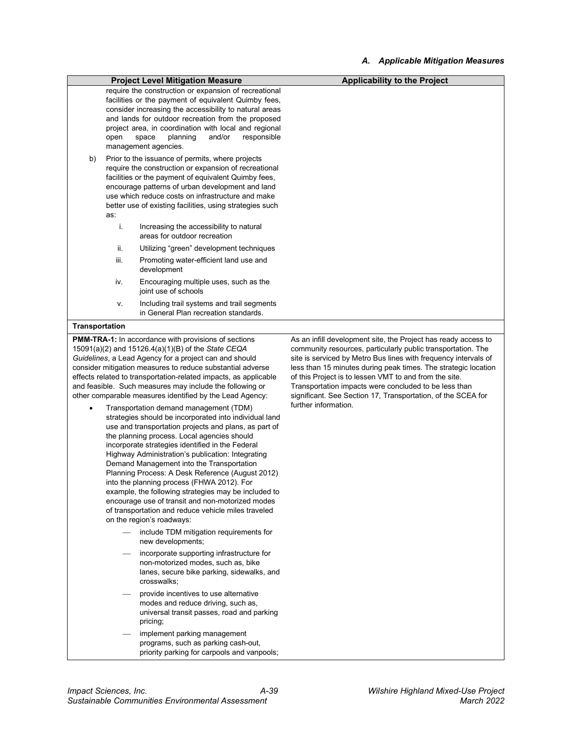|                                                                                                                                                                                                                                                                                                                                                                                                                                                                                                                                                                                                                                                                                                       |      | <b>Project Level Mitigation Measure</b>                                                                                                                                                                                                                                                                                                                      | <b>Applicability to the Project</b>                                                                                                                                                                                                                                                                                                                                                                                                                                            |
|-------------------------------------------------------------------------------------------------------------------------------------------------------------------------------------------------------------------------------------------------------------------------------------------------------------------------------------------------------------------------------------------------------------------------------------------------------------------------------------------------------------------------------------------------------------------------------------------------------------------------------------------------------------------------------------------------------|------|--------------------------------------------------------------------------------------------------------------------------------------------------------------------------------------------------------------------------------------------------------------------------------------------------------------------------------------------------------------|--------------------------------------------------------------------------------------------------------------------------------------------------------------------------------------------------------------------------------------------------------------------------------------------------------------------------------------------------------------------------------------------------------------------------------------------------------------------------------|
|                                                                                                                                                                                                                                                                                                                                                                                                                                                                                                                                                                                                                                                                                                       | open | require the construction or expansion of recreational<br>facilities or the payment of equivalent Quimby fees,<br>consider increasing the accessibility to natural areas<br>and lands for outdoor recreation from the proposed<br>project area, in coordination with local and regional<br>and/or<br>planning<br>responsible<br>space<br>management agencies. |                                                                                                                                                                                                                                                                                                                                                                                                                                                                                |
| Prior to the issuance of permits, where projects<br>b)<br>require the construction or expansion of recreational<br>facilities or the payment of equivalent Quimby fees,<br>encourage patterns of urban development and land<br>use which reduce costs on infrastructure and make<br>better use of existing facilities, using strategies such<br>as:                                                                                                                                                                                                                                                                                                                                                   |      |                                                                                                                                                                                                                                                                                                                                                              |                                                                                                                                                                                                                                                                                                                                                                                                                                                                                |
|                                                                                                                                                                                                                                                                                                                                                                                                                                                                                                                                                                                                                                                                                                       | i.   | Increasing the accessibility to natural<br>areas for outdoor recreation                                                                                                                                                                                                                                                                                      |                                                                                                                                                                                                                                                                                                                                                                                                                                                                                |
|                                                                                                                                                                                                                                                                                                                                                                                                                                                                                                                                                                                                                                                                                                       | ii.  | Utilizing "green" development techniques                                                                                                                                                                                                                                                                                                                     |                                                                                                                                                                                                                                                                                                                                                                                                                                                                                |
|                                                                                                                                                                                                                                                                                                                                                                                                                                                                                                                                                                                                                                                                                                       | iii. | Promoting water-efficient land use and<br>development                                                                                                                                                                                                                                                                                                        |                                                                                                                                                                                                                                                                                                                                                                                                                                                                                |
|                                                                                                                                                                                                                                                                                                                                                                                                                                                                                                                                                                                                                                                                                                       | iv.  | Encouraging multiple uses, such as the<br>joint use of schools                                                                                                                                                                                                                                                                                               |                                                                                                                                                                                                                                                                                                                                                                                                                                                                                |
|                                                                                                                                                                                                                                                                                                                                                                                                                                                                                                                                                                                                                                                                                                       | v.   | Including trail systems and trail segments<br>in General Plan recreation standards.                                                                                                                                                                                                                                                                          |                                                                                                                                                                                                                                                                                                                                                                                                                                                                                |
| Transportation                                                                                                                                                                                                                                                                                                                                                                                                                                                                                                                                                                                                                                                                                        |      |                                                                                                                                                                                                                                                                                                                                                              |                                                                                                                                                                                                                                                                                                                                                                                                                                                                                |
| <b>PMM-TRA-1:</b> In accordance with provisions of sections<br>15091(a)(2) and 15126.4(a)(1)(B) of the State CEQA<br>Guidelines, a Lead Agency for a project can and should<br>consider mitigation measures to reduce substantial adverse<br>effects related to transportation-related impacts, as applicable<br>and feasible. Such measures may include the following or<br>other comparable measures identified by the Lead Agency:<br>Transportation demand management (TDM)<br>strategies should be incorporated into individual land<br>use and transportation projects and plans, as part of<br>the planning process. Local agencies should<br>incorporate strategies identified in the Federal |      |                                                                                                                                                                                                                                                                                                                                                              | As an infill development site, the Project has ready access to<br>community resources, particularly public transportation. The<br>site is serviced by Metro Bus lines with frequency intervals of<br>less than 15 minutes during peak times. The strategic location<br>of this Project is to lessen VMT to and from the site.<br>Transportation impacts were concluded to be less than<br>significant. See Section 17, Transportation, of the SCEA for<br>further information. |

 provide incentives to use alternative modes and reduce driving, such as, universal transit passes, road and parking pricing;

- include TDM mitigation requirements for

 incorporate supporting infrastructure for non-motorized modes, such as, bike lanes, secure bike parking, sidewalks, and

Highway Administration's publication: Integrating Demand Management into the Transportation Planning Process: A Desk Reference (August 2012) into the planning process (FHWA 2012). For example, the following strategies may be included to encourage use of transit and non-motorized modes of transportation and reduce vehicle miles traveled

on the region's roadways:

new developments;

crosswalks;

- implement parking management programs, such as parking cash-out, priority parking for carpools and vanpools;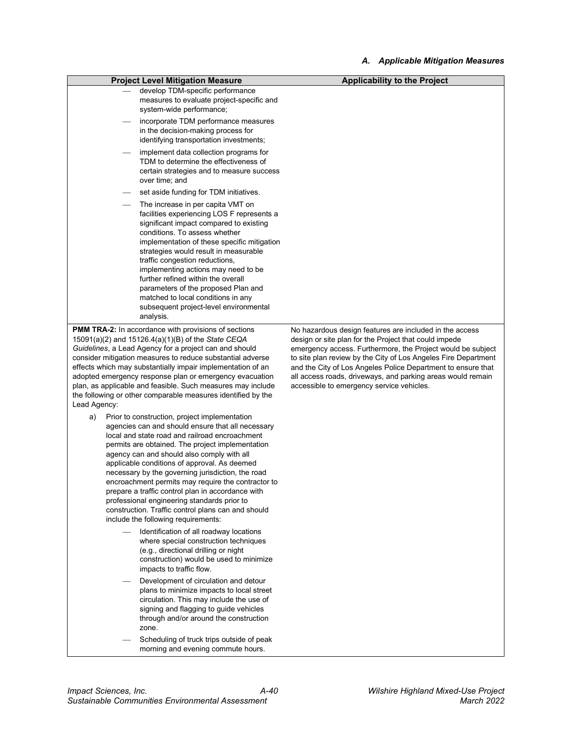|                                                                                                                                                                                                                                                                                                                                                                                                                                                                                                               | <b>Project Level Mitigation Measure</b>                                                                                                                                                                                                                                                                                                                                                                                                                                                                                                                                                                                                                                                                                                                                                                                                                                                                     | <b>Applicability to the Project</b>                                                                                                                                                                                                                                                                                                                                                                                           |
|---------------------------------------------------------------------------------------------------------------------------------------------------------------------------------------------------------------------------------------------------------------------------------------------------------------------------------------------------------------------------------------------------------------------------------------------------------------------------------------------------------------|-------------------------------------------------------------------------------------------------------------------------------------------------------------------------------------------------------------------------------------------------------------------------------------------------------------------------------------------------------------------------------------------------------------------------------------------------------------------------------------------------------------------------------------------------------------------------------------------------------------------------------------------------------------------------------------------------------------------------------------------------------------------------------------------------------------------------------------------------------------------------------------------------------------|-------------------------------------------------------------------------------------------------------------------------------------------------------------------------------------------------------------------------------------------------------------------------------------------------------------------------------------------------------------------------------------------------------------------------------|
|                                                                                                                                                                                                                                                                                                                                                                                                                                                                                                               | develop TDM-specific performance<br>measures to evaluate project-specific and<br>system-wide performance;                                                                                                                                                                                                                                                                                                                                                                                                                                                                                                                                                                                                                                                                                                                                                                                                   |                                                                                                                                                                                                                                                                                                                                                                                                                               |
|                                                                                                                                                                                                                                                                                                                                                                                                                                                                                                               | incorporate TDM performance measures<br>in the decision-making process for<br>identifying transportation investments;                                                                                                                                                                                                                                                                                                                                                                                                                                                                                                                                                                                                                                                                                                                                                                                       |                                                                                                                                                                                                                                                                                                                                                                                                                               |
|                                                                                                                                                                                                                                                                                                                                                                                                                                                                                                               | implement data collection programs for<br>TDM to determine the effectiveness of<br>certain strategies and to measure success<br>over time; and                                                                                                                                                                                                                                                                                                                                                                                                                                                                                                                                                                                                                                                                                                                                                              |                                                                                                                                                                                                                                                                                                                                                                                                                               |
|                                                                                                                                                                                                                                                                                                                                                                                                                                                                                                               | set aside funding for TDM initiatives.                                                                                                                                                                                                                                                                                                                                                                                                                                                                                                                                                                                                                                                                                                                                                                                                                                                                      |                                                                                                                                                                                                                                                                                                                                                                                                                               |
|                                                                                                                                                                                                                                                                                                                                                                                                                                                                                                               | The increase in per capita VMT on<br>facilities experiencing LOS F represents a<br>significant impact compared to existing<br>conditions. To assess whether<br>implementation of these specific mitigation<br>strategies would result in measurable<br>traffic congestion reductions,<br>implementing actions may need to be<br>further refined within the overall<br>parameters of the proposed Plan and<br>matched to local conditions in any<br>subsequent project-level environmental<br>analysis.                                                                                                                                                                                                                                                                                                                                                                                                      |                                                                                                                                                                                                                                                                                                                                                                                                                               |
| <b>PMM TRA-2:</b> In accordance with provisions of sections<br>$15091(a)(2)$ and $15126.4(a)(1)(B)$ of the <i>State CEQA</i><br>Guidelines, a Lead Agency for a project can and should<br>consider mitigation measures to reduce substantial adverse<br>effects which may substantially impair implementation of an<br>adopted emergency response plan or emergency evacuation<br>plan, as applicable and feasible. Such measures may include<br>the following or other comparable measures identified by the |                                                                                                                                                                                                                                                                                                                                                                                                                                                                                                                                                                                                                                                                                                                                                                                                                                                                                                             | No hazardous design features are included in the access<br>design or site plan for the Project that could impede<br>emergency access. Furthermore, the Project would be subject<br>to site plan review by the City of Los Angeles Fire Department<br>and the City of Los Angeles Police Department to ensure that<br>all access roads, driveways, and parking areas would remain<br>accessible to emergency service vehicles. |
| Lead Agency:<br>a)                                                                                                                                                                                                                                                                                                                                                                                                                                                                                            | Prior to construction, project implementation<br>agencies can and should ensure that all necessary<br>local and state road and railroad encroachment<br>permits are obtained. The project implementation<br>agency can and should also comply with all<br>applicable conditions of approval. As deemed<br>necessary by the governing jurisdiction, the road<br>encroachment permits may require the contractor to<br>prepare a traffic control plan in accordance with<br>professional engineering standards prior to<br>construction. Traffic control plans can and should<br>include the following requirements:<br>Identification of all roadway locations<br>where special construction techniques<br>(e.g., directional drilling or night<br>construction) would be used to minimize<br>impacts to traffic flow.<br>Development of circulation and detour<br>plans to minimize impacts to local street |                                                                                                                                                                                                                                                                                                                                                                                                                               |
|                                                                                                                                                                                                                                                                                                                                                                                                                                                                                                               | circulation. This may include the use of<br>signing and flagging to guide vehicles<br>through and/or around the construction<br>zone.<br>Scheduling of truck trips outside of peak<br>morning and evening commute hours.                                                                                                                                                                                                                                                                                                                                                                                                                                                                                                                                                                                                                                                                                    |                                                                                                                                                                                                                                                                                                                                                                                                                               |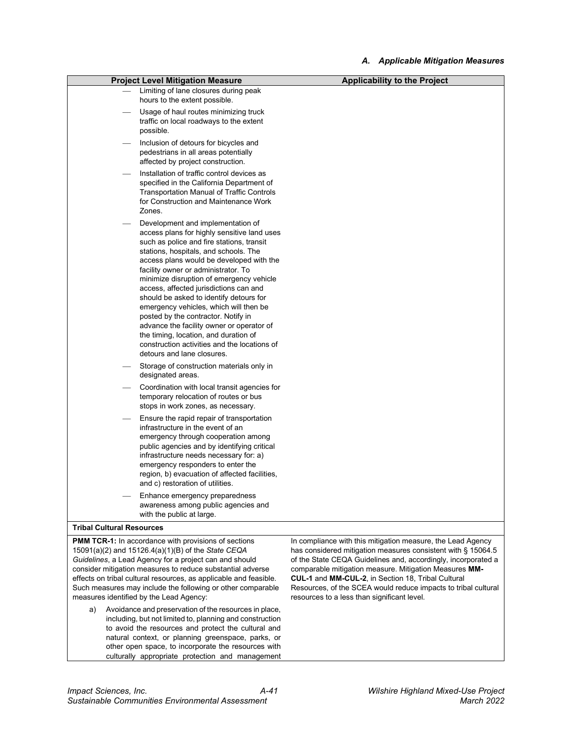| <b>Project Level Mitigation Measure</b>                                                                                                                                                                                                                                                                                                                                                                                                                                                                                                                                                                                                         | <b>Applicability to the Project</b>                                                                                         |
|-------------------------------------------------------------------------------------------------------------------------------------------------------------------------------------------------------------------------------------------------------------------------------------------------------------------------------------------------------------------------------------------------------------------------------------------------------------------------------------------------------------------------------------------------------------------------------------------------------------------------------------------------|-----------------------------------------------------------------------------------------------------------------------------|
| Limiting of lane closures during peak<br>hours to the extent possible.                                                                                                                                                                                                                                                                                                                                                                                                                                                                                                                                                                          |                                                                                                                             |
| Usage of haul routes minimizing truck<br>traffic on local roadways to the extent<br>possible.                                                                                                                                                                                                                                                                                                                                                                                                                                                                                                                                                   |                                                                                                                             |
| Inclusion of detours for bicycles and<br>pedestrians in all areas potentially<br>affected by project construction.                                                                                                                                                                                                                                                                                                                                                                                                                                                                                                                              |                                                                                                                             |
| Installation of traffic control devices as<br>specified in the California Department of<br><b>Transportation Manual of Traffic Controls</b><br>for Construction and Maintenance Work<br>Zones.                                                                                                                                                                                                                                                                                                                                                                                                                                                  |                                                                                                                             |
| Development and implementation of<br>access plans for highly sensitive land uses<br>such as police and fire stations, transit<br>stations, hospitals, and schools. The<br>access plans would be developed with the<br>facility owner or administrator. To<br>minimize disruption of emergency vehicle<br>access, affected jurisdictions can and<br>should be asked to identify detours for<br>emergency vehicles, which will then be<br>posted by the contractor. Notify in<br>advance the facility owner or operator of<br>the timing, location, and duration of<br>construction activities and the locations of<br>detours and lane closures. |                                                                                                                             |
| Storage of construction materials only in<br>designated areas.                                                                                                                                                                                                                                                                                                                                                                                                                                                                                                                                                                                  |                                                                                                                             |
| Coordination with local transit agencies for<br>temporary relocation of routes or bus<br>stops in work zones, as necessary.                                                                                                                                                                                                                                                                                                                                                                                                                                                                                                                     |                                                                                                                             |
| Ensure the rapid repair of transportation<br>infrastructure in the event of an<br>emergency through cooperation among<br>public agencies and by identifying critical<br>infrastructure needs necessary for: a)<br>emergency responders to enter the<br>region, b) evacuation of affected facilities,<br>and c) restoration of utilities.                                                                                                                                                                                                                                                                                                        |                                                                                                                             |
| Enhance emergency preparedness<br>awareness among public agencies and<br>with the public at large.                                                                                                                                                                                                                                                                                                                                                                                                                                                                                                                                              |                                                                                                                             |
| <b>Tribal Cultural Resources</b>                                                                                                                                                                                                                                                                                                                                                                                                                                                                                                                                                                                                                |                                                                                                                             |
| <b>PMM TCR-1:</b> In accordance with provisions of sections<br>15091(a)(2) and 15126.4(a)(1)(B) of the State CEQA                                                                                                                                                                                                                                                                                                                                                                                                                                                                                                                               | In compliance with this mitigation measure, the Lead Agency<br>has considered mitigation measures consistent with § 15064.5 |

*Guidelines*, a Lead Agency for a project can and should consider mitigation measures to reduce substantial adverse effects on tribal cultural resources, as applicable and feasible. Such measures may include the following or other comparable measures identified by the Lead Agency:

a) Avoidance and preservation of the resources in place, including, but not limited to, planning and construction to avoid the resources and protect the cultural and natural context, or planning greenspace, parks, or other open space, to incorporate the resources with culturally appropriate protection and management of the State CEQA Guidelines and, accordingly, incorporated a comparable mitigation measure. Mitigation Measures **MM-CUL-1** and **MM-CUL-2**, in Section 18, Tribal Cultural Resources, of the SCEA would reduce impacts to tribal cultural resources to a less than significant level.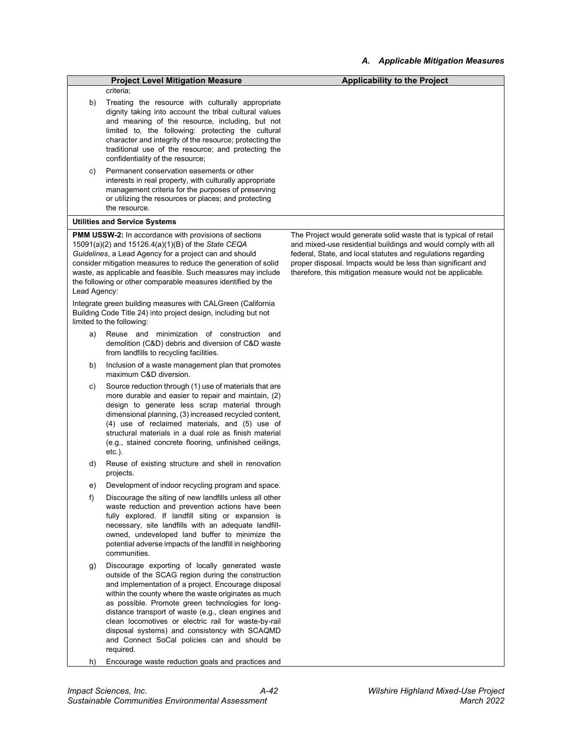| criteria;<br>b)<br>Treating the resource with culturally appropriate<br>dignity taking into account the tribal cultural values<br>and meaning of the resource, including, but not<br>limited to, the following: protecting the cultural<br>character and integrity of the resource; protecting the<br>traditional use of the resource; and protecting the<br>confidentiality of the resource;<br>Permanent conservation easements or other<br>C)<br>interests in real property, with culturally appropriate<br>management criteria for the purposes of preserving<br>or utilizing the resources or places; and protecting<br>the resource.<br><b>Utilities and Service Systems</b><br><b>PMM USSW-2:</b> In accordance with provisions of sections<br>The Project would generate solid waste that is typical of retail<br>15091(a)(2) and 15126.4(a)(1)(B) of the State CEQA<br>and mixed-use residential buildings and would comply with all<br>Guidelines, a Lead Agency for a project can and should<br>federal, State, and local statutes and regulations regarding<br>consider mitigation measures to reduce the generation of solid<br>proper disposal. Impacts would be less than significant and<br>waste, as applicable and feasible. Such measures may include<br>therefore, this mitigation measure would not be applicable.<br>the following or other comparable measures identified by the<br>Lead Agency:<br>Integrate green building measures with CALGreen (California<br>Building Code Title 24) into project design, including but not<br>limited to the following:<br>Reuse and minimization of construction and<br>a)<br>demolition (C&D) debris and diversion of C&D waste<br>from landfills to recycling facilities.<br>Inclusion of a waste management plan that promotes<br>b)<br>maximum C&D diversion.<br>Source reduction through (1) use of materials that are<br>c)<br>more durable and easier to repair and maintain, (2)<br>design to generate less scrap material through<br>dimensional planning, (3) increased recycled content,<br>(4) use of reclaimed materials, and (5) use of<br>structural materials in a dual role as finish material<br>(e.g., stained concrete flooring, unfinished ceilings,<br>$etc.$ ).<br>d)<br>Reuse of existing structure and shell in renovation<br>projects.<br>Development of indoor recycling program and space.<br>e)<br>f)<br>Discourage the siting of new landfills unless all other<br>waste reduction and prevention actions have been<br>fully explored. If landfill siting or expansion is<br>necessary, site landfills with an adequate landfill-<br>owned, undeveloped land buffer to minimize the<br>potential adverse impacts of the landfill in neighboring<br>communities.<br>Discourage exporting of locally generated waste<br>g)<br>outside of the SCAG region during the construction<br>and implementation of a project. Encourage disposal<br>within the county where the waste originates as much<br>as possible. Promote green technologies for long-<br>distance transport of waste (e.g., clean engines and<br>clean locomotives or electric rail for waste-by-rail<br>disposal systems) and consistency with SCAQMD<br>and Connect SoCal policies can and should be<br>required.<br>Encourage waste reduction goals and practices and<br>h) |                                         | <b>Applicability to the Project</b> |
|------------------------------------------------------------------------------------------------------------------------------------------------------------------------------------------------------------------------------------------------------------------------------------------------------------------------------------------------------------------------------------------------------------------------------------------------------------------------------------------------------------------------------------------------------------------------------------------------------------------------------------------------------------------------------------------------------------------------------------------------------------------------------------------------------------------------------------------------------------------------------------------------------------------------------------------------------------------------------------------------------------------------------------------------------------------------------------------------------------------------------------------------------------------------------------------------------------------------------------------------------------------------------------------------------------------------------------------------------------------------------------------------------------------------------------------------------------------------------------------------------------------------------------------------------------------------------------------------------------------------------------------------------------------------------------------------------------------------------------------------------------------------------------------------------------------------------------------------------------------------------------------------------------------------------------------------------------------------------------------------------------------------------------------------------------------------------------------------------------------------------------------------------------------------------------------------------------------------------------------------------------------------------------------------------------------------------------------------------------------------------------------------------------------------------------------------------------------------------------------------------------------------------------------------------------------------------------------------------------------------------------------------------------------------------------------------------------------------------------------------------------------------------------------------------------------------------------------------------------------------------------------------------------------------------------------------------------------------------------------------------------------------------------------------------------------------------------------------------------------------------------------------------------------------------------------------------------------------------------------------------------------------------------------------------------------------------------------|-----------------------------------------|-------------------------------------|
|                                                                                                                                                                                                                                                                                                                                                                                                                                                                                                                                                                                                                                                                                                                                                                                                                                                                                                                                                                                                                                                                                                                                                                                                                                                                                                                                                                                                                                                                                                                                                                                                                                                                                                                                                                                                                                                                                                                                                                                                                                                                                                                                                                                                                                                                                                                                                                                                                                                                                                                                                                                                                                                                                                                                                                                                                                                                                                                                                                                                                                                                                                                                                                                                                                                                                                                                          | <b>Project Level Mitigation Measure</b> |                                     |
|                                                                                                                                                                                                                                                                                                                                                                                                                                                                                                                                                                                                                                                                                                                                                                                                                                                                                                                                                                                                                                                                                                                                                                                                                                                                                                                                                                                                                                                                                                                                                                                                                                                                                                                                                                                                                                                                                                                                                                                                                                                                                                                                                                                                                                                                                                                                                                                                                                                                                                                                                                                                                                                                                                                                                                                                                                                                                                                                                                                                                                                                                                                                                                                                                                                                                                                                          |                                         |                                     |
|                                                                                                                                                                                                                                                                                                                                                                                                                                                                                                                                                                                                                                                                                                                                                                                                                                                                                                                                                                                                                                                                                                                                                                                                                                                                                                                                                                                                                                                                                                                                                                                                                                                                                                                                                                                                                                                                                                                                                                                                                                                                                                                                                                                                                                                                                                                                                                                                                                                                                                                                                                                                                                                                                                                                                                                                                                                                                                                                                                                                                                                                                                                                                                                                                                                                                                                                          |                                         |                                     |
|                                                                                                                                                                                                                                                                                                                                                                                                                                                                                                                                                                                                                                                                                                                                                                                                                                                                                                                                                                                                                                                                                                                                                                                                                                                                                                                                                                                                                                                                                                                                                                                                                                                                                                                                                                                                                                                                                                                                                                                                                                                                                                                                                                                                                                                                                                                                                                                                                                                                                                                                                                                                                                                                                                                                                                                                                                                                                                                                                                                                                                                                                                                                                                                                                                                                                                                                          |                                         |                                     |
|                                                                                                                                                                                                                                                                                                                                                                                                                                                                                                                                                                                                                                                                                                                                                                                                                                                                                                                                                                                                                                                                                                                                                                                                                                                                                                                                                                                                                                                                                                                                                                                                                                                                                                                                                                                                                                                                                                                                                                                                                                                                                                                                                                                                                                                                                                                                                                                                                                                                                                                                                                                                                                                                                                                                                                                                                                                                                                                                                                                                                                                                                                                                                                                                                                                                                                                                          |                                         |                                     |
|                                                                                                                                                                                                                                                                                                                                                                                                                                                                                                                                                                                                                                                                                                                                                                                                                                                                                                                                                                                                                                                                                                                                                                                                                                                                                                                                                                                                                                                                                                                                                                                                                                                                                                                                                                                                                                                                                                                                                                                                                                                                                                                                                                                                                                                                                                                                                                                                                                                                                                                                                                                                                                                                                                                                                                                                                                                                                                                                                                                                                                                                                                                                                                                                                                                                                                                                          |                                         |                                     |
|                                                                                                                                                                                                                                                                                                                                                                                                                                                                                                                                                                                                                                                                                                                                                                                                                                                                                                                                                                                                                                                                                                                                                                                                                                                                                                                                                                                                                                                                                                                                                                                                                                                                                                                                                                                                                                                                                                                                                                                                                                                                                                                                                                                                                                                                                                                                                                                                                                                                                                                                                                                                                                                                                                                                                                                                                                                                                                                                                                                                                                                                                                                                                                                                                                                                                                                                          |                                         |                                     |
|                                                                                                                                                                                                                                                                                                                                                                                                                                                                                                                                                                                                                                                                                                                                                                                                                                                                                                                                                                                                                                                                                                                                                                                                                                                                                                                                                                                                                                                                                                                                                                                                                                                                                                                                                                                                                                                                                                                                                                                                                                                                                                                                                                                                                                                                                                                                                                                                                                                                                                                                                                                                                                                                                                                                                                                                                                                                                                                                                                                                                                                                                                                                                                                                                                                                                                                                          |                                         |                                     |
|                                                                                                                                                                                                                                                                                                                                                                                                                                                                                                                                                                                                                                                                                                                                                                                                                                                                                                                                                                                                                                                                                                                                                                                                                                                                                                                                                                                                                                                                                                                                                                                                                                                                                                                                                                                                                                                                                                                                                                                                                                                                                                                                                                                                                                                                                                                                                                                                                                                                                                                                                                                                                                                                                                                                                                                                                                                                                                                                                                                                                                                                                                                                                                                                                                                                                                                                          |                                         |                                     |
|                                                                                                                                                                                                                                                                                                                                                                                                                                                                                                                                                                                                                                                                                                                                                                                                                                                                                                                                                                                                                                                                                                                                                                                                                                                                                                                                                                                                                                                                                                                                                                                                                                                                                                                                                                                                                                                                                                                                                                                                                                                                                                                                                                                                                                                                                                                                                                                                                                                                                                                                                                                                                                                                                                                                                                                                                                                                                                                                                                                                                                                                                                                                                                                                                                                                                                                                          |                                         |                                     |
|                                                                                                                                                                                                                                                                                                                                                                                                                                                                                                                                                                                                                                                                                                                                                                                                                                                                                                                                                                                                                                                                                                                                                                                                                                                                                                                                                                                                                                                                                                                                                                                                                                                                                                                                                                                                                                                                                                                                                                                                                                                                                                                                                                                                                                                                                                                                                                                                                                                                                                                                                                                                                                                                                                                                                                                                                                                                                                                                                                                                                                                                                                                                                                                                                                                                                                                                          |                                         |                                     |
|                                                                                                                                                                                                                                                                                                                                                                                                                                                                                                                                                                                                                                                                                                                                                                                                                                                                                                                                                                                                                                                                                                                                                                                                                                                                                                                                                                                                                                                                                                                                                                                                                                                                                                                                                                                                                                                                                                                                                                                                                                                                                                                                                                                                                                                                                                                                                                                                                                                                                                                                                                                                                                                                                                                                                                                                                                                                                                                                                                                                                                                                                                                                                                                                                                                                                                                                          |                                         |                                     |
|                                                                                                                                                                                                                                                                                                                                                                                                                                                                                                                                                                                                                                                                                                                                                                                                                                                                                                                                                                                                                                                                                                                                                                                                                                                                                                                                                                                                                                                                                                                                                                                                                                                                                                                                                                                                                                                                                                                                                                                                                                                                                                                                                                                                                                                                                                                                                                                                                                                                                                                                                                                                                                                                                                                                                                                                                                                                                                                                                                                                                                                                                                                                                                                                                                                                                                                                          |                                         |                                     |
|                                                                                                                                                                                                                                                                                                                                                                                                                                                                                                                                                                                                                                                                                                                                                                                                                                                                                                                                                                                                                                                                                                                                                                                                                                                                                                                                                                                                                                                                                                                                                                                                                                                                                                                                                                                                                                                                                                                                                                                                                                                                                                                                                                                                                                                                                                                                                                                                                                                                                                                                                                                                                                                                                                                                                                                                                                                                                                                                                                                                                                                                                                                                                                                                                                                                                                                                          |                                         |                                     |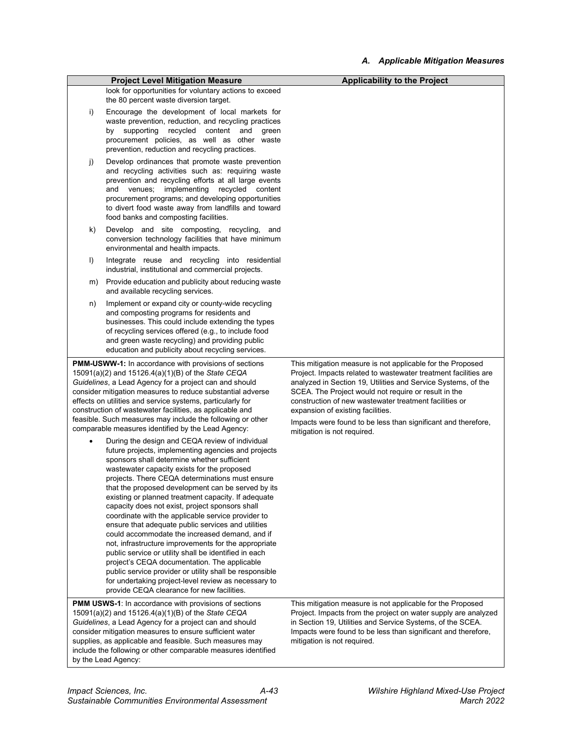|                                                                                                                                                                                                                                                                                                                                                                                                                                                                                                                                                                                                                                                                                                                                                                                                                                                                                                                                                                                                                                                                                                                                                                                                                                                                                                                                                                                                                     | <b>Project Level Mitigation Measure</b>                                                                                                                                                                                                                                                                                                                          | <b>Applicability to the Project</b>                                                                                                                                                                                                                                                                                                                                                                                                                   |
|---------------------------------------------------------------------------------------------------------------------------------------------------------------------------------------------------------------------------------------------------------------------------------------------------------------------------------------------------------------------------------------------------------------------------------------------------------------------------------------------------------------------------------------------------------------------------------------------------------------------------------------------------------------------------------------------------------------------------------------------------------------------------------------------------------------------------------------------------------------------------------------------------------------------------------------------------------------------------------------------------------------------------------------------------------------------------------------------------------------------------------------------------------------------------------------------------------------------------------------------------------------------------------------------------------------------------------------------------------------------------------------------------------------------|------------------------------------------------------------------------------------------------------------------------------------------------------------------------------------------------------------------------------------------------------------------------------------------------------------------------------------------------------------------|-------------------------------------------------------------------------------------------------------------------------------------------------------------------------------------------------------------------------------------------------------------------------------------------------------------------------------------------------------------------------------------------------------------------------------------------------------|
|                                                                                                                                                                                                                                                                                                                                                                                                                                                                                                                                                                                                                                                                                                                                                                                                                                                                                                                                                                                                                                                                                                                                                                                                                                                                                                                                                                                                                     | look for opportunities for voluntary actions to exceed<br>the 80 percent waste diversion target.                                                                                                                                                                                                                                                                 |                                                                                                                                                                                                                                                                                                                                                                                                                                                       |
| i)                                                                                                                                                                                                                                                                                                                                                                                                                                                                                                                                                                                                                                                                                                                                                                                                                                                                                                                                                                                                                                                                                                                                                                                                                                                                                                                                                                                                                  | Encourage the development of local markets for<br>waste prevention, reduction, and recycling practices<br>by supporting recycled content and<br>green<br>procurement policies, as well as other waste<br>prevention, reduction and recycling practices.                                                                                                          |                                                                                                                                                                                                                                                                                                                                                                                                                                                       |
| j)                                                                                                                                                                                                                                                                                                                                                                                                                                                                                                                                                                                                                                                                                                                                                                                                                                                                                                                                                                                                                                                                                                                                                                                                                                                                                                                                                                                                                  | Develop ordinances that promote waste prevention<br>and recycling activities such as: requiring waste<br>prevention and recycling efforts at all large events<br>and venues; implementing recycled content<br>procurement programs; and developing opportunities<br>to divert food waste away from landfills and toward<br>food banks and composting facilities. |                                                                                                                                                                                                                                                                                                                                                                                                                                                       |
| k)                                                                                                                                                                                                                                                                                                                                                                                                                                                                                                                                                                                                                                                                                                                                                                                                                                                                                                                                                                                                                                                                                                                                                                                                                                                                                                                                                                                                                  | Develop and site composting, recycling,<br>and<br>conversion technology facilities that have minimum<br>environmental and health impacts.                                                                                                                                                                                                                        |                                                                                                                                                                                                                                                                                                                                                                                                                                                       |
| I)                                                                                                                                                                                                                                                                                                                                                                                                                                                                                                                                                                                                                                                                                                                                                                                                                                                                                                                                                                                                                                                                                                                                                                                                                                                                                                                                                                                                                  | Integrate reuse and recycling into residential<br>industrial, institutional and commercial projects.                                                                                                                                                                                                                                                             |                                                                                                                                                                                                                                                                                                                                                                                                                                                       |
| m)                                                                                                                                                                                                                                                                                                                                                                                                                                                                                                                                                                                                                                                                                                                                                                                                                                                                                                                                                                                                                                                                                                                                                                                                                                                                                                                                                                                                                  | Provide education and publicity about reducing waste<br>and available recycling services.                                                                                                                                                                                                                                                                        |                                                                                                                                                                                                                                                                                                                                                                                                                                                       |
| n)                                                                                                                                                                                                                                                                                                                                                                                                                                                                                                                                                                                                                                                                                                                                                                                                                                                                                                                                                                                                                                                                                                                                                                                                                                                                                                                                                                                                                  | Implement or expand city or county-wide recycling<br>and composting programs for residents and<br>businesses. This could include extending the types<br>of recycling services offered (e.g., to include food<br>and green waste recycling) and providing public<br>education and publicity about recycling services.                                             |                                                                                                                                                                                                                                                                                                                                                                                                                                                       |
| <b>PMM-USWW-1:</b> In accordance with provisions of sections<br>15091(a)(2) and 15126.4(a)(1)(B) of the State CEQA<br>Guidelines, a Lead Agency for a project can and should<br>consider mitigation measures to reduce substantial adverse<br>effects on utilities and service systems, particularly for<br>construction of wastewater facilities, as applicable and<br>feasible. Such measures may include the following or other<br>comparable measures identified by the Lead Agency:<br>During the design and CEQA review of individual<br>future projects, implementing agencies and projects<br>sponsors shall determine whether sufficient<br>wastewater capacity exists for the proposed<br>projects. There CEQA determinations must ensure<br>that the proposed development can be served by its<br>existing or planned treatment capacity. If adequate<br>capacity does not exist, project sponsors shall<br>coordinate with the applicable service provider to<br>ensure that adequate public services and utilities<br>could accommodate the increased demand, and if<br>not, infrastructure improvements for the appropriate<br>public service or utility shall be identified in each<br>project's CEQA documentation. The applicable<br>public service provider or utility shall be responsible<br>for undertaking project-level review as necessary to<br>provide CEQA clearance for new facilities. |                                                                                                                                                                                                                                                                                                                                                                  | This mitigation measure is not applicable for the Proposed<br>Project. Impacts related to wastewater treatment facilities are<br>analyzed in Section 19, Utilities and Service Systems, of the<br>SCEA. The Project would not require or result in the<br>construction of new wastewater treatment facilities or<br>expansion of existing facilities.<br>Impacts were found to be less than significant and therefore,<br>mitigation is not required. |
| PMM USWS-1: In accordance with provisions of sections<br>15091(a)(2) and 15126.4(a)(1)(B) of the State CEQA<br>Guidelines, a Lead Agency for a project can and should<br>consider mitigation measures to ensure sufficient water<br>supplies, as applicable and feasible. Such measures may<br>include the following or other comparable measures identified<br>by the Lead Agency:                                                                                                                                                                                                                                                                                                                                                                                                                                                                                                                                                                                                                                                                                                                                                                                                                                                                                                                                                                                                                                 |                                                                                                                                                                                                                                                                                                                                                                  | This mitigation measure is not applicable for the Proposed<br>Project. Impacts from the project on water supply are analyzed<br>in Section 19, Utilities and Service Systems, of the SCEA.<br>Impacts were found to be less than significant and therefore,<br>mitigation is not required.                                                                                                                                                            |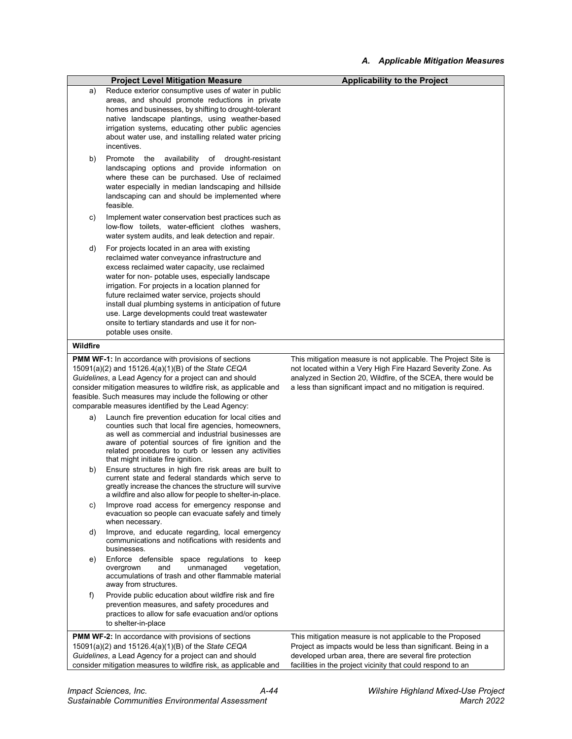|                                                                                                                                                                                                                                                                                                              | <b>Project Level Mitigation Measure</b>                                                                                                                                                                                                                                                                                                                                                                                                                                                                 | <b>Applicability to the Project</b>                                                                                                                                                                                                                              |
|--------------------------------------------------------------------------------------------------------------------------------------------------------------------------------------------------------------------------------------------------------------------------------------------------------------|---------------------------------------------------------------------------------------------------------------------------------------------------------------------------------------------------------------------------------------------------------------------------------------------------------------------------------------------------------------------------------------------------------------------------------------------------------------------------------------------------------|------------------------------------------------------------------------------------------------------------------------------------------------------------------------------------------------------------------------------------------------------------------|
| a)                                                                                                                                                                                                                                                                                                           | Reduce exterior consumptive uses of water in public<br>areas, and should promote reductions in private<br>homes and businesses, by shifting to drought-tolerant<br>native landscape plantings, using weather-based<br>irrigation systems, educating other public agencies<br>about water use, and installing related water pricing<br>incentives.                                                                                                                                                       |                                                                                                                                                                                                                                                                  |
| b)                                                                                                                                                                                                                                                                                                           | Promote<br>the<br>availability of<br>drought-resistant<br>landscaping options and provide information on<br>where these can be purchased. Use of reclaimed<br>water especially in median landscaping and hillside<br>landscaping can and should be implemented where<br>feasible.                                                                                                                                                                                                                       |                                                                                                                                                                                                                                                                  |
| C)                                                                                                                                                                                                                                                                                                           | Implement water conservation best practices such as<br>low-flow toilets, water-efficient clothes washers,<br>water system audits, and leak detection and repair.                                                                                                                                                                                                                                                                                                                                        |                                                                                                                                                                                                                                                                  |
| d)                                                                                                                                                                                                                                                                                                           | For projects located in an area with existing<br>reclaimed water conveyance infrastructure and<br>excess reclaimed water capacity, use reclaimed<br>water for non- potable uses, especially landscape<br>irrigation. For projects in a location planned for<br>future reclaimed water service, projects should<br>install dual plumbing systems in anticipation of future<br>use. Large developments could treat wastewater<br>onsite to tertiary standards and use it for non-<br>potable uses onsite. |                                                                                                                                                                                                                                                                  |
| Wildfire                                                                                                                                                                                                                                                                                                     |                                                                                                                                                                                                                                                                                                                                                                                                                                                                                                         |                                                                                                                                                                                                                                                                  |
| <b>PMM WF-1:</b> In accordance with provisions of sections<br>15091(a)(2) and 15126.4(a)(1)(B) of the State CEQA<br>Guidelines, a Lead Agency for a project can and should<br>consider mitigation measures to wildfire risk, as applicable and<br>feasible. Such measures may include the following or other |                                                                                                                                                                                                                                                                                                                                                                                                                                                                                                         | This mitigation measure is not applicable. The Project Site is<br>not located within a Very High Fire Hazard Severity Zone. As<br>analyzed in Section 20, Wildfire, of the SCEA, there would be<br>a less than significant impact and no mitigation is required. |
| a)                                                                                                                                                                                                                                                                                                           | comparable measures identified by the Lead Agency:<br>Launch fire prevention education for local cities and<br>counties such that local fire agencies, homeowners,<br>as well as commercial and industrial businesses are<br>aware of potential sources of fire ignition and the<br>related procedures to curb or lessen any activities                                                                                                                                                                 |                                                                                                                                                                                                                                                                  |
| b)                                                                                                                                                                                                                                                                                                           | that might initiate fire ignition.<br>Ensure structures in high fire risk areas are built to<br>current state and federal standards which serve to<br>greatly increase the chances the structure will survive<br>a wildfire and also allow for people to shelter-in-place.                                                                                                                                                                                                                              |                                                                                                                                                                                                                                                                  |
| C)                                                                                                                                                                                                                                                                                                           | Improve road access for emergency response and<br>evacuation so people can evacuate safely and timely<br>when necessary.                                                                                                                                                                                                                                                                                                                                                                                |                                                                                                                                                                                                                                                                  |
| d)                                                                                                                                                                                                                                                                                                           | Improve, and educate regarding, local emergency<br>communications and notifications with residents and<br>businesses.                                                                                                                                                                                                                                                                                                                                                                                   |                                                                                                                                                                                                                                                                  |
| e)                                                                                                                                                                                                                                                                                                           | Enforce defensible space regulations to keep<br>and<br>unmanaged<br>vegetation,<br>overgrown<br>accumulations of trash and other flammable material<br>away from structures.                                                                                                                                                                                                                                                                                                                            |                                                                                                                                                                                                                                                                  |
| f)                                                                                                                                                                                                                                                                                                           | Provide public education about wildfire risk and fire<br>prevention measures, and safety procedures and<br>practices to allow for safe evacuation and/or options<br>to shelter-in-place                                                                                                                                                                                                                                                                                                                 |                                                                                                                                                                                                                                                                  |
| <b>PMM WF-2:</b> In accordance with provisions of sections<br>15091(a)(2) and 15126.4(a)(1)(B) of the State CEQA<br>Guidelines, a Lead Agency for a project can and should<br>consider mitigation measures to wildfire risk, as applicable and                                                               |                                                                                                                                                                                                                                                                                                                                                                                                                                                                                                         | This mitigation measure is not applicable to the Proposed<br>Project as impacts would be less than significant. Being in a<br>developed urban area, there are several fire protection<br>facilities in the project vicinity that could respond to an             |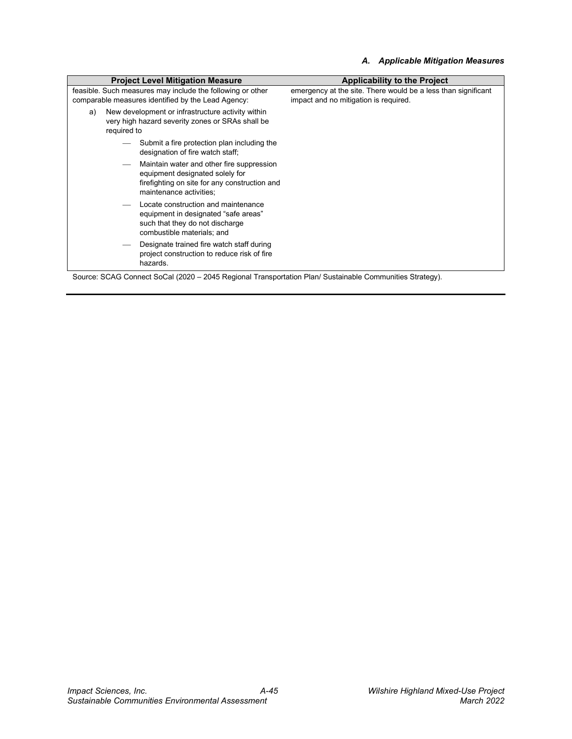#### *A. Applicable Mitigation Measures*

| <b>Project Level Mitigation Measure</b>                                                                                    |                                                                                                                               | <b>Applicability to the Project</b>                                                                    |
|----------------------------------------------------------------------------------------------------------------------------|-------------------------------------------------------------------------------------------------------------------------------|--------------------------------------------------------------------------------------------------------|
| feasible. Such measures may include the following or other<br>comparable measures identified by the Lead Agency:           |                                                                                                                               | emergency at the site. There would be a less than significant<br>impact and no mitigation is required. |
| New development or infrastructure activity within<br>a)<br>very high hazard severity zones or SRAs shall be<br>required to |                                                                                                                               |                                                                                                        |
|                                                                                                                            | Submit a fire protection plan including the<br>designation of fire watch staff;                                               |                                                                                                        |
| maintenance activities;                                                                                                    | Maintain water and other fire suppression<br>equipment designated solely for<br>firefighting on site for any construction and |                                                                                                        |
| combustible materials: and                                                                                                 | Locate construction and maintenance<br>equipment in designated "safe areas"<br>such that they do not discharge                |                                                                                                        |
| hazards.                                                                                                                   | Designate trained fire watch staff during<br>project construction to reduce risk of fire                                      |                                                                                                        |

Source: SCAG Connect SoCal (2020 – 2045 Regional Transportation Plan/ Sustainable Communities Strategy).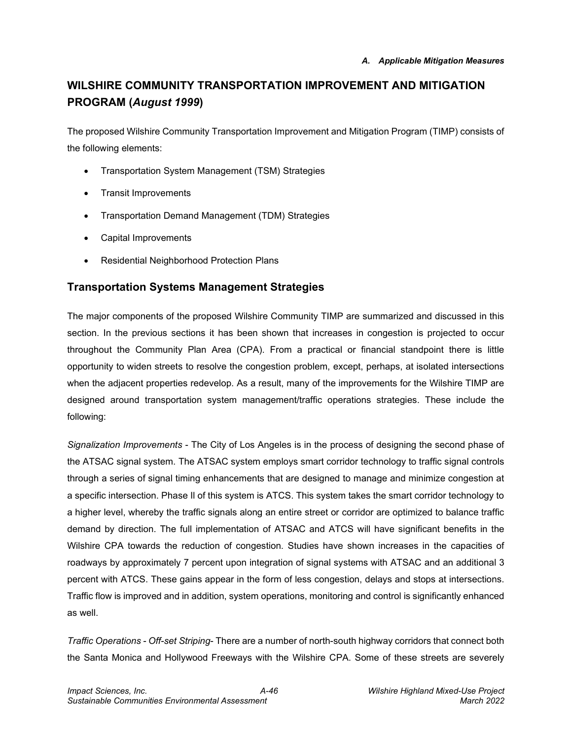# **WILSHIRE COMMUNITY TRANSPORTATION IMPROVEMENT AND MITIGATION PROGRAM (***August 1999***)**

The proposed Wilshire Community Transportation Improvement and Mitigation Program (TIMP) consists of the following elements:

- Transportation System Management (TSM) Strategies
- Transit Improvements
- Transportation Demand Management (TDM) Strategies
- Capital Improvements
- Residential Neighborhood Protection Plans

#### **Transportation Systems Management Strategies**

The major components of the proposed Wilshire Community TIMP are summarized and discussed in this section. In the previous sections it has been shown that increases in congestion is projected to occur throughout the Community Plan Area (CPA). From a practical or financial standpoint there is little opportunity to widen streets to resolve the congestion problem, except, perhaps, at isolated intersections when the adjacent properties redevelop. As a result, many of the improvements for the Wilshire TIMP are designed around transportation system management/traffic operations strategies. These include the following:

*Signalization Improvements* - The City of Los Angeles is in the process of designing the second phase of the ATSAC signal system. The ATSAC system employs smart corridor technology to traffic signal controls through a series of signal timing enhancements that are designed to manage and minimize congestion at a specific intersection. Phase Il of this system is ATCS. This system takes the smart corridor technology to a higher level, whereby the traffic signals along an entire street or corridor are optimized to balance traffic demand by direction. The full implementation of ATSAC and ATCS will have significant benefits in the Wilshire CPA towards the reduction of congestion. Studies have shown increases in the capacities of roadways by approximately 7 percent upon integration of signal systems with ATSAC and an additional 3 percent with ATCS. These gains appear in the form of less congestion, delays and stops at intersections. Traffic flow is improved and in addition, system operations, monitoring and control is significantly enhanced as well.

*Traffic Operations - Off-set Striping*- There are a number of north-south highway corridors that connect both the Santa Monica and Hollywood Freeways with the Wilshire CPA. Some of these streets are severely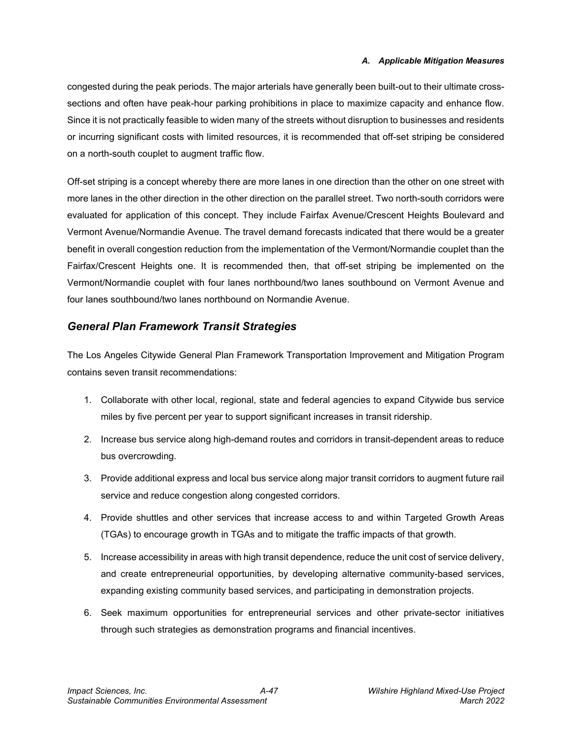#### *A. Applicable Mitigation Measures*

congested during the peak periods. The major arterials have generally been built-out to their ultimate crosssections and often have peak-hour parking prohibitions in place to maximize capacity and enhance flow. Since it is not practically feasible to widen many of the streets without disruption to businesses and residents or incurring significant costs with limited resources, it is recommended that off-set striping be considered on a north-south couplet to augment traffic flow.

Off-set striping is a concept whereby there are more lanes in one direction than the other on one street with more lanes in the other direction in the other direction on the parallel street. Two north-south corridors were evaluated for application of this concept. They include Fairfax Avenue/Crescent Heights Boulevard and Vermont Avenue/Normandie Avenue. The travel demand forecasts indicated that there would be a greater benefit in overall congestion reduction from the implementation of the Vermont/Normandie couplet than the Fairfax/Crescent Heights one. It is recommended then, that off-set striping be implemented on the Vermont/Normandie couplet with four lanes northbound/two lanes southbound on Vermont Avenue and four lanes southbound/two lanes northbound on Normandie Avenue.

#### *General Plan Framework Transit Strategies*

The Los Angeles Citywide General Plan Framework Transportation Improvement and Mitigation Program contains seven transit recommendations:

- 1. Collaborate with other local, regional, state and federal agencies to expand Citywide bus service miles by five percent per year to support significant increases in transit ridership.
- 2. Increase bus service along high-demand routes and corridors in transit-dependent areas to reduce bus overcrowding.
- 3. Provide additional express and local bus service along major transit corridors to augment future rail service and reduce congestion along congested corridors.
- 4. Provide shuttles and other services that increase access to and within Targeted Growth Areas (TGAs) to encourage growth in TGAs and to mitigate the traffic impacts of that growth.
- 5. Increase accessibility in areas with high transit dependence, reduce the unit cost of service delivery, and create entrepreneurial opportunities, by developing alternative community-based services, expanding existing community based services, and participating in demonstration projects.
- 6. Seek maximum opportunities for entrepreneurial services and other private-sector initiatives through such strategies as demonstration programs and financial incentives.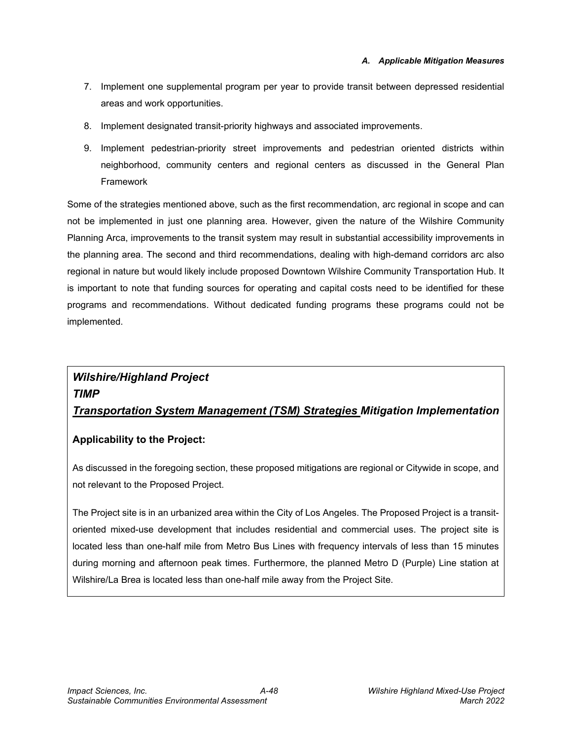- 7. Implement one supplemental program per year to provide transit between depressed residential areas and work opportunities.
- 8. Implement designated transit-priority highways and associated improvements.
- 9. Implement pedestrian-priority street improvements and pedestrian oriented districts within neighborhood, community centers and regional centers as discussed in the General Plan Framework

Some of the strategies mentioned above, such as the first recommendation, arc regional in scope and can not be implemented in just one planning area. However, given the nature of the Wilshire Community Planning Arca, improvements to the transit system may result in substantial accessibility improvements in the planning area. The second and third recommendations, dealing with high-demand corridors arc also regional in nature but would likely include proposed Downtown Wilshire Community Transportation Hub. It is important to note that funding sources for operating and capital costs need to be identified for these programs and recommendations. Without dedicated funding programs these programs could not be implemented.

# *Wilshire/Highland Project TIMP Transportation System Management (TSM) Strategies Mitigation Implementation*

#### **Applicability to the Project:**

As discussed in the foregoing section, these proposed mitigations are regional or Citywide in scope, and not relevant to the Proposed Project.

The Project site is in an urbanized area within the City of Los Angeles. The Proposed Project is a transitoriented mixed-use development that includes residential and commercial uses. The project site is located less than one-half mile from Metro Bus Lines with frequency intervals of less than 15 minutes during morning and afternoon peak times. Furthermore, the planned Metro D (Purple) Line station at Wilshire/La Brea is located less than one-half mile away from the Project Site.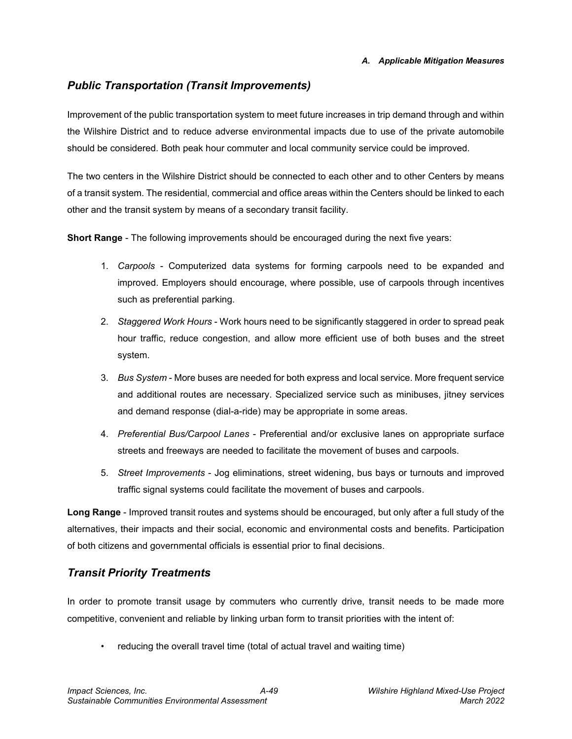#### *Public Transportation (Transit Improvements)*

Improvement of the public transportation system to meet future increases in trip demand through and within the Wilshire District and to reduce adverse environmental impacts due to use of the private automobile should be considered. Both peak hour commuter and local community service could be improved.

The two centers in the Wilshire District should be connected to each other and to other Centers by means of a transit system. The residential, commercial and office areas within the Centers should be linked to each other and the transit system by means of a secondary transit facility.

**Short Range** - The following improvements should be encouraged during the next five years:

- 1. *Carpools* Computerized data systems for forming carpools need to be expanded and improved. Employers should encourage, where possible, use of carpools through incentives such as preferential parking.
- 2. *Staggered Work Hours* Work hours need to be significantly staggered in order to spread peak hour traffic, reduce congestion, and allow more efficient use of both buses and the street system.
- 3. *Bus System* More buses are needed for both express and local service. More frequent service and additional routes are necessary. Specialized service such as minibuses, jitney services and demand response (dial-a-ride) may be appropriate in some areas.
- 4. *Preferential Bus/Carpool Lanes* Preferential and/or exclusive lanes on appropriate surface streets and freeways are needed to facilitate the movement of buses and carpools.
- 5. *Street Improvements* Jog eliminations, street widening, bus bays or turnouts and improved traffic signal systems could facilitate the movement of buses and carpools.

**Long Range** - Improved transit routes and systems should be encouraged, but only after a full study of the alternatives, their impacts and their social, economic and environmental costs and benefits. Participation of both citizens and governmental officials is essential prior to final decisions.

#### *Transit Priority Treatments*

In order to promote transit usage by commuters who currently drive, transit needs to be made more competitive, convenient and reliable by linking urban form to transit priorities with the intent of:

• reducing the overall travel time (total of actual travel and waiting time)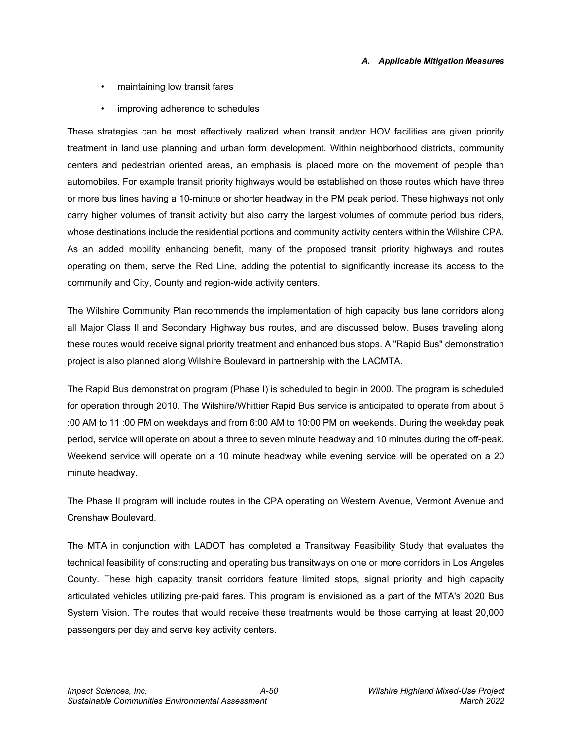- maintaining low transit fares
- improving adherence to schedules

These strategies can be most effectively realized when transit and/or HOV facilities are given priority treatment in land use planning and urban form development. Within neighborhood districts, community centers and pedestrian oriented areas, an emphasis is placed more on the movement of people than automobiles. For example transit priority highways would be established on those routes which have three or more bus lines having a 10-minute or shorter headway in the PM peak period. These highways not only carry higher volumes of transit activity but also carry the largest volumes of commute period bus riders, whose destinations include the residential portions and community activity centers within the Wilshire CPA. As an added mobility enhancing benefit, many of the proposed transit priority highways and routes operating on them, serve the Red Line, adding the potential to significantly increase its access to the community and City, County and region-wide activity centers.

The Wilshire Community Plan recommends the implementation of high capacity bus lane corridors along all Major Class Il and Secondary Highway bus routes, and are discussed below. Buses traveling along these routes would receive signal priority treatment and enhanced bus stops. A "Rapid Bus" demonstration project is also planned along Wilshire Boulevard in partnership with the LACMTA.

The Rapid Bus demonstration program (Phase I) is scheduled to begin in 2000. The program is scheduled for operation through 2010. The Wilshire/Whittier Rapid Bus service is anticipated to operate from about 5 :00 AM to 11 :00 PM on weekdays and from 6:00 AM to 10:00 PM on weekends. During the weekday peak period, service will operate on about a three to seven minute headway and 10 minutes during the off-peak. Weekend service will operate on a 10 minute headway while evening service will be operated on a 20 minute headway.

The Phase Il program will include routes in the CPA operating on Western Avenue, Vermont Avenue and Crenshaw Boulevard.

The MTA in conjunction with LADOT has completed a Transitway Feasibility Study that evaluates the technical feasibility of constructing and operating bus transitways on one or more corridors in Los Angeles County. These high capacity transit corridors feature limited stops, signal priority and high capacity articulated vehicles utilizing pre-paid fares. This program is envisioned as a part of the MTA's 2020 Bus System Vision. The routes that would receive these treatments would be those carrying at least 20,000 passengers per day and serve key activity centers.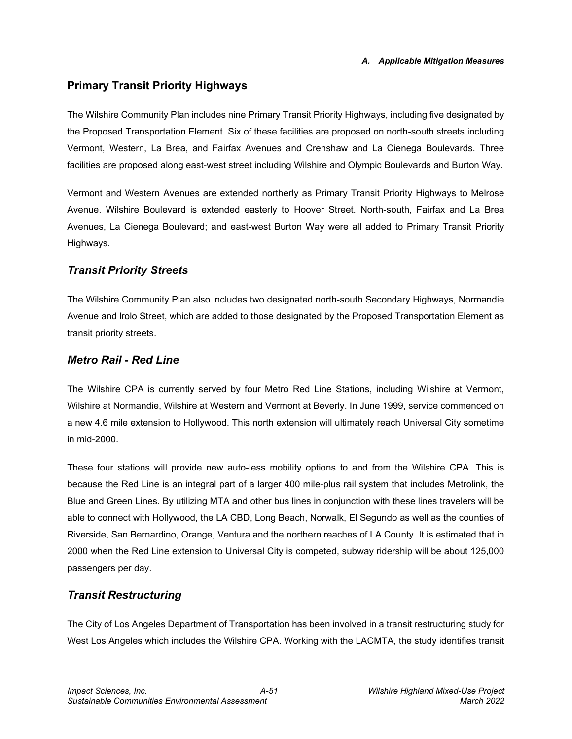#### **Primary Transit Priority Highways**

The Wilshire Community Plan includes nine Primary Transit Priority Highways, including five designated by the Proposed Transportation Element. Six of these facilities are proposed on north-south streets including Vermont, Western, La Brea, and Fairfax Avenues and Crenshaw and La Cienega Boulevards. Three facilities are proposed along east-west street including Wilshire and Olympic Boulevards and Burton Way.

Vermont and Western Avenues are extended northerly as Primary Transit Priority Highways to Melrose Avenue. Wilshire Boulevard is extended easterly to Hoover Street. North-south, Fairfax and La Brea Avenues, La Cienega Boulevard; and east-west Burton Way were all added to Primary Transit Priority Highways.

#### *Transit Priority Streets*

The Wilshire Community Plan also includes two designated north-south Secondary Highways, Normandie Avenue and lrolo Street, which are added to those designated by the Proposed Transportation Element as transit priority streets.

#### *Metro Rail - Red Line*

The Wilshire CPA is currently served by four Metro Red Line Stations, including Wilshire at Vermont, Wilshire at Normandie, Wilshire at Western and Vermont at Beverly. In June 1999, service commenced on a new 4.6 mile extension to Hollywood. This north extension will ultimately reach Universal City sometime in mid-2000.

These four stations will provide new auto-less mobility options to and from the Wilshire CPA. This is because the Red Line is an integral part of a larger 400 mile-plus rail system that includes Metrolink, the Blue and Green Lines. By utilizing MTA and other bus lines in conjunction with these lines travelers will be able to connect with Hollywood, the LA CBD, Long Beach, Norwalk, El Segundo as well as the counties of Riverside, San Bernardino, Orange, Ventura and the northern reaches of LA County. It is estimated that in 2000 when the Red Line extension to Universal City is competed, subway ridership will be about 125,000 passengers per day.

### *Transit Restructuring*

The City of Los Angeles Department of Transportation has been involved in a transit restructuring study for West Los Angeles which includes the Wilshire CPA. Working with the LACMTA, the study identifies transit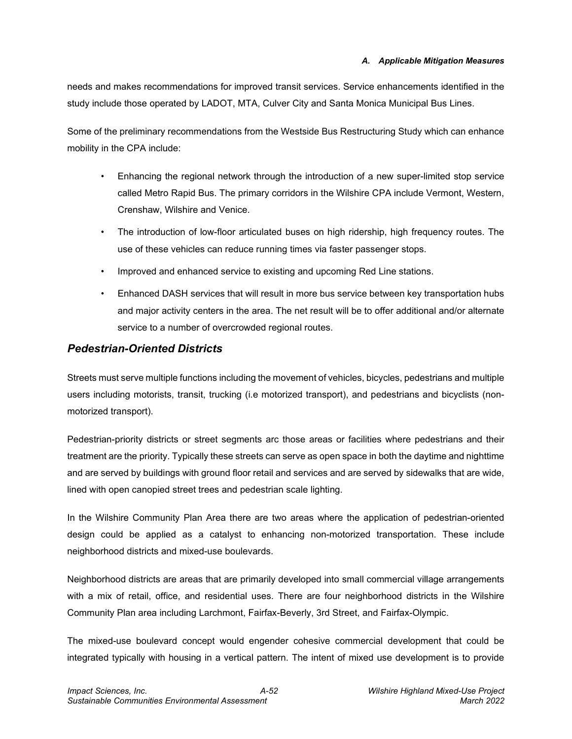#### *A. Applicable Mitigation Measures*

needs and makes recommendations for improved transit services. Service enhancements identified in the study include those operated by LADOT, MTA, Culver City and Santa Monica Municipal Bus Lines.

Some of the preliminary recommendations from the Westside Bus Restructuring Study which can enhance mobility in the CPA include:

- Enhancing the regional network through the introduction of a new super-limited stop service called Metro Rapid Bus. The primary corridors in the Wilshire CPA include Vermont, Western, Crenshaw, Wilshire and Venice.
- The introduction of low-floor articulated buses on high ridership, high frequency routes. The use of these vehicles can reduce running times via faster passenger stops.
- Improved and enhanced service to existing and upcoming Red Line stations.
- Enhanced DASH services that will result in more bus service between key transportation hubs and major activity centers in the area. The net result will be to offer additional and/or alternate service to a number of overcrowded regional routes.

#### *Pedestrian-Oriented Districts*

Streets must serve multiple functions including the movement of vehicles, bicycles, pedestrians and multiple users including motorists, transit, trucking (i.e motorized transport), and pedestrians and bicyclists (nonmotorized transport).

Pedestrian-priority districts or street segments arc those areas or facilities where pedestrians and their treatment are the priority. Typically these streets can serve as open space in both the daytime and nighttime and are served by buildings with ground floor retail and services and are served by sidewalks that are wide, lined with open canopied street trees and pedestrian scale lighting.

In the Wilshire Community Plan Area there are two areas where the application of pedestrian-oriented design could be applied as a catalyst to enhancing non-motorized transportation. These include neighborhood districts and mixed-use boulevards.

Neighborhood districts are areas that are primarily developed into small commercial village arrangements with a mix of retail, office, and residential uses. There are four neighborhood districts in the Wilshire Community Plan area including Larchmont, Fairfax-Beverly, 3rd Street, and Fairfax-Olympic.

The mixed-use boulevard concept would engender cohesive commercial development that could be integrated typically with housing in a vertical pattern. The intent of mixed use development is to provide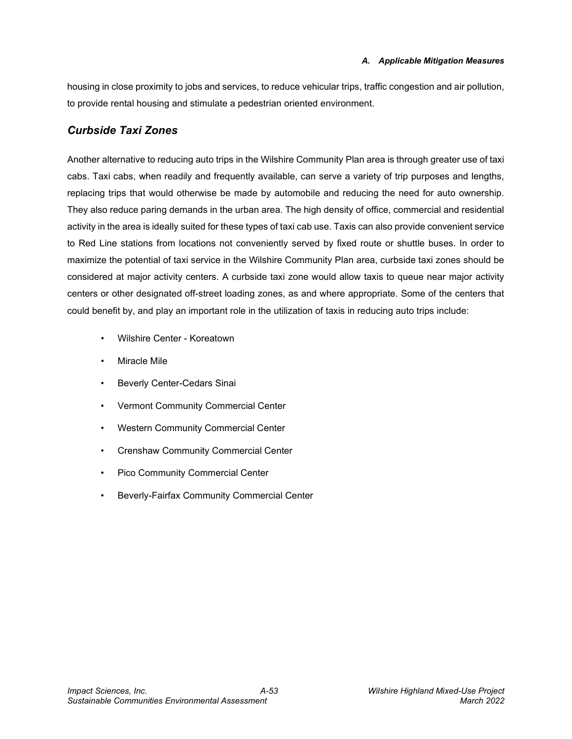housing in close proximity to jobs and services, to reduce vehicular trips, traffic congestion and air pollution, to provide rental housing and stimulate a pedestrian oriented environment.

#### *Curbside Taxi Zones*

Another alternative to reducing auto trips in the Wilshire Community Plan area is through greater use of taxi cabs. Taxi cabs, when readily and frequently available, can serve a variety of trip purposes and lengths, replacing trips that would otherwise be made by automobile and reducing the need for auto ownership. They also reduce paring demands in the urban area. The high density of office, commercial and residential activity in the area is ideally suited for these types of taxi cab use. Taxis can also provide convenient service to Red Line stations from locations not conveniently served by fixed route or shuttle buses. In order to maximize the potential of taxi service in the Wilshire Community Plan area, curbside taxi zones should be considered at major activity centers. A curbside taxi zone would allow taxis to queue near major activity centers or other designated off-street loading zones, as and where appropriate. Some of the centers that could benefit by, and play an important role in the utilization of taxis in reducing auto trips include:

- Wilshire Center Koreatown
- Miracle Mile
- Beverly Center-Cedars Sinai
- Vermont Community Commercial Center
- Western Community Commercial Center
- Crenshaw Community Commercial Center
- Pico Community Commercial Center
- Beverly-Fairfax Community Commercial Center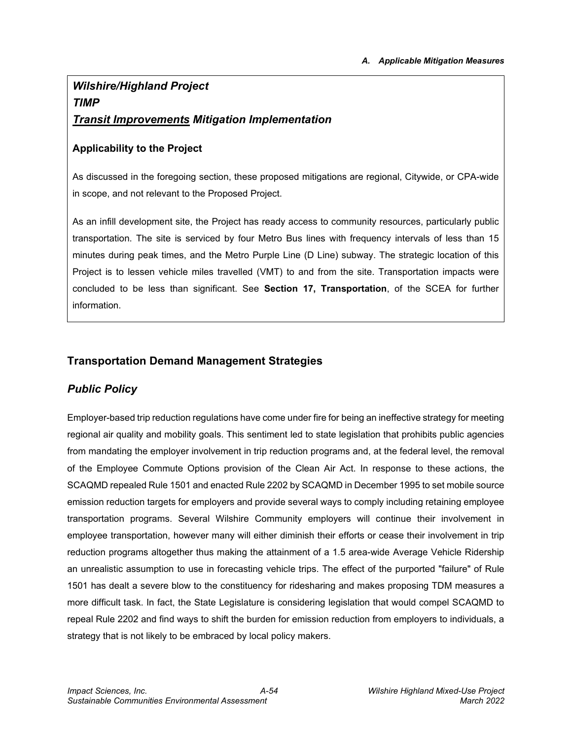# *Wilshire/Highland Project TIMP Transit Improvements Mitigation Implementation*

#### **Applicability to the Project**

As discussed in the foregoing section, these proposed mitigations are regional, Citywide, or CPA-wide in scope, and not relevant to the Proposed Project.

As an infill development site, the Project has ready access to community resources, particularly public transportation. The site is serviced by four Metro Bus lines with frequency intervals of less than 15 minutes during peak times, and the Metro Purple Line (D Line) subway. The strategic location of this Project is to lessen vehicle miles travelled (VMT) to and from the site. Transportation impacts were concluded to be less than significant. See **Section 17, Transportation**, of the SCEA for further information.

#### **Transportation Demand Management Strategies**

### *Public Policy*

Employer-based trip reduction regulations have come under fire for being an ineffective strategy for meeting regional air quality and mobility goals. This sentiment led to state legislation that prohibits public agencies from mandating the employer involvement in trip reduction programs and, at the federal level, the removal of the Employee Commute Options provision of the Clean Air Act. In response to these actions, the SCAQMD repealed Rule 1501 and enacted Rule 2202 by SCAQMD in December 1995 to set mobile source emission reduction targets for employers and provide several ways to comply including retaining employee transportation programs. Several Wilshire Community employers will continue their involvement in employee transportation, however many will either diminish their efforts or cease their involvement in trip reduction programs altogether thus making the attainment of a 1.5 area-wide Average Vehicle Ridership an unrealistic assumption to use in forecasting vehicle trips. The effect of the purported "failure" of Rule 1501 has dealt a severe blow to the constituency for ridesharing and makes proposing TDM measures a more difficult task. In fact, the State Legislature is considering legislation that would compel SCAQMD to repeal Rule 2202 and find ways to shift the burden for emission reduction from employers to individuals, a strategy that is not likely to be embraced by local policy makers.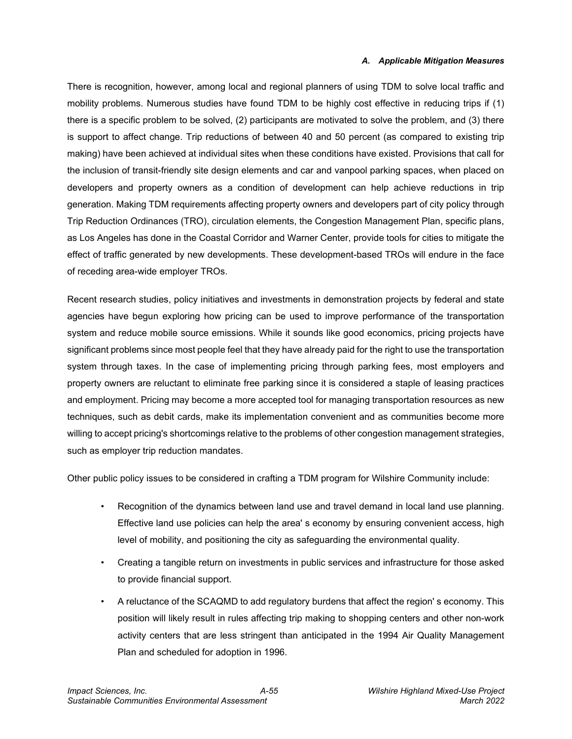#### *A. Applicable Mitigation Measures*

There is recognition, however, among local and regional planners of using TDM to solve local traffic and mobility problems. Numerous studies have found TDM to be highly cost effective in reducing trips if (1) there is a specific problem to be solved, (2) participants are motivated to solve the problem, and (3) there is support to affect change. Trip reductions of between 40 and 50 percent (as compared to existing trip making) have been achieved at individual sites when these conditions have existed. Provisions that call for the inclusion of transit-friendly site design elements and car and vanpool parking spaces, when placed on developers and property owners as a condition of development can help achieve reductions in trip generation. Making TDM requirements affecting property owners and developers part of city policy through Trip Reduction Ordinances (TRO), circulation elements, the Congestion Management Plan, specific plans, as Los Angeles has done in the Coastal Corridor and Warner Center, provide tools for cities to mitigate the effect of traffic generated by new developments. These development-based TROs will endure in the face of receding area-wide employer TROs.

Recent research studies, policy initiatives and investments in demonstration projects by federal and state agencies have begun exploring how pricing can be used to improve performance of the transportation system and reduce mobile source emissions. While it sounds like good economics, pricing projects have significant problems since most people feel that they have already paid for the right to use the transportation system through taxes. In the case of implementing pricing through parking fees, most employers and property owners are reluctant to eliminate free parking since it is considered a staple of leasing practices and employment. Pricing may become a more accepted tool for managing transportation resources as new techniques, such as debit cards, make its implementation convenient and as communities become more willing to accept pricing's shortcomings relative to the problems of other congestion management strategies, such as employer trip reduction mandates.

Other public policy issues to be considered in crafting a TDM program for Wilshire Community include:

- Recognition of the dynamics between land use and travel demand in local land use planning. Effective land use policies can help the area' s economy by ensuring convenient access, high level of mobility, and positioning the city as safeguarding the environmental quality.
- Creating a tangible return on investments in public services and infrastructure for those asked to provide financial support.
- A reluctance of the SCAQMD to add regulatory burdens that affect the region' s economy. This position will likely result in rules affecting trip making to shopping centers and other non-work activity centers that are less stringent than anticipated in the 1994 Air Quality Management Plan and scheduled for adoption in 1996.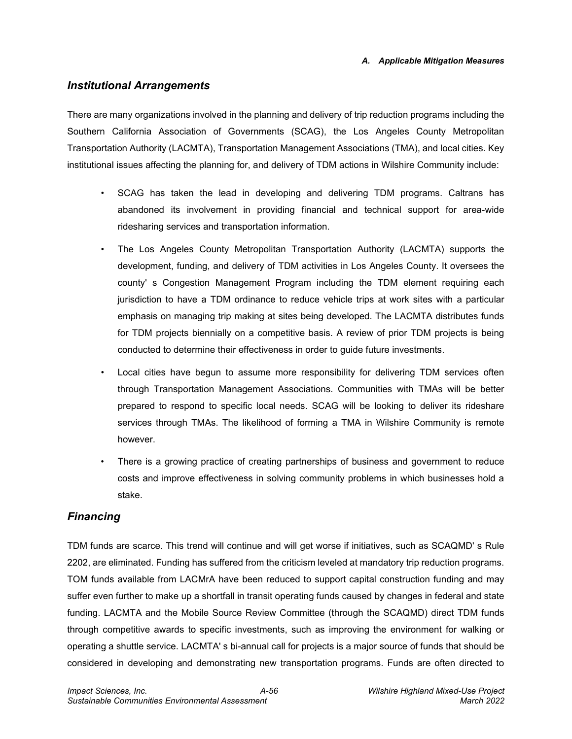#### *Institutional Arrangements*

There are many organizations involved in the planning and delivery of trip reduction programs including the Southern California Association of Governments (SCAG), the Los Angeles County Metropolitan Transportation Authority (LACMTA), Transportation Management Associations (TMA), and local cities. Key institutional issues affecting the planning for, and delivery of TDM actions in Wilshire Community include:

- SCAG has taken the lead in developing and delivering TDM programs. Caltrans has abandoned its involvement in providing financial and technical support for area-wide ridesharing services and transportation information.
- The Los Angeles County Metropolitan Transportation Authority (LACMTA) supports the development, funding, and delivery of TDM activities in Los Angeles County. It oversees the county' s Congestion Management Program including the TDM element requiring each jurisdiction to have a TDM ordinance to reduce vehicle trips at work sites with a particular emphasis on managing trip making at sites being developed. The LACMTA distributes funds for TDM projects biennially on a competitive basis. A review of prior TDM projects is being conducted to determine their effectiveness in order to guide future investments.
- Local cities have begun to assume more responsibility for delivering TDM services often through Transportation Management Associations. Communities with TMAs will be better prepared to respond to specific local needs. SCAG will be looking to deliver its rideshare services through TMAs. The likelihood of forming a TMA in Wilshire Community is remote however.
- There is a growing practice of creating partnerships of business and government to reduce costs and improve effectiveness in solving community problems in which businesses hold a stake.

#### *Financing*

TDM funds are scarce. This trend will continue and will get worse if initiatives, such as SCAQMD' s Rule 2202, are eliminated. Funding has suffered from the criticism leveled at mandatory trip reduction programs. TOM funds available from LACMrA have been reduced to support capital construction funding and may suffer even further to make up a shortfall in transit operating funds caused by changes in federal and state funding. LACMTA and the Mobile Source Review Committee (through the SCAQMD) direct TDM funds through competitive awards to specific investments, such as improving the environment for walking or operating a shuttle service. LACMTA' s bi-annual call for projects is a major source of funds that should be considered in developing and demonstrating new transportation programs. Funds are often directed to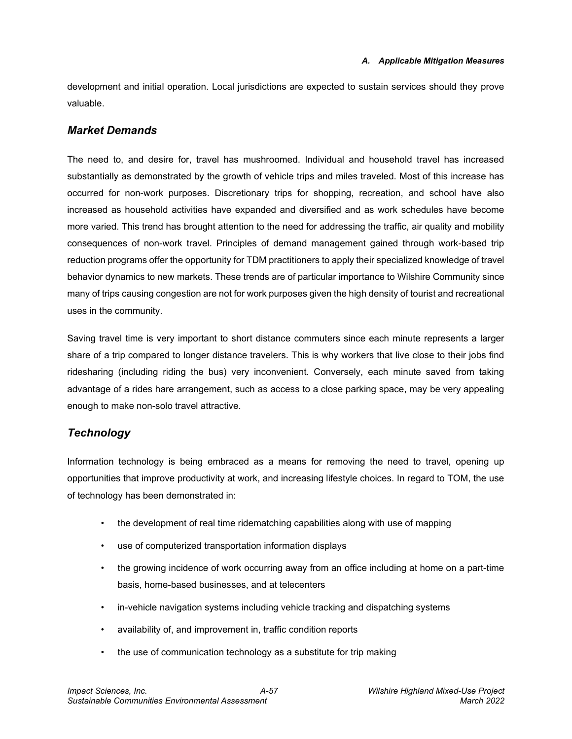development and initial operation. Local jurisdictions are expected to sustain services should they prove valuable.

#### *Market Demands*

The need to, and desire for, travel has mushroomed. Individual and household travel has increased substantially as demonstrated by the growth of vehicle trips and miles traveled. Most of this increase has occurred for non-work purposes. Discretionary trips for shopping, recreation, and school have also increased as household activities have expanded and diversified and as work schedules have become more varied. This trend has brought attention to the need for addressing the traffic, air quality and mobility consequences of non-work travel. Principles of demand management gained through work-based trip reduction programs offer the opportunity for TDM practitioners to apply their specialized knowledge of travel behavior dynamics to new markets. These trends are of particular importance to Wilshire Community since many of trips causing congestion are not for work purposes given the high density of tourist and recreational uses in the community.

Saving travel time is very important to short distance commuters since each minute represents a larger share of a trip compared to longer distance travelers. This is why workers that live close to their jobs find ridesharing (including riding the bus) very inconvenient. Conversely, each minute saved from taking advantage of a rides hare arrangement, such as access to a close parking space, may be very appealing enough to make non-solo travel attractive.

#### *Technology*

Information technology is being embraced as a means for removing the need to travel, opening up opportunities that improve productivity at work, and increasing lifestyle choices. In regard to TOM, the use of technology has been demonstrated in:

- the development of real time ridematching capabilities along with use of mapping
- use of computerized transportation information displays
- the growing incidence of work occurring away from an office including at home on a part-time basis, home-based businesses, and at telecenters
- in-vehicle navigation systems including vehicle tracking and dispatching systems
- availability of, and improvement in, traffic condition reports
- the use of communication technology as a substitute for trip making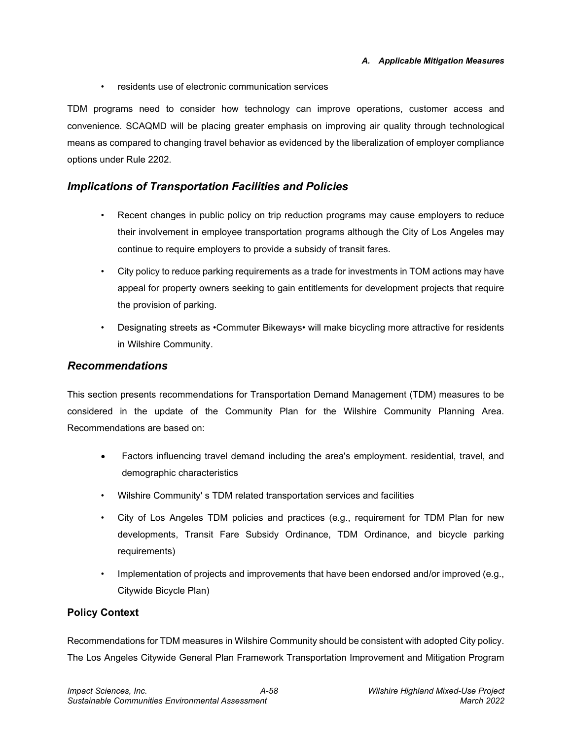• residents use of electronic communication services

TDM programs need to consider how technology can improve operations, customer access and convenience. SCAQMD will be placing greater emphasis on improving air quality through technological means as compared to changing travel behavior as evidenced by the liberalization of employer compliance options under Rule 2202.

#### *Implications of Transportation Facilities and Policies*

- Recent changes in public policy on trip reduction programs may cause employers to reduce their involvement in employee transportation programs although the City of Los Angeles may continue to require employers to provide a subsidy of transit fares.
- City policy to reduce parking requirements as a trade for investments in TOM actions may have appeal for property owners seeking to gain entitlements for development projects that require the provision of parking.
- Designating streets as •Commuter Bikeways• will make bicycling more attractive for residents in Wilshire Community.

#### *Recommendations*

This section presents recommendations for Transportation Demand Management (TDM) measures to be considered in the update of the Community Plan for the Wilshire Community Planning Area. Recommendations are based on:

- Factors influencing travel demand including the area's employment. residential, travel, and demographic characteristics
- Wilshire Community' s TDM related transportation services and facilities
- City of Los Angeles TDM policies and practices (e.g., requirement for TDM Plan for new developments, Transit Fare Subsidy Ordinance, TDM Ordinance, and bicycle parking requirements)
- Implementation of projects and improvements that have been endorsed and/or improved (e.g., Citywide Bicycle Plan)

#### **Policy Context**

Recommendations for TDM measures in Wilshire Community should be consistent with adopted City policy. The Los Angeles Citywide General Plan Framework Transportation Improvement and Mitigation Program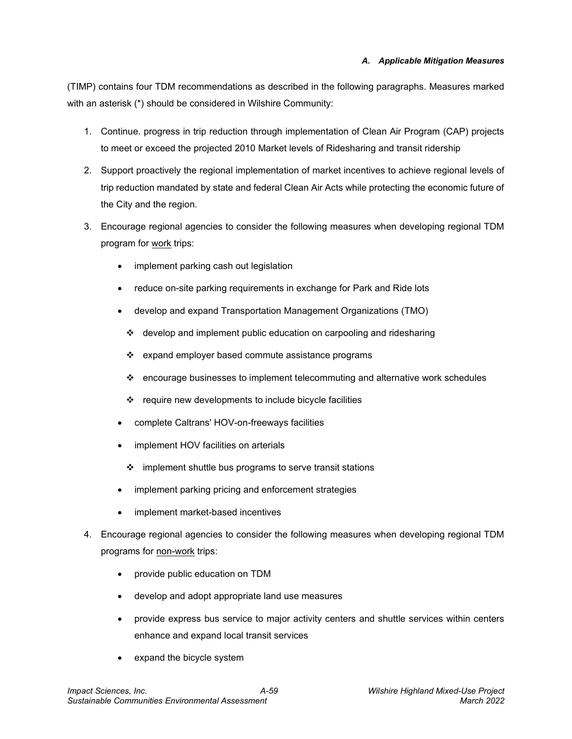(TIMP) contains four TDM recommendations as described in the following paragraphs. Measures marked with an asterisk (\*) should be considered in Wilshire Community:

- 1. Continue. progress in trip reduction through implementation of Clean Air Program (CAP) projects to meet or exceed the projected 2010 Market levels of Ridesharing and transit ridership
- 2. Support proactively the regional implementation of market incentives to achieve regional levels of trip reduction mandated by state and federal Clean Air Acts while protecting the economic future of the City and the region.
- 3. Encourage regional agencies to consider the following measures when developing regional TDM program for work trips:
	- implement parking cash out legislation
	- reduce on-site parking requirements in exchange for Park and Ride lots
	- develop and expand Transportation Management Organizations (TMO)
		- ❖ develop and implement public education on carpooling and ridesharing
		- $\div$  expand employer based commute assistance programs
		- $\div$  encourage businesses to implement telecommuting and alternative work schedules
		- ❖ require new developments to include bicycle facilities
	- complete Caltrans' HOV-on-freeways facilities
	- implement HOV facilities on arterials
		- $\div$  implement shuttle bus programs to serve transit stations
	- implement parking pricing and enforcement strategies
	- implement market-based incentives
- 4. Encourage regional agencies to consider the following measures when developing regional TDM programs for non-work trips:
	- provide public education on TDM
	- develop and adopt appropriate land use measures
	- provide express bus service to major activity centers and shuttle services within centers enhance and expand local transit services
	- expand the bicycle system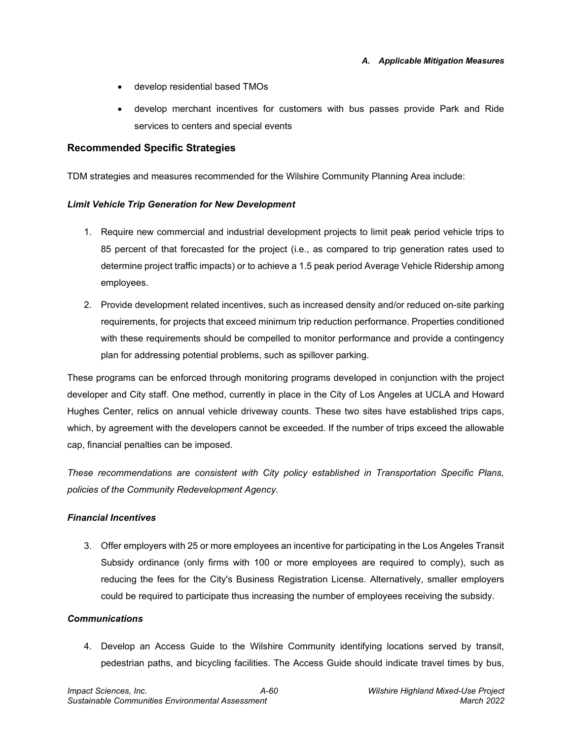- develop residential based TMOs
- develop merchant incentives for customers with bus passes provide Park and Ride services to centers and special events

#### **Recommended Specific Strategies**

TDM strategies and measures recommended for the Wilshire Community Planning Area include:

#### *Limit Vehicle Trip Generation for New Development*

- 1. Require new commercial and industrial development projects to limit peak period vehicle trips to 85 percent of that forecasted for the project (i.e., as compared to trip generation rates used to determine project traffic impacts) or to achieve a 1.5 peak period Average Vehicle Ridership among employees.
- 2. Provide development related incentives, such as increased density and/or reduced on-site parking requirements, for projects that exceed minimum trip reduction performance. Properties conditioned with these requirements should be compelled to monitor performance and provide a contingency plan for addressing potential problems, such as spillover parking.

These programs can be enforced through monitoring programs developed in conjunction with the project developer and City staff. One method, currently in place in the City of Los Angeles at UCLA and Howard Hughes Center, relics on annual vehicle driveway counts. These two sites have established trips caps, which, by agreement with the developers cannot be exceeded. If the number of trips exceed the allowable cap, financial penalties can be imposed.

*These recommendations are consistent with City policy established in Transportation Specific Plans, policies of the Community Redevelopment Agency.*

#### *Financial Incentives*

3. Offer employers with 25 or more employees an incentive for participating in the Los Angeles Transit Subsidy ordinance (only firms with 100 or more employees are required to comply), such as reducing the fees for the City's Business Registration License. Alternatively, smaller employers could be required to participate thus increasing the number of employees receiving the subsidy.

#### *Communications*

4. Develop an Access Guide to the Wilshire Community identifying locations served by transit, pedestrian paths, and bicycling facilities. The Access Guide should indicate travel times by bus,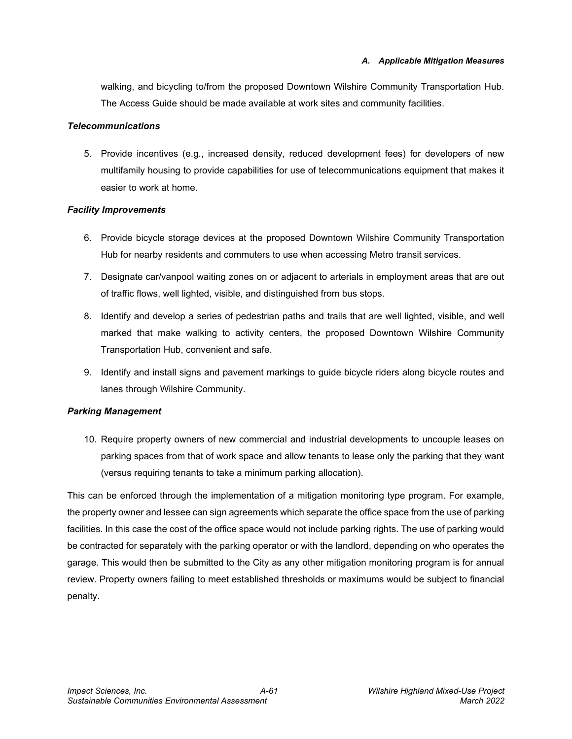walking, and bicycling to/from the proposed Downtown Wilshire Community Transportation Hub. The Access Guide should be made available at work sites and community facilities.

#### *Telecommunications*

5. Provide incentives (e.g., increased density, reduced development fees) for developers of new multifamily housing to provide capabilities for use of telecommunications equipment that makes it easier to work at home.

#### *Facility Improvements*

- 6. Provide bicycle storage devices at the proposed Downtown Wilshire Community Transportation Hub for nearby residents and commuters to use when accessing Metro transit services.
- 7. Designate car/vanpool waiting zones on or adjacent to arterials in employment areas that are out of traffic flows, well lighted, visible, and distinguished from bus stops.
- 8. Identify and develop a series of pedestrian paths and trails that are well lighted, visible, and well marked that make walking to activity centers, the proposed Downtown Wilshire Community Transportation Hub, convenient and safe.
- 9. Identify and install signs and pavement markings to guide bicycle riders along bicycle routes and lanes through Wilshire Community.

#### *Parking Management*

10. Require property owners of new commercial and industrial developments to uncouple leases on parking spaces from that of work space and allow tenants to lease only the parking that they want (versus requiring tenants to take a minimum parking allocation).

This can be enforced through the implementation of a mitigation monitoring type program. For example, the property owner and lessee can sign agreements which separate the office space from the use of parking facilities. In this case the cost of the office space would not include parking rights. The use of parking would be contracted for separately with the parking operator or with the landlord, depending on who operates the garage. This would then be submitted to the City as any other mitigation monitoring program is for annual review. Property owners failing to meet established thresholds or maximums would be subject to financial penalty.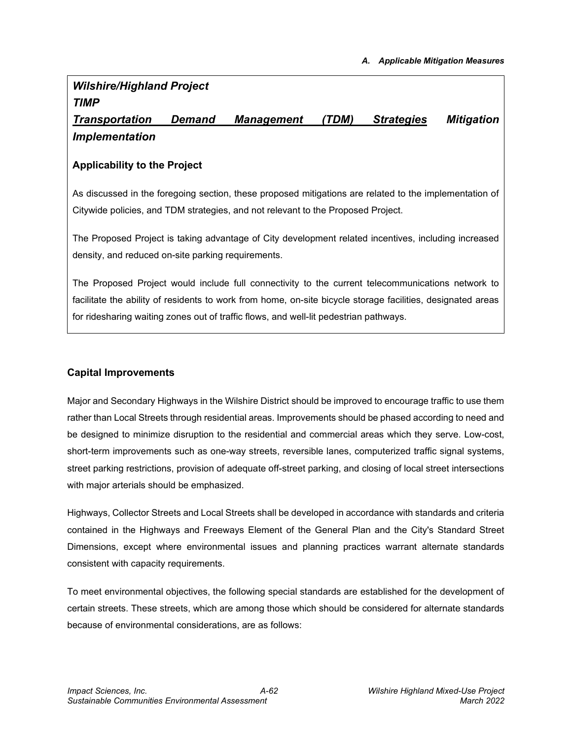# *Wilshire/Highland Project TIMP*

*Transportation Demand Management (TDM) Strategies Mitigation Implementation*

#### **Applicability to the Project**

As discussed in the foregoing section, these proposed mitigations are related to the implementation of Citywide policies, and TDM strategies, and not relevant to the Proposed Project.

The Proposed Project is taking advantage of City development related incentives, including increased density, and reduced on-site parking requirements.

The Proposed Project would include full connectivity to the current telecommunications network to facilitate the ability of residents to work from home, on-site bicycle storage facilities, designated areas for ridesharing waiting zones out of traffic flows, and well-lit pedestrian pathways.

#### **Capital Improvements**

Major and Secondary Highways in the Wilshire District should be improved to encourage traffic to use them rather than Local Streets through residential areas. Improvements should be phased according to need and be designed to minimize disruption to the residential and commercial areas which they serve. Low-cost, short-term improvements such as one-way streets, reversible lanes, computerized traffic signal systems, street parking restrictions, provision of adequate off-street parking, and closing of local street intersections with major arterials should be emphasized.

Highways, Collector Streets and Local Streets shall be developed in accordance with standards and criteria contained in the Highways and Freeways Element of the General Plan and the City's Standard Street Dimensions, except where environmental issues and planning practices warrant alternate standards consistent with capacity requirements.

To meet environmental objectives, the following special standards are established for the development of certain streets. These streets, which are among those which should be considered for alternate standards because of environmental considerations, are as follows: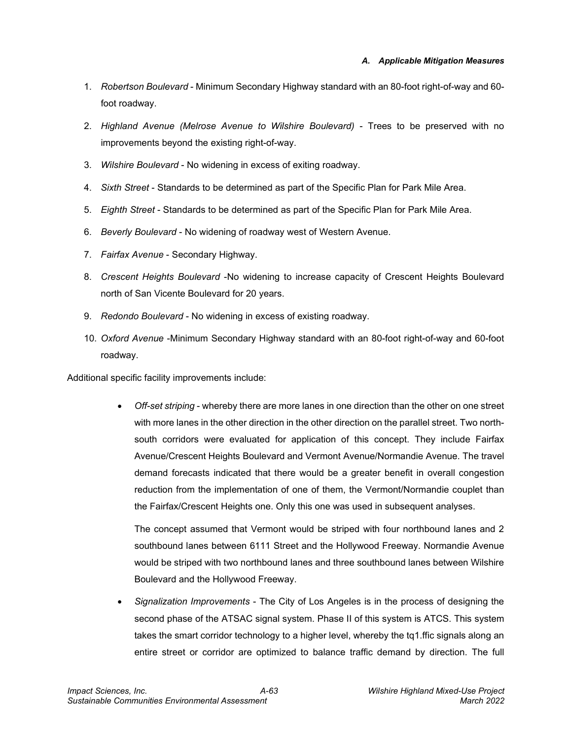- 1. *Robertson Boulevard* Minimum Secondary Highway standard with an 80-foot right-of-way and 60 foot roadway.
- 2. *Highland Avenue (Melrose Avenue to Wilshire Boulevard)* Trees to be preserved with no improvements beyond the existing right-of-way.
- 3. *Wilshire Boulevard* No widening in excess of exiting roadway.
- 4. *Sixth Street* Standards to be determined as part of the Specific Plan for Park Mile Area.
- 5. *Eighth Street* Standards to be determined as part of the Specific Plan for Park Mile Area.
- 6. *Beverly Boulevard* No widening of roadway west of Western Avenue.
- 7. *Fairfax Avenue* Secondary Highway.
- 8. *Crescent Heights Boulevard* -No widening to increase capacity of Crescent Heights Boulevard north of San Vicente Boulevard for 20 years.
- 9. *Redondo Boulevard* No widening in excess of existing roadway.
- 10. *Oxford Avenue* -Minimum Secondary Highway standard with an 80-foot right-of-way and 60-foot roadway.

Additional specific facility improvements include:

• *Off-set striping* - whereby there are more lanes in one direction than the other on one street with more lanes in the other direction in the other direction on the parallel street. Two northsouth corridors were evaluated for application of this concept. They include Fairfax Avenue/Crescent Heights Boulevard and Vermont Avenue/Normandie Avenue. The travel demand forecasts indicated that there would be a greater benefit in overall congestion reduction from the implementation of one of them, the Vermont/Normandie couplet than the Fairfax/Crescent Heights one. Only this one was used in subsequent analyses.

The concept assumed that Vermont would be striped with four northbound lanes and 2 southbound lanes between 6111 Street and the Hollywood Freeway. Normandie Avenue would be striped with two northbound lanes and three southbound lanes between Wilshire Boulevard and the Hollywood Freeway.

• *Signalization Improvements* - The City of Los Angeles is in the process of designing the second phase of the ATSAC signal system. Phase II of this system is ATCS. This system takes the smart corridor technology to a higher level, whereby the tq1.ffic signals along an entire street or corridor are optimized to balance traffic demand by direction. The full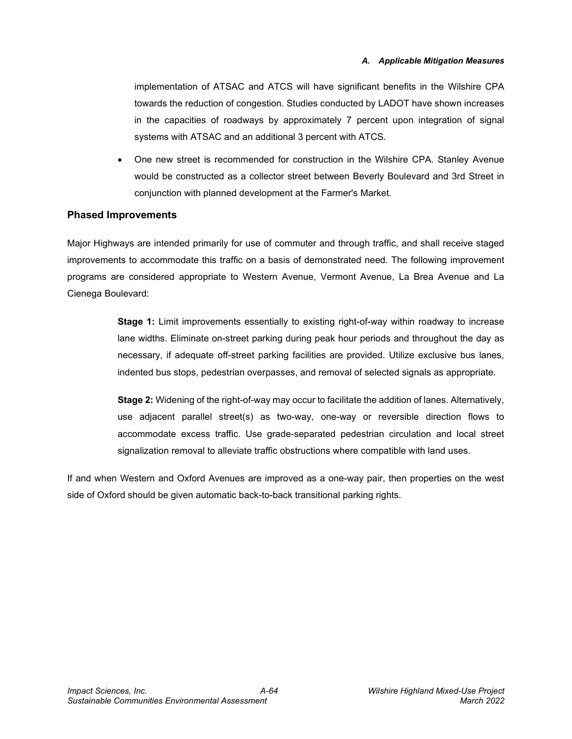implementation of ATSAC and ATCS will have significant benefits in the Wilshire CPA towards the reduction of congestion. Studies conducted by LADOT have shown increases in the capacities of roadways by approximately 7 percent upon integration of signal systems with ATSAC and an additional 3 percent with ATCS.

• One new street is recommended for construction in the Wilshire CPA. Stanley Avenue would be constructed as a collector street between Beverly Boulevard and 3rd Street in conjunction with planned development at the Farmer's Market.

#### **Phased Improvements**

Major Highways are intended primarily for use of commuter and through traffic, and shall receive staged improvements to accommodate this traffic on a basis of demonstrated need. The following improvement programs are considered appropriate to Western Avenue, Vermont Avenue, La Brea Avenue and La Cienega Boulevard:

> **Stage 1:** Limit improvements essentially to existing right-of-way within roadway to increase lane widths. Eliminate on-street parking during peak hour periods and throughout the day as necessary, if adequate off-street parking facilities are provided. Utilize exclusive bus lanes, indented bus stops, pedestrian overpasses, and removal of selected signals as appropriate.

> **Stage 2:** Widening of the right-of-way may occur to facilitate the addition of lanes. Alternatively, use adjacent parallel street(s) as two-way, one-way or reversible direction flows to accommodate excess traffic. Use grade-separated pedestrian circulation and local street signalization removal to alleviate traffic obstructions where compatible with land uses.

If and when Western and Oxford Avenues are improved as a one-way pair, then properties on the west side of Oxford should be given automatic back-to-back transitional parking rights.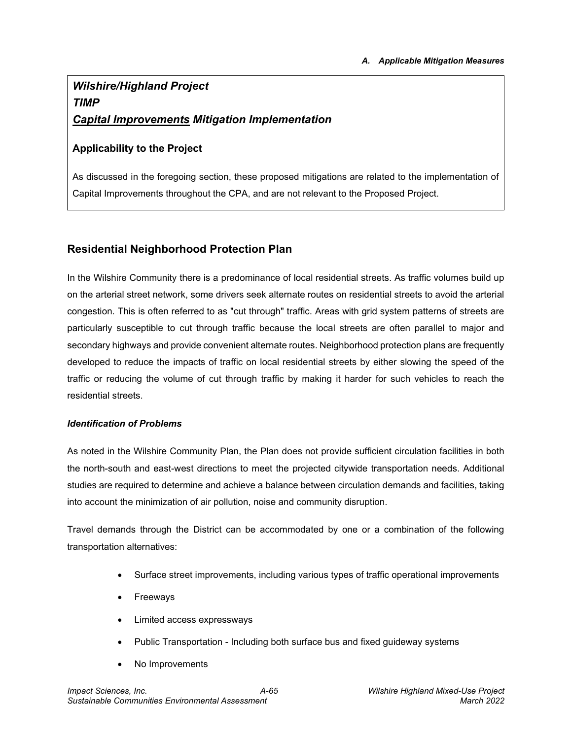# *Wilshire/Highland Project TIMP Capital Improvements Mitigation Implementation*

#### **Applicability to the Project**

As discussed in the foregoing section, these proposed mitigations are related to the implementation of Capital Improvements throughout the CPA, and are not relevant to the Proposed Project.

### **Residential Neighborhood Protection Plan**

In the Wilshire Community there is a predominance of local residential streets. As traffic volumes build up on the arterial street network, some drivers seek alternate routes on residential streets to avoid the arterial congestion. This is often referred to as "cut through" traffic. Areas with grid system patterns of streets are particularly susceptible to cut through traffic because the local streets are often parallel to major and secondary highways and provide convenient alternate routes. Neighborhood protection plans are frequently developed to reduce the impacts of traffic on local residential streets by either slowing the speed of the traffic or reducing the volume of cut through traffic by making it harder for such vehicles to reach the residential streets.

#### *Identification of Problems*

As noted in the Wilshire Community Plan, the Plan does not provide sufficient circulation facilities in both the north-south and east-west directions to meet the projected citywide transportation needs. Additional studies are required to determine and achieve a balance between circulation demands and facilities, taking into account the minimization of air pollution, noise and community disruption.

Travel demands through the District can be accommodated by one or a combination of the following transportation alternatives:

- Surface street improvements, including various types of traffic operational improvements
- **Freeways**
- Limited access expressways
- Public Transportation Including both surface bus and fixed guideway systems
- No Improvements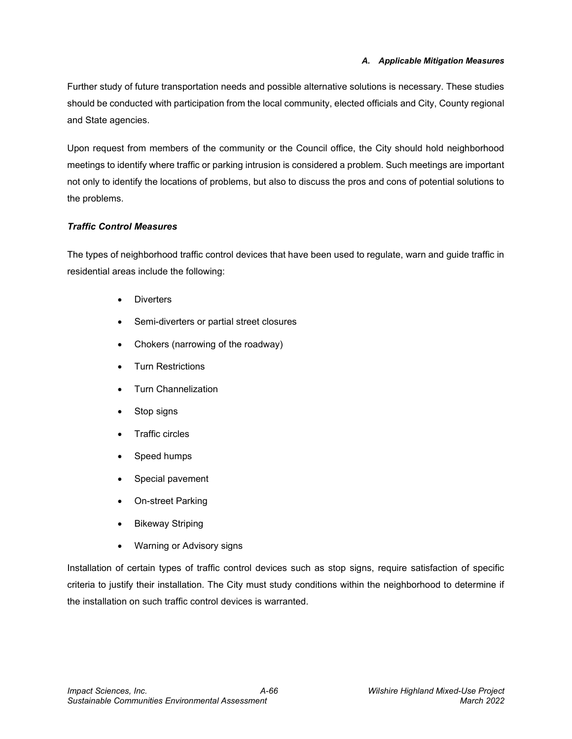Further study of future transportation needs and possible alternative solutions is necessary. These studies should be conducted with participation from the local community, elected officials and City, County regional and State agencies.

Upon request from members of the community or the Council office, the City should hold neighborhood meetings to identify where traffic or parking intrusion is considered a problem. Such meetings are important not only to identify the locations of problems, but also to discuss the pros and cons of potential solutions to the problems.

#### *Traffic Control Measures*

The types of neighborhood traffic control devices that have been used to regulate, warn and guide traffic in residential areas include the following:

- **Diverters**
- Semi-diverters or partial street closures
- Chokers (narrowing of the roadway)
- Turn Restrictions
- Turn Channelization
- Stop signs
- Traffic circles
- Speed humps
- Special pavement
- On-street Parking
- **Bikeway Striping**
- Warning or Advisory signs

Installation of certain types of traffic control devices such as stop signs, require satisfaction of specific criteria to justify their installation. The City must study conditions within the neighborhood to determine if the installation on such traffic control devices is warranted.